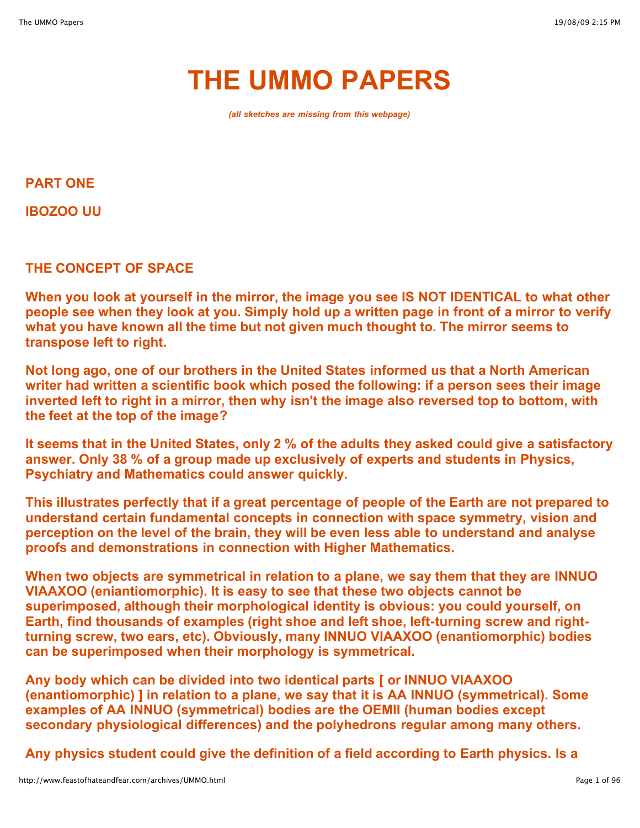# **THE UMMO PAPERS**

*(all sketches are missing from this webpage)*

**PART ONE**

**IBOZOO UU**

**THE CONCEPT OF SPACE**

**When you look at yourself in the mirror, the image you see IS NOT IDENTICAL to what other** people see when they look at you. Simply hold up a written page in front of a mirror to verify **what you have known all the time but not given much thought to. The mirror seems to transpose left to right.**

**Not long ago, one of our brothers in the United States informed us that a North American writer had written a scientific book which posed the following: if a person sees their image inverted left to right in a mirror, then why isn't the image also reversed top to bottom, with the feet at the top of the image?**

**It seems that in the United States, only 2 % of the adults they asked could give a satisfactory answer. Only 38 % of a group made up exclusively of experts and students in Physics, Psychiatry and Mathematics could answer quickly.**

**This illustrates perfectly that if a great percentage of people of the Earth are not prepared to understand certain fundamental concepts in connection with space symmetry, vision and perception on the level of the brain, they will be even less able to understand and analyse proofs and demonstrations in connection with Higher Mathematics.**

**When two objects are symmetrical in relation to a plane, we say them that they are INNUO VIAAXOO (eniantiomorphic). It is easy to see that these two objects cannot be superimposed, although their morphological identity is obvious: you could yourself, on Earth, find thousands of examples (right shoe and left shoe, left-turning screw and rightturning screw, two ears, etc). Obviously, many INNUO VIAAXOO (enantiomorphic) bodies can be superimposed when their morphology is symmetrical.**

**Any body which can be divided into two identical parts [ or INNUO VIAAXOO (enantiomorphic) ] in relation to a plane, we say that it is AA INNUO (symmetrical). Some examples of AA INNUO (symmetrical) bodies are the OEMII (human bodies except secondary physiological differences) and the polyhedrons regular among many others.**

**Any physics student could give the definition of a field according to Earth physics. Is a**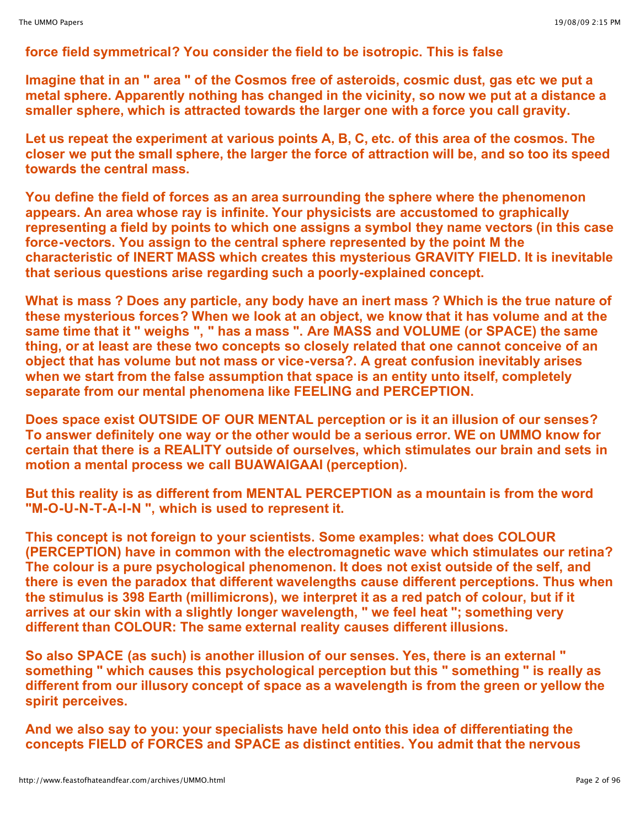# **force field symmetrical? You consider the field to be isotropic. This is false**

**Imagine that in an " area " of the Cosmos free of asteroids, cosmic dust, gas etc we put a metal sphere. Apparently nothing has changed in the vicinity, so now we put at a distance a smaller sphere, which is attracted towards the larger one with a force you call gravity.**

**Let us repeat the experiment at various points A, B, C, etc. of this area of the cosmos. The closer we put the small sphere, the larger the force of attraction will be, and so too its speed towards the central mass.**

**You define the field of forces as an area surrounding the sphere where the phenomenon appears. An area whose ray is infinite. Your physicists are accustomed to graphically representing a field by points to which one assigns a symbol they name vectors (in this case force-vectors. You assign to the central sphere represented by the point M the characteristic of INERT MASS which creates this mysterious GRAVITY FIELD. It is inevitable that serious questions arise regarding such a poorly-explained concept.**

**What is mass ? Does any particle, any body have an inert mass ? Which is the true nature of these mysterious forces? When we look at an object, we know that it has volume and at the same time that it " weighs ", " has a mass ". Are MASS and VOLUME (or SPACE) the same thing, or at least are these two concepts so closely related that one cannot conceive of an object that has volume but not mass or vice-versa?. A great confusion inevitably arises when we start from the false assumption that space is an entity unto itself, completely separate from our mental phenomena like FEELING and PERCEPTION.**

**Does space exist OUTSIDE OF OUR MENTAL perception or is it an illusion of our senses? To answer definitely one way or the other would be a serious error. WE on UMMO know for certain that there is a REALITY outside of ourselves, which stimulates our brain and sets in motion a mental process we call BUAWAIGAAI (perception).**

**But this reality is as different from MENTAL PERCEPTION as a mountain is from the word "M-O-U-N-T-A-I-N ", which is used to represent it.**

**This concept is not foreign to your scientists. Some examples: what does COLOUR (PERCEPTION) have in common with the electromagnetic wave which stimulates our retina? The colour is a pure psychological phenomenon. It does not exist outside of the self, and there is even the paradox that different wavelengths cause different perceptions. Thus when the stimulus is 398 Earth (millimicrons), we interpret it as a red patch of colour, but if it arrives at our skin with a slightly longer wavelength, " we feel heat "; something very different than COLOUR: The same external reality causes different illusions.**

**So also SPACE (as such) is another illusion of our senses. Yes, there is an external " something " which causes this psychological perception but this " something " is really as different from our illusory concept of space as a wavelength is from the green or yellow the spirit perceives.**

**And we also say to you: your specialists have held onto this idea of differentiating the concepts FIELD of FORCES and SPACE as distinct entities. You admit that the nervous**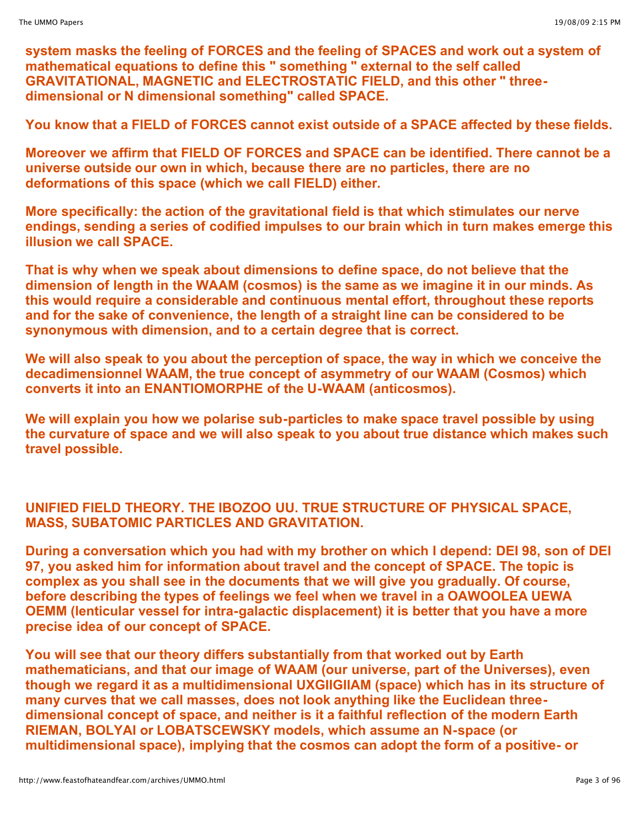**system masks the feeling of FORCES and the feeling of SPACES and work out a system of mathematical equations to define this " something " external to the self called GRAVITATIONAL, MAGNETIC and ELECTROSTATIC FIELD, and this other " threedimensional or N dimensional something" called SPACE.**

**You know that a FIELD of FORCES cannot exist outside of a SPACE affected by these fields.**

**Moreover we affirm that FIELD OF FORCES and SPACE can be identified. There cannot be a universe outside our own in which, because there are no particles, there are no deformations of this space (which we call FIELD) either.**

**More specifically: the action of the gravitational field is that which stimulates our nerve endings, sending a series of codified impulses to our brain which in turn makes emerge this illusion we call SPACE.**

**That is why when we speak about dimensions to define space, do not believe that the dimension of length in the WAAM (cosmos) is the same as we imagine it in our minds. As this would require a considerable and continuous mental effort, throughout these reports and for the sake of convenience, the length of a straight line can be considered to be synonymous with dimension, and to a certain degree that is correct.**

**We will also speak to you about the perception of space, the way in which we conceive the decadimensionnel WAAM, the true concept of asymmetry of our WAAM (Cosmos) which converts it into an ENANTIOMORPHE of the U-WAAM (anticosmos).**

**We will explain you how we polarise sub-particles to make space travel possible by using the curvature of space and we will also speak to you about true distance which makes such travel possible.**

# **UNIFIED FIELD THEORY. THE IBOZOO UU. TRUE STRUCTURE OF PHYSICAL SPACE, MASS, SUBATOMIC PARTICLES AND GRAVITATION.**

**During a conversation which you had with my brother on which I depend: DEI 98, son of DEI 97, you asked him for information about travel and the concept of SPACE. The topic is complex as you shall see in the documents that we will give you gradually. Of course, before describing the types of feelings we feel when we travel in a OAWOOLEA UEWA OEMM (lenticular vessel for intra-galactic displacement) it is better that you have a more precise idea of our concept of SPACE.**

**You will see that our theory differs substantially from that worked out by Earth mathematicians, and that our image of WAAM (our universe, part of the Universes), even though we regard it as a multidimensional UXGIIGIIAM (space) which has in its structure of many curves that we call masses, does not look anything like the Euclidean threedimensional concept of space, and neither is it a faithful reflection of the modern Earth RIEMAN, BOLYAI or LOBATSCEWSKY models, which assume an N-space (or multidimensional space), implying that the cosmos can adopt the form of a positive- or**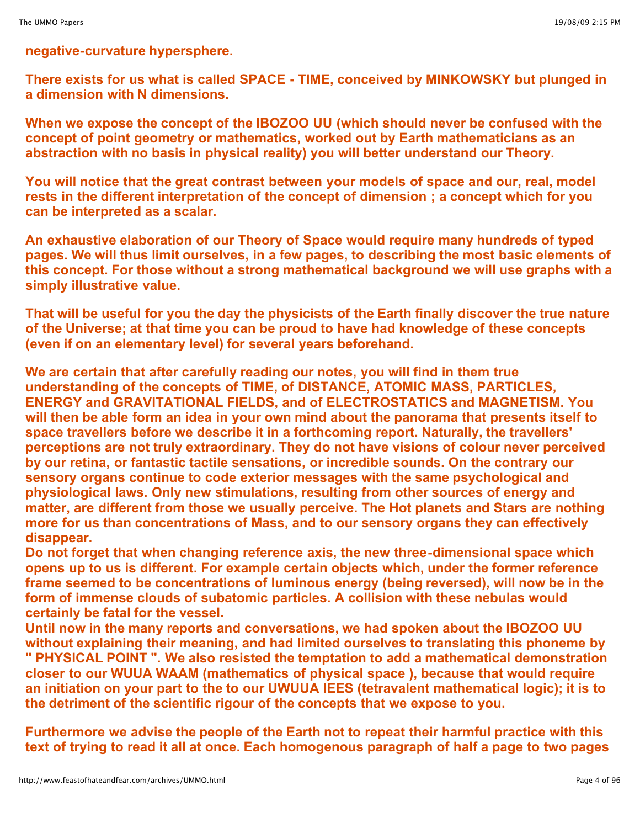#### **negative-curvature hypersphere.**

**There exists for us what is called SPACE - TIME, conceived by MINKOWSKY but plunged in a dimension with N dimensions.**

**When we expose the concept of the IBOZOO UU (which should never be confused with the concept of point geometry or mathematics, worked out by Earth mathematicians as an abstraction with no basis in physical reality) you will better understand our Theory.**

**You will notice that the great contrast between your models of space and our, real, model rests in the different interpretation of the concept of dimension ; a concept which for you can be interpreted as a scalar.**

**An exhaustive elaboration of our Theory of Space would require many hundreds of typed pages. We will thus limit ourselves, in a few pages, to describing the most basic elements of this concept. For those without a strong mathematical background we will use graphs with a simply illustrative value.**

**That will be useful for you the day the physicists of the Earth finally discover the true nature of the Universe; at that time you can be proud to have had knowledge of these concepts (even if on an elementary level) for several years beforehand.**

**We are certain that after carefully reading our notes, you will find in them true understanding of the concepts of TIME, of DISTANCE, ATOMIC MASS, PARTICLES, ENERGY and GRAVITATIONAL FIELDS, and of ELECTROSTATICS and MAGNETISM. You will then be able form an idea in your own mind about the panorama that presents itself to space travellers before we describe it in a forthcoming report. Naturally, the travellers' perceptions are not truly extraordinary. They do not have visions of colour never perceived by our retina, or fantastic tactile sensations, or incredible sounds. On the contrary our sensory organs continue to code exterior messages with the same psychological and physiological laws. Only new stimulations, resulting from other sources of energy and matter, are different from those we usually perceive. The Hot planets and Stars are nothing more for us than concentrations of Mass, and to our sensory organs they can effectively disappear.**

**Do not forget that when changing reference axis, the new three-dimensional space which opens up to us is different. For example certain objects which, under the former reference frame seemed to be concentrations of luminous energy (being reversed), will now be in the form of immense clouds of subatomic particles. A collision with these nebulas would certainly be fatal for the vessel.**

**Until now in the many reports and conversations, we had spoken about the IBOZOO UU without explaining their meaning, and had limited ourselves to translating this phoneme by " PHYSICAL POINT ". We also resisted the temptation to add a mathematical demonstration closer to our WUUA WAAM (mathematics of physical space ), because that would require an initiation on your part to the to our UWUUA IEES (tetravalent mathematical logic); it is to the detriment of the scientific rigour of the concepts that we expose to you.**

**Furthermore we advise the people of the Earth not to repeat their harmful practice with this** text of trying to read it all at once. Each homogenous paragraph of half a page to two pages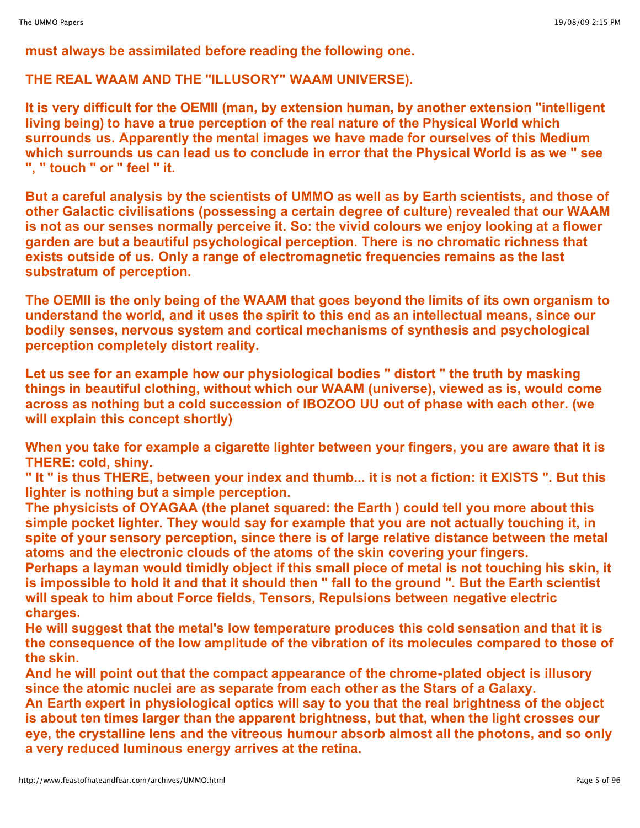**must always be assimilated before reading the following one.**

**THE REAL WAAM AND THE "ILLUSORY" WAAM UNIVERSE).**

**It is very difficult for the OEMII (man, by extension human, by another extension "intelligent living being) to have a true perception of the real nature of the Physical World which surrounds us. Apparently the mental images we have made for ourselves of this Medium which surrounds us can lead us to conclude in error that the Physical World is as we " see ", " touch " or " feel " it.**

**But a careful analysis by the scientists of UMMO as well as by Earth scientists, and those of other Galactic civilisations (possessing a certain degree of culture) revealed that our WAAM is not as our senses normally perceive it. So: the vivid colours we enjoy looking at a flower garden are but a beautiful psychological perception. There is no chromatic richness that exists outside of us. Only a range of electromagnetic frequencies remains as the last substratum of perception.**

**The OEMII is the only being of the WAAM that goes beyond the limits of its own organism to understand the world, and it uses the spirit to this end as an intellectual means, since our bodily senses, nervous system and cortical mechanisms of synthesis and psychological perception completely distort reality.**

**Let us see for an example how our physiological bodies " distort " the truth by masking things in beautiful clothing, without which our WAAM (universe), viewed as is, would come across as nothing but a cold succession of IBOZOO UU out of phase with each other. (we will explain this concept shortly)**

**When you take for example a cigarette lighter between your fingers, you are aware that it is THERE: cold, shiny.**

" It " is thus THERE, between your index and thumb... it is not a fiction: it EXISTS ". But this **lighter is nothing but a simple perception.**

**The physicists of OYAGAA (the planet squared: the Earth ) could tell you more about this simple pocket lighter. They would say for example that you are not actually touching it, in spite of your sensory perception, since there is of large relative distance between the metal atoms and the electronic clouds of the atoms of the skin covering your fingers.**

**Perhaps a layman would timidly object if this small piece of metal is not touching his skin, it is impossible to hold it and that it should then " fall to the ground ". But the Earth scientist will speak to him about Force fields, Tensors, Repulsions between negative electric charges.**

**He will suggest that the metal's low temperature produces this cold sensation and that it is the consequence of the low amplitude of the vibration of its molecules compared to those of the skin.**

**And he will point out that the compact appearance of the chrome-plated object is illusory since the atomic nuclei are as separate from each other as the Stars of a Galaxy.**

**An Earth expert in physiological optics will say to you that the real brightness of the object is about ten times larger than the apparent brightness, but that, when the light crosses our eye, the crystalline lens and the vitreous humour absorb almost all the photons, and so only a very reduced luminous energy arrives at the retina.**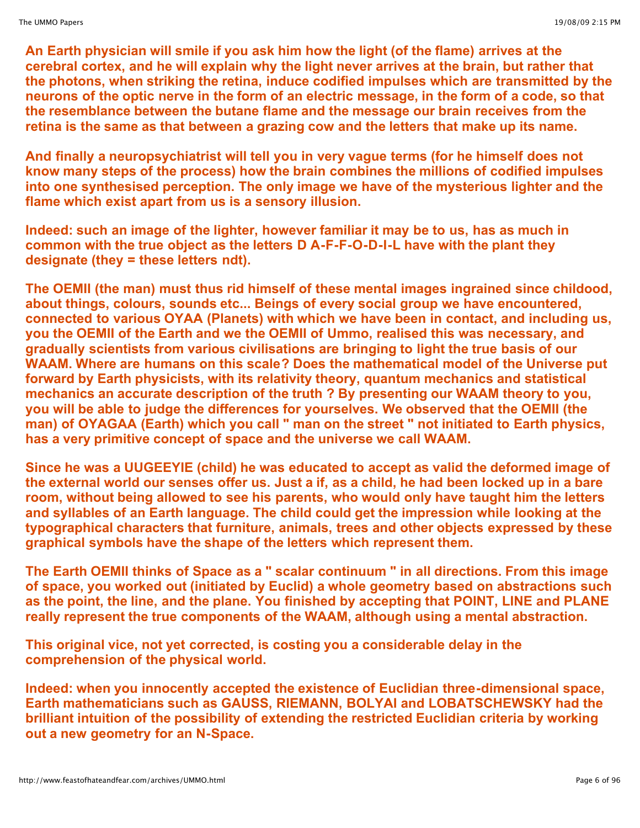**An Earth physician will smile if you ask him how the light (of the flame) arrives at the cerebral cortex, and he will explain why the light never arrives at the brain, but rather that the photons, when striking the retina, induce codified impulses which are transmitted by the neurons of the optic nerve in the form of an electric message, in the form of a code, so that the resemblance between the butane flame and the message our brain receives from the retina is the same as that between a grazing cow and the letters that make up its name.**

**And finally a neuropsychiatrist will tell you in very vague terms (for he himself does not know many steps of the process) how the brain combines the millions of codified impulses into one synthesised perception. The only image we have of the mysterious lighter and the flame which exist apart from us is a sensory illusion.**

**Indeed: such an image of the lighter, however familiar it may be to us, has as much in common with the true object as the letters D A-F-F-O-D-I-L have with the plant they designate (they = these letters ndt).**

**The OEMII (the man) must thus rid himself of these mental images ingrained since childood, about things, colours, sounds etc... Beings of every social group we have encountered, connected to various OYAA (Planets) with which we have been in contact, and including us, you the OEMII of the Earth and we the OEMII of Ummo, realised this was necessary, and gradually scientists from various civilisations are bringing to light the true basis of our WAAM. Where are humans on this scale? Does the mathematical model of the Universe put forward by Earth physicists, with its relativity theory, quantum mechanics and statistical mechanics an accurate description of the truth ? By presenting our WAAM theory to you, you will be able to judge the differences for yourselves. We observed that the OEMII (the man) of OYAGAA (Earth) which you call " man on the street " not initiated to Earth physics, has a very primitive concept of space and the universe we call WAAM.**

**Since he was a UUGEEYIE (child) he was educated to accept as valid the deformed image of** the external world our senses offer us. Just a if, as a child, he had been locked up in a bare **room, without being allowed to see his parents, who would only have taught him the letters and syllables of an Earth language. The child could get the impression while looking at the typographical characters that furniture, animals, trees and other objects expressed by these graphical symbols have the shape of the letters which represent them.**

**The Earth OEMII thinks of Space as a " scalar continuum " in all directions. From this image of space, you worked out (initiated by Euclid) a whole geometry based on abstractions such as the point, the line, and the plane. You finished by accepting that POINT, LINE and PLANE really represent the true components of the WAAM, although using a mental abstraction.**

**This original vice, not yet corrected, is costing you a considerable delay in the comprehension of the physical world.**

**Indeed: when you innocently accepted the existence of Euclidian three-dimensional space, Earth mathematicians such as GAUSS, RIEMANN, BOLYAI and LOBATSCHEWSKY had the brilliant intuition of the possibility of extending the restricted Euclidian criteria by working out a new geometry for an N-Space.**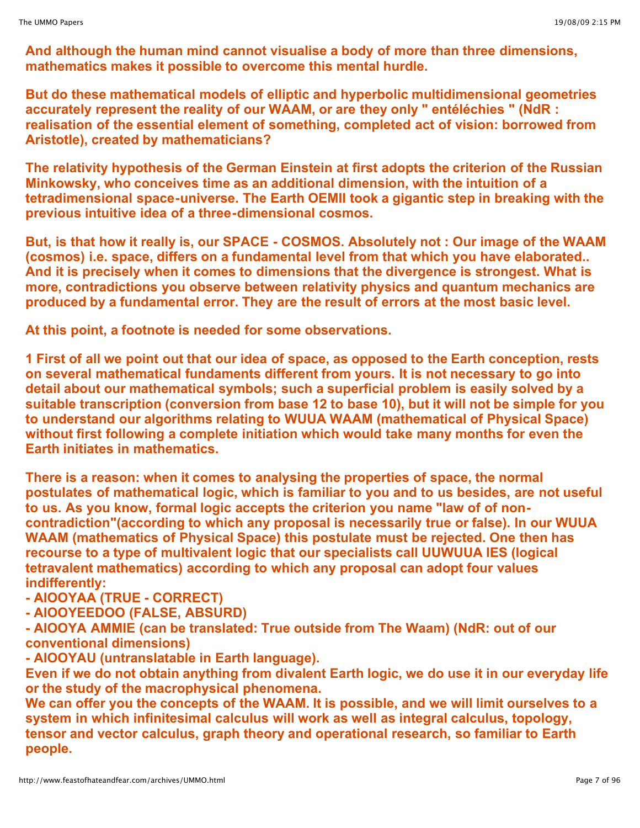**And although the human mind cannot visualise a body of more than three dimensions, mathematics makes it possible to overcome this mental hurdle.**

**But do these mathematical models of elliptic and hyperbolic multidimensional geometries accurately represent the reality of our WAAM, or are they only " entéléchies " (NdR : realisation of the essential element of something, completed act of vision: borrowed from Aristotle), created by mathematicians?**

**The relativity hypothesis of the German Einstein at first adopts the criterion of the Russian Minkowsky, who conceives time as an additional dimension, with the intuition of a tetradimensional space-universe. The Earth OEMII took a gigantic step in breaking with the previous intuitive idea of a three-dimensional cosmos.**

**But, is that how it really is, our SPACE - COSMOS. Absolutely not : Our image of the WAAM (cosmos) i.e. space, differs on a fundamental level from that which you have elaborated.. And it is precisely when it comes to dimensions that the divergence is strongest. What is more, contradictions you observe between relativity physics and quantum mechanics are produced by a fundamental error. They are the result of errors at the most basic level.**

**At this point, a footnote is needed for some observations.**

**1 First of all we point out that our idea of space, as opposed to the Earth conception, rests on several mathematical fundaments different from yours. It is not necessary to go into detail about our mathematical symbols; such a superficial problem is easily solved by a suitable transcription (conversion from base 12 to base 10), but it will not be simple for you to understand our algorithms relating to WUUA WAAM (mathematical of Physical Space) without first following a complete initiation which would take many months for even the Earth initiates in mathematics.**

**There is a reason: when it comes to analysing the properties of space, the normal postulates of mathematical logic, which is familiar to you and to us besides, are not useful to us. As you know, formal logic accepts the criterion you name "law of of noncontradiction"(according to which any proposal is necessarily true or false). In our WUUA WAAM (mathematics of Physical Space) this postulate must be rejected. One then has recourse to a type of multivalent logic that our specialists call UUWUUA IES (logical tetravalent mathematics) according to which any proposal can adopt four values indifferently:**

**- AIOOYAA (TRUE - CORRECT)**

**- AIOOYEEDOO (FALSE, ABSURD)**

**- AIOOYA AMMIE (can be translated: True outside from The Waam) (NdR: out of our conventional dimensions)**

**- AIOOYAU (untranslatable in Earth language).**

**Even if we do not obtain anything from divalent Earth logic, we do use it in our everyday life or the study of the macrophysical phenomena.**

**We can offer you the concepts of the WAAM. It is possible, and we will limit ourselves to a system in which infinitesimal calculus will work as well as integral calculus, topology, tensor and vector calculus, graph theory and operational research, so familiar to Earth people.**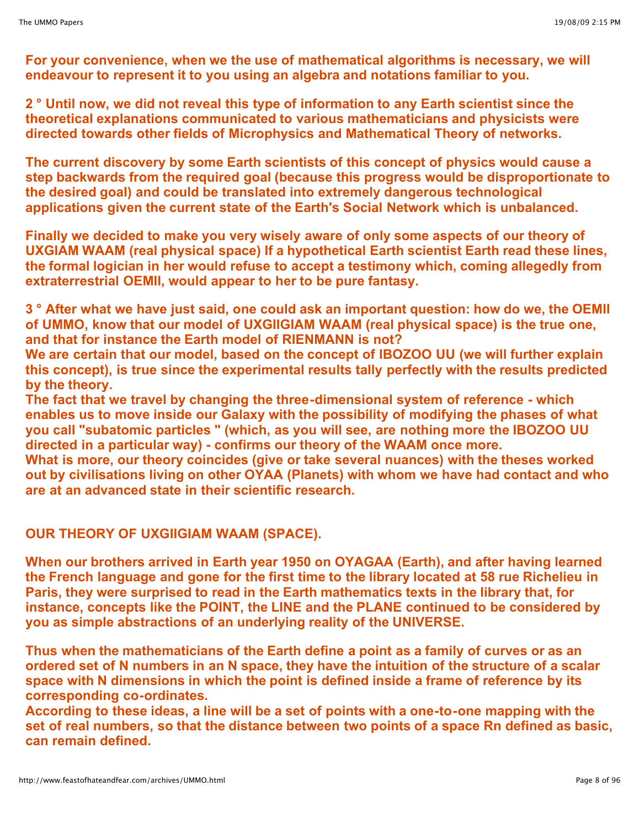**For your convenience, when we the use of mathematical algorithms is necessary, we will endeavour to represent it to you using an algebra and notations familiar to you.**

**2 ° Until now, we did not reveal this type of information to any Earth scientist since the theoretical explanations communicated to various mathematicians and physicists were directed towards other fields of Microphysics and Mathematical Theory of networks.**

**The current discovery by some Earth scientists of this concept of physics would cause a step backwards from the required goal (because this progress would be disproportionate to the desired goal) and could be translated into extremely dangerous technological applications given the current state of the Earth's Social Network which is unbalanced.**

**Finally we decided to make you very wisely aware of only some aspects of our theory of UXGIAM WAAM (real physical space) If a hypothetical Earth scientist Earth read these lines, the formal logician in her would refuse to accept a testimony which, coming allegedly from extraterrestrial OEMII, would appear to her to be pure fantasy.**

**3 ° After what we have just said, one could ask an important question: how do we, the OEMII of UMMO, know that our model of UXGIIGIAM WAAM (real physical space) is the true one, and that for instance the Earth model of RIENMANN is not?**

**We are certain that our model, based on the concept of IBOZOO UU (we will further explain this concept), is true since the experimental results tally perfectly with the results predicted by the theory.**

**The fact that we travel by changing the three-dimensional system of reference - which enables us to move inside our Galaxy with the possibility of modifying the phases of what you call "subatomic particles " (which, as you will see, are nothing more the IBOZOO UU directed in a particular way) - confirms our theory of the WAAM once more.**

**What is more, our theory coincides (give or take several nuances) with the theses worked out by civilisations living on other OYAA (Planets) with whom we have had contact and who are at an advanced state in their scientific research.**

# **OUR THEORY OF UXGIIGIAM WAAM (SPACE).**

**When our brothers arrived in Earth year 1950 on OYAGAA (Earth), and after having learned the French language and gone for the first time to the library located at 58 rue Richelieu in Paris, they were surprised to read in the Earth mathematics texts in the library that, for instance, concepts like the POINT, the LINE and the PLANE continued to be considered by you as simple abstractions of an underlying reality of the UNIVERSE.**

**Thus when the mathematicians of the Earth define a point as a family of curves or as an ordered set of N numbers in an N space, they have the intuition of the structure of a scalar space with N dimensions in which the point is defined inside a frame of reference by its corresponding co-ordinates.**

**According to these ideas, a line will be a set of points with a one-to-one mapping with the set of real numbers, so that the distance between two points of a space Rn defined as basic, can remain defined.**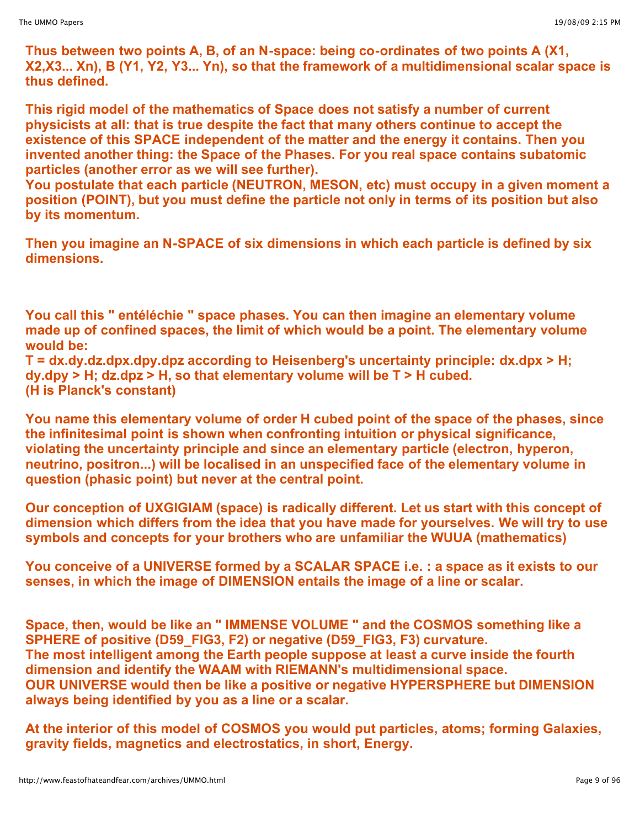**Thus between two points A, B, of an N-space: being co-ordinates of two points A (X1, X2,X3... Xn), B (Y1, Y2, Y3... Yn), so that the framework of a multidimensional scalar space is thus defined.**

**This rigid model of the mathematics of Space does not satisfy a number of current physicists at all: that is true despite the fact that many others continue to accept the existence of this SPACE independent of the matter and the energy it contains. Then you invented another thing: the Space of the Phases. For you real space contains subatomic particles (another error as we will see further).**

**You postulate that each particle (NEUTRON, MESON, etc) must occupy in a given moment a position (POINT), but you must define the particle not only in terms of its position but also by its momentum.**

**Then you imagine an N-SPACE of six dimensions in which each particle is defined by six dimensions.**

**You call this " entéléchie " space phases. You can then imagine an elementary volume made up of confined spaces, the limit of which would be a point. The elementary volume would be:** 

**T = dx.dy.dz.dpx.dpy.dpz according to Heisenberg's uncertainty principle: dx.dpx > H; dy.dpy > H; dz.dpz > H, so that elementary volume will be T > H cubed. (H is Planck's constant)**

**You name this elementary volume of order H cubed point of the space of the phases, since the infinitesimal point is shown when confronting intuition or physical significance, violating the uncertainty principle and since an elementary particle (electron, hyperon, neutrino, positron...) will be localised in an unspecified face of the elementary volume in question (phasic point) but never at the central point.**

**Our conception of UXGIGIAM (space) is radically different. Let us start with this concept of dimension which differs from the idea that you have made for yourselves. We will try to use symbols and concepts for your brothers who are unfamiliar the WUUA (mathematics)**

**You conceive of a UNIVERSE formed by a SCALAR SPACE i.e. : a space as it exists to our senses, in which the image of DIMENSION entails the image of a line or scalar.**

**Space, then, would be like an " IMMENSE VOLUME " and the COSMOS something like a SPHERE of positive (D59\_FIG3, F2) or negative (D59\_FIG3, F3) curvature. The most intelligent among the Earth people suppose at least a curve inside the fourth dimension and identify the WAAM with RIEMANN's multidimensional space. OUR UNIVERSE would then be like a positive or negative HYPERSPHERE but DIMENSION always being identified by you as a line or a scalar.**

**At the interior of this model of COSMOS you would put particles, atoms; forming Galaxies, gravity fields, magnetics and electrostatics, in short, Energy.**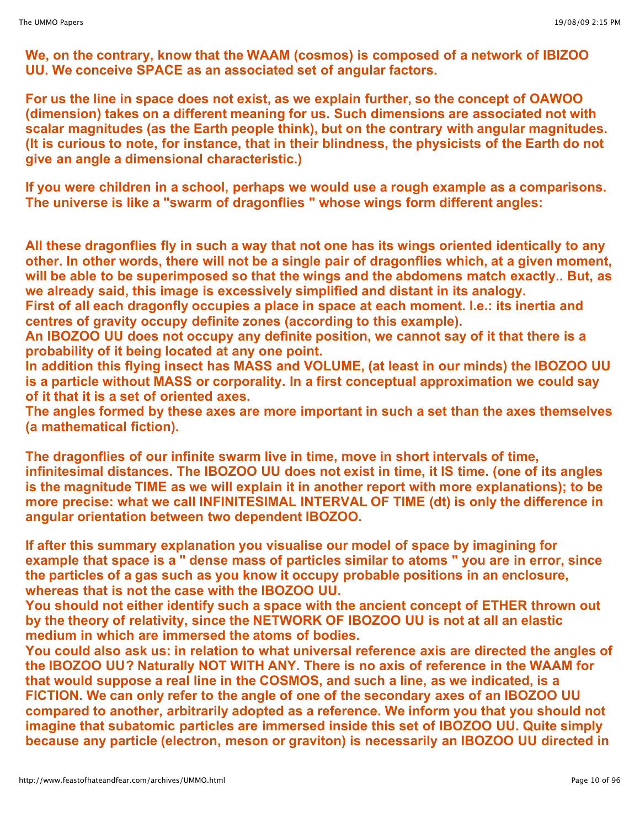**We, on the contrary, know that the WAAM (cosmos) is composed of a network of IBIZOO UU. We conceive SPACE as an associated set of angular factors.**

**For us the line in space does not exist, as we explain further, so the concept of OAWOO (dimension) takes on a different meaning for us. Such dimensions are associated not with scalar magnitudes (as the Earth people think), but on the contrary with angular magnitudes. (It is curious to note, for instance, that in their blindness, the physicists of the Earth do not give an angle a dimensional characteristic.)**

**If you were children in a school, perhaps we would use a rough example as a comparisons. The universe is like a "swarm of dragonflies " whose wings form different angles:**

**All these dragonflies fly in such a way that not one has its wings oriented identically to any other. In other words, there will not be a single pair of dragonflies which, at a given moment, will be able to be superimposed so that the wings and the abdomens match exactly.. But, as we already said, this image is excessively simplified and distant in its analogy.**

**First of all each dragonfly occupies a place in space at each moment. I.e.: its inertia and centres of gravity occupy definite zones (according to this example).**

**An IBOZOO UU does not occupy any definite position, we cannot say of it that there is a probability of it being located at any one point.**

**In addition this flying insect has MASS and VOLUME, (at least in our minds) the IBOZOO UU is a particle without MASS or corporality. In a first conceptual approximation we could say of it that it is a set of oriented axes.**

**The angles formed by these axes are more important in such a set than the axes themselves (a mathematical fiction).**

**The dragonflies of our infinite swarm live in time, move in short intervals of time, infinitesimal distances. The IBOZOO UU does not exist in time, it IS time. (one of its angles is the magnitude TIME as we will explain it in another report with more explanations); to be more precise: what we call INFINITESIMAL INTERVAL OF TIME (dt) is only the difference in angular orientation between two dependent IBOZOO.**

**If after this summary explanation you visualise our model of space by imagining for** example that space is a " dense mass of particles similar to atoms " you are in error, since **the particles of a gas such as you know it occupy probable positions in an enclosure, whereas that is not the case with the IBOZOO UU.**

**You should not either identify such a space with the ancient concept of ETHER thrown out by the theory of relativity, since the NETWORK OF IBOZOO UU is not at all an elastic medium in which are immersed the atoms of bodies.**

**You could also ask us: in relation to what universal reference axis are directed the angles of the IBOZOO UU? Naturally NOT WITH ANY. There is no axis of reference in the WAAM for that would suppose a real line in the COSMOS, and such a line, as we indicated, is a FICTION. We can only refer to the angle of one of the secondary axes of an IBOZOO UU compared to another, arbitrarily adopted as a reference. We inform you that you should not imagine that subatomic particles are immersed inside this set of IBOZOO UU. Quite simply because any particle (electron, meson or graviton) is necessarily an IBOZOO UU directed in**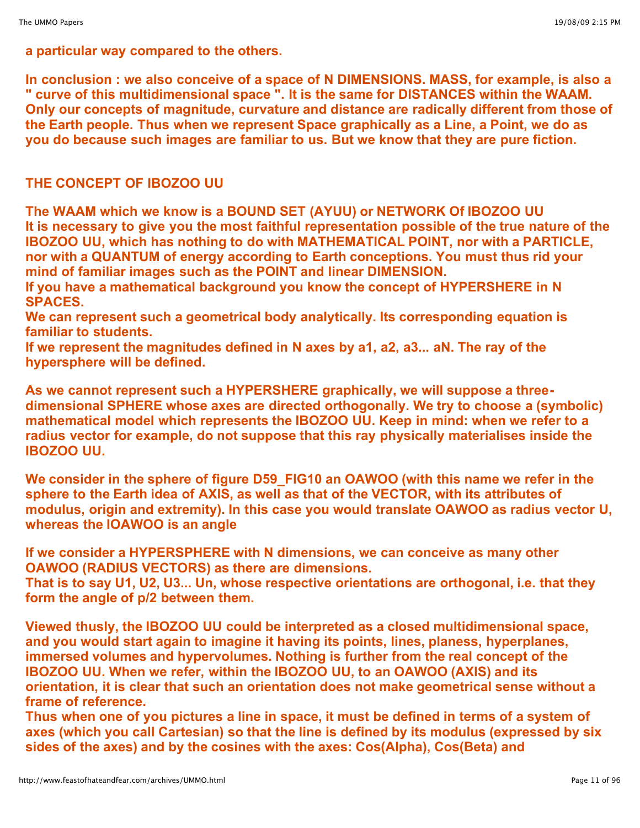**a particular way compared to the others.**

**In conclusion : we also conceive of a space of N DIMENSIONS. MASS, for example, is also a " curve of this multidimensional space ". It is the same for DISTANCES within the WAAM. Only our concepts of magnitude, curvature and distance are radically different from those of the Earth people. Thus when we represent Space graphically as a Line, a Point, we do as you do because such images are familiar to us. But we know that they are pure fiction.**

# **THE CONCEPT OF IBOZOO UU**

**The WAAM which we know is a BOUND SET (AYUU) or NETWORK Of IBOZOO UU It is necessary to give you the most faithful representation possible of the true nature of the IBOZOO UU, which has nothing to do with MATHEMATICAL POINT, nor with a PARTICLE, nor with a QUANTUM of energy according to Earth conceptions. You must thus rid your mind of familiar images such as the POINT and linear DIMENSION.**

**If you have a mathematical background you know the concept of HYPERSHERE in N SPACES.**

**We can represent such a geometrical body analytically. Its corresponding equation is familiar to students.**

**If we represent the magnitudes defined in N axes by a1, a2, a3... aN. The ray of the hypersphere will be defined.**

**As we cannot represent such a HYPERSHERE graphically, we will suppose a threedimensional SPHERE whose axes are directed orthogonally. We try to choose a (symbolic) mathematical model which represents the IBOZOO UU. Keep in mind: when we refer to a radius vector for example, do not suppose that this ray physically materialises inside the IBOZOO UU.**

**We consider in the sphere of figure D59\_FIG10 an OAWOO (with this name we refer in the sphere to the Earth idea of AXIS, as well as that of the VECTOR, with its attributes of modulus, origin and extremity). In this case you would translate OAWOO as radius vector U, whereas the IOAWOO is an angle**

**If we consider a HYPERSPHERE with N dimensions, we can conceive as many other OAWOO (RADIUS VECTORS) as there are dimensions. That is to say U1, U2, U3... Un, whose respective orientations are orthogonal, i.e. that they**

**form the angle of p/2 between them.**

**Viewed thusly, the IBOZOO UU could be interpreted as a closed multidimensional space, and you would start again to imagine it having its points, lines, planess, hyperplanes, immersed volumes and hypervolumes. Nothing is further from the real concept of the IBOZOO UU. When we refer, within the IBOZOO UU, to an OAWOO (AXIS) and its orientation, it is clear that such an orientation does not make geometrical sense without a frame of reference.**

Thus when one of you pictures a line in space, it must be defined in terms of a system of **axes (which you call Cartesian) so that the line is defined by its modulus (expressed by six sides of the axes) and by the cosines with the axes: Cos(Alpha), Cos(Beta) and**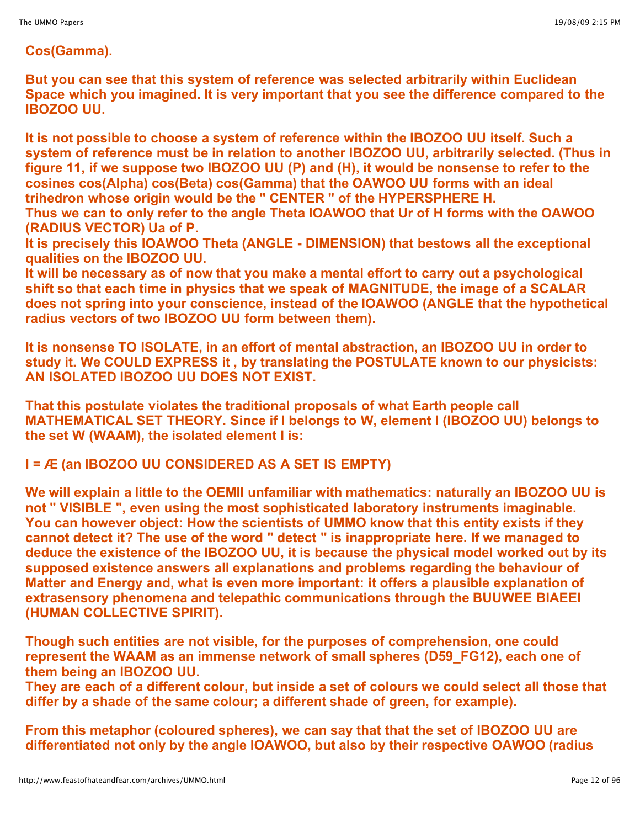## **Cos(Gamma).**

**But you can see that this system of reference was selected arbitrarily within Euclidean Space which you imagined. It is very important that you see the difference compared to the IBOZOO UU.**

**It is not possible to choose a system of reference within the IBOZOO UU itself. Such a system of reference must be in relation to another IBOZOO UU, arbitrarily selected. (Thus in figure 11, if we suppose two IBOZOO UU (P) and (H), it would be nonsense to refer to the cosines cos(Alpha) cos(Beta) cos(Gamma) that the OAWOO UU forms with an ideal trihedron whose origin would be the " CENTER " of the HYPERSPHERE H. Thus we can to only refer to the angle Theta IOAWOO that Ur of H forms with the OAWOO**

**(RADIUS VECTOR) Ua of P.**

**It is precisely this IOAWOO Theta (ANGLE - DIMENSION) that bestows all the exceptional qualities on the IBOZOO UU.**

**It will be necessary as of now that you make a mental effort to carry out a psychological shift so that each time in physics that we speak of MAGNITUDE, the image of a SCALAR does not spring into your conscience, instead of the IOAWOO (ANGLE that the hypothetical radius vectors of two IBOZOO UU form between them).**

**It is nonsense TO ISOLATE, in an effort of mental abstraction, an IBOZOO UU in order to study it. We COULD EXPRESS it , by translating the POSTULATE known to our physicists: AN ISOLATED IBOZOO UU DOES NOT EXIST.**

**That this postulate violates the traditional proposals of what Earth people call MATHEMATICAL SET THEORY. Since if I belongs to W, element I (IBOZOO UU) belongs to the set W (WAAM), the isolated element I is:**

**I = Æ (an IBOZOO UU CONSIDERED AS A SET IS EMPTY)**

**We will explain a little to the OEMII unfamiliar with mathematics: naturally an IBOZOO UU is not " VISIBLE ", even using the most sophisticated laboratory instruments imaginable. You can however object: How the scientists of UMMO know that this entity exists if they cannot detect it? The use of the word " detect " is inappropriate here. If we managed to deduce the existence of the IBOZOO UU, it is because the physical model worked out by its supposed existence answers all explanations and problems regarding the behaviour of Matter and Energy and, what is even more important: it offers a plausible explanation of extrasensory phenomena and telepathic communications through the BUUWEE BIAEEI (HUMAN COLLECTIVE SPIRIT).**

**Though such entities are not visible, for the purposes of comprehension, one could represent the WAAM as an immense network of small spheres (D59\_FG12), each one of them being an IBOZOO UU.**

**They are each of a different colour, but inside a set of colours we could select all those that differ by a shade of the same colour; a different shade of green, for example).**

**From this metaphor (coloured spheres), we can say that that the set of IBOZOO UU are differentiated not only by the angle IOAWOO, but also by their respective OAWOO (radius**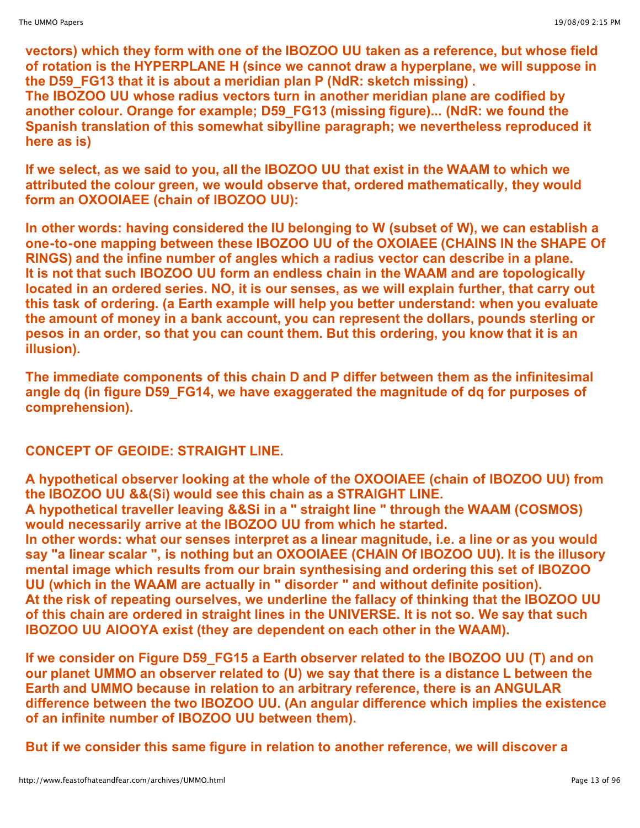**vectors) which they form with one of the IBOZOO UU taken as a reference, but whose field of rotation is the HYPERPLANE H (since we cannot draw a hyperplane, we will suppose in the D59\_FG13 that it is about a meridian plan P (NdR: sketch missing) .**

**The IBOZOO UU whose radius vectors turn in another meridian plane are codified by another colour. Orange for example; D59\_FG13 (missing figure)... (NdR: we found the Spanish translation of this somewhat sibylline paragraph; we nevertheless reproduced it here as is)**

**If we select, as we said to you, all the IBOZOO UU that exist in the WAAM to which we attributed the colour green, we would observe that, ordered mathematically, they would form an OXOOIAEE (chain of IBOZOO UU):**

**In other words: having considered the IU belonging to W (subset of W), we can establish a one-to-one mapping between these IBOZOO UU of the OXOIAEE (CHAINS IN the SHAPE Of RINGS) and the infine number of angles which a radius vector can describe in a plane. It is not that such IBOZOO UU form an endless chain in the WAAM and are topologically located in an ordered series. NO, it is our senses, as we will explain further, that carry out this task of ordering. (a Earth example will help you better understand: when you evaluate the amount of money in a bank account, you can represent the dollars, pounds sterling or pesos in an order, so that you can count them. But this ordering, you know that it is an illusion).**

**The immediate components of this chain D and P differ between them as the infinitesimal angle dq (in figure D59\_FG14, we have exaggerated the magnitude of dq for purposes of comprehension).**

# **CONCEPT OF GEOIDE: STRAIGHT LINE.**

**A hypothetical observer looking at the whole of the OXOOIAEE (chain of IBOZOO UU) from the IBOZOO UU &&(Si) would see this chain as a STRAIGHT LINE.**

**A hypothetical traveller leaving &&Si in a " straight line " through the WAAM (COSMOS) would necessarily arrive at the IBOZOO UU from which he started.**

**In other words: what our senses interpret as a linear magnitude, i.e. a line or as you would say "a linear scalar ", is nothing but an OXOOIAEE (CHAIN Of IBOZOO UU). It is the illusory mental image which results from our brain synthesising and ordering this set of IBOZOO UU (which in the WAAM are actually in " disorder " and without definite position). At the risk of repeating ourselves, we underline the fallacy of thinking that the IBOZOO UU of this chain are ordered in straight lines in the UNIVERSE. It is not so. We say that such IBOZOO UU AIOOYA exist (they are dependent on each other in the WAAM).**

**If we consider on Figure D59\_FG15 a Earth observer related to the IBOZOO UU (T) and on our planet UMMO an observer related to (U) we say that there is a distance L between the Earth and UMMO because in relation to an arbitrary reference, there is an ANGULAR difference between the two IBOZOO UU. (An angular difference which implies the existence of an infinite number of IBOZOO UU between them).**

**But if we consider this same figure in relation to another reference, we will discover a**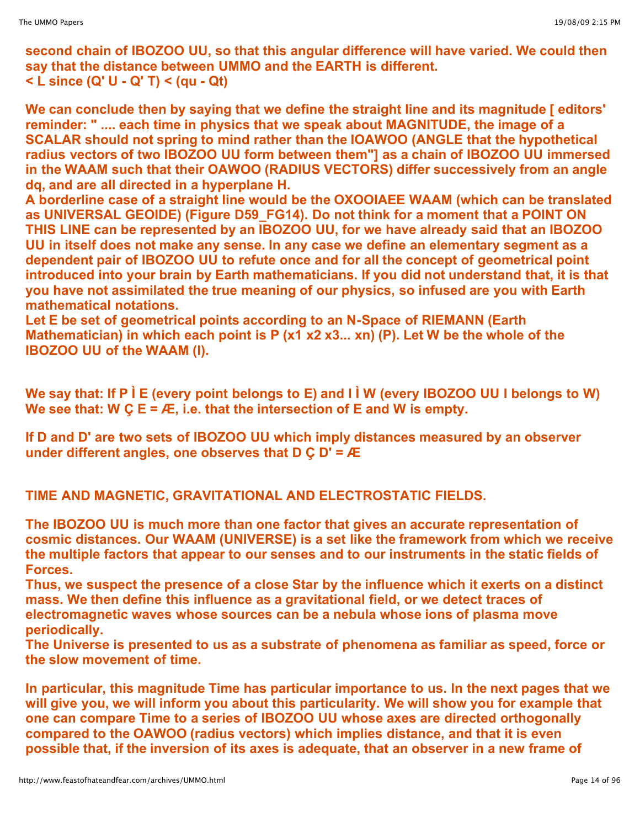**second chain of IBOZOO UU, so that this angular difference will have varied. We could then say that the distance between UMMO and the EARTH is different. < L since (Q' U - Q' T) < (qu - Qt)**

**We can conclude then by saying that we define the straight line and its magnitude [ editors' reminder: " .... each time in physics that we speak about MAGNITUDE, the image of a SCALAR should not spring to mind rather than the IOAWOO (ANGLE that the hypothetical radius vectors of two IBOZOO UU form between them"] as a chain of IBOZOO UU immersed in the WAAM such that their OAWOO (RADIUS VECTORS) differ successively from an angle dq, and are all directed in a hyperplane H.** 

**A borderline case of a straight line would be the OXOOIAEE WAAM (which can be translated as UNIVERSAL GEOIDE) (Figure D59\_FG14). Do not think for a moment that a POINT ON THIS LINE can be represented by an IBOZOO UU, for we have already said that an IBOZOO UU in itself does not make any sense. In any case we define an elementary segment as a dependent pair of IBOZOO UU to refute once and for all the concept of geometrical point introduced into your brain by Earth mathematicians. If you did not understand that, it is that you have not assimilated the true meaning of our physics, so infused are you with Earth mathematical notations.**

**Let E be set of geometrical points according to an N-Space of RIEMANN (Earth Mathematician) in which each point is P (x1 x2 x3... xn) (P). Let W be the whole of the IBOZOO UU of the WAAM (I).**

We say that: If P I E (every point belongs to E) and I I W (every IBOZOO UU I belongs to W) **We see that: W Ç E = Æ, i.e. that the intersection of E and W is empty.**

**If D and D' are two sets of IBOZOO UU which imply distances measured by an observer under different angles, one observes that D Ç D' = Æ**

**TIME AND MAGNETIC, GRAVITATIONAL AND ELECTROSTATIC FIELDS.**

**The IBOZOO UU is much more than one factor that gives an accurate representation of cosmic distances. Our WAAM (UNIVERSE) is a set like the framework from which we receive the multiple factors that appear to our senses and to our instruments in the static fields of Forces.**

**Thus, we suspect the presence of a close Star by the influence which it exerts on a distinct mass. We then define this influence as a gravitational field, or we detect traces of electromagnetic waves whose sources can be a nebula whose ions of plasma move periodically.**

**The Universe is presented to us as a substrate of phenomena as familiar as speed, force or the slow movement of time.**

**In particular, this magnitude Time has particular importance to us. In the next pages that we will give you, we will inform you about this particularity. We will show you for example that one can compare Time to a series of IBOZOO UU whose axes are directed orthogonally compared to the OAWOO (radius vectors) which implies distance, and that it is even possible that, if the inversion of its axes is adequate, that an observer in a new frame of**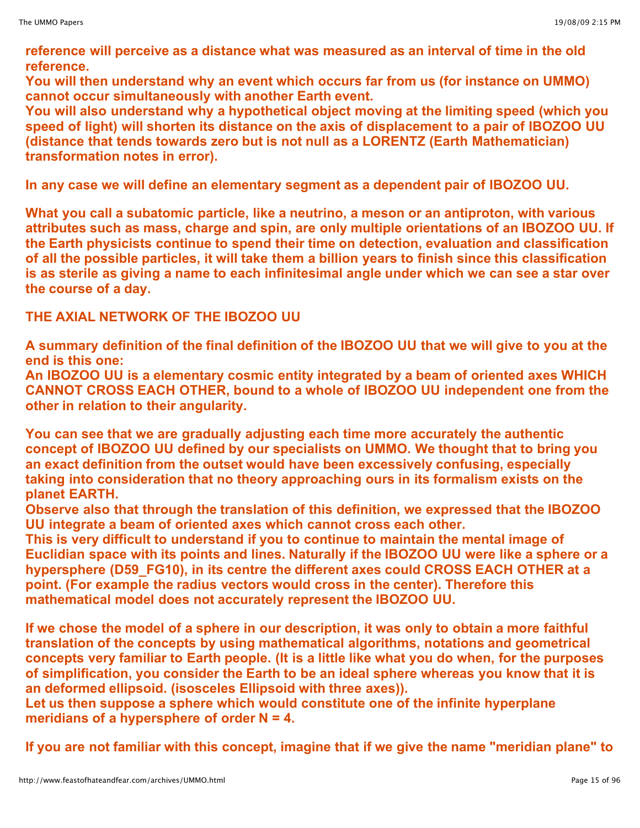**reference will perceive as a distance what was measured as an interval of time in the old reference.**

**You will then understand why an event which occurs far from us (for instance on UMMO) cannot occur simultaneously with another Earth event.**

**You will also understand why a hypothetical object moving at the limiting speed (which you speed of light) will shorten its distance on the axis of displacement to a pair of IBOZOO UU (distance that tends towards zero but is not null as a LORENTZ (Earth Mathematician) transformation notes in error).**

**In any case we will define an elementary segment as a dependent pair of IBOZOO UU.**

**What you call a subatomic particle, like a neutrino, a meson or an antiproton, with various attributes such as mass, charge and spin, are only multiple orientations of an IBOZOO UU. If the Earth physicists continue to spend their time on detection, evaluation and classification of all the possible particles, it will take them a billion years to finish since this classification** is as sterile as giving a name to each infinitesimal angle under which we can see a star over **the course of a day.**

# **THE AXIAL NETWORK OF THE IBOZOO UU**

**A summary definition of the final definition of the IBOZOO UU that we will give to you at the end is this one:**

**An IBOZOO UU is a elementary cosmic entity integrated by a beam of oriented axes WHICH CANNOT CROSS EACH OTHER, bound to a whole of IBOZOO UU independent one from the other in relation to their angularity.**

**You can see that we are gradually adjusting each time more accurately the authentic concept of IBOZOO UU defined by our specialists on UMMO. We thought that to bring you an exact definition from the outset would have been excessively confusing, especially taking into consideration that no theory approaching ours in its formalism exists on the planet EARTH.**

**Observe also that through the translation of this definition, we expressed that the IBOZOO UU integrate a beam of oriented axes which cannot cross each other.**

**This is very difficult to understand if you to continue to maintain the mental image of Euclidian space with its points and lines. Naturally if the IBOZOO UU were like a sphere or a hypersphere (D59\_FG10), in its centre the different axes could CROSS EACH OTHER at a point. (For example the radius vectors would cross in the center). Therefore this mathematical model does not accurately represent the IBOZOO UU.**

**If we chose the model of a sphere in our description, it was only to obtain a more faithful translation of the concepts by using mathematical algorithms, notations and geometrical concepts very familiar to Earth people. (It is a little like what you do when, for the purposes of simplification, you consider the Earth to be an ideal sphere whereas you know that it is an deformed ellipsoid. (isosceles Ellipsoid with three axes)).**

**Let us then suppose a sphere which would constitute one of the infinite hyperplane meridians of a hypersphere of order N = 4.**

**If you are not familiar with this concept, imagine that if we give the name "meridian plane" to**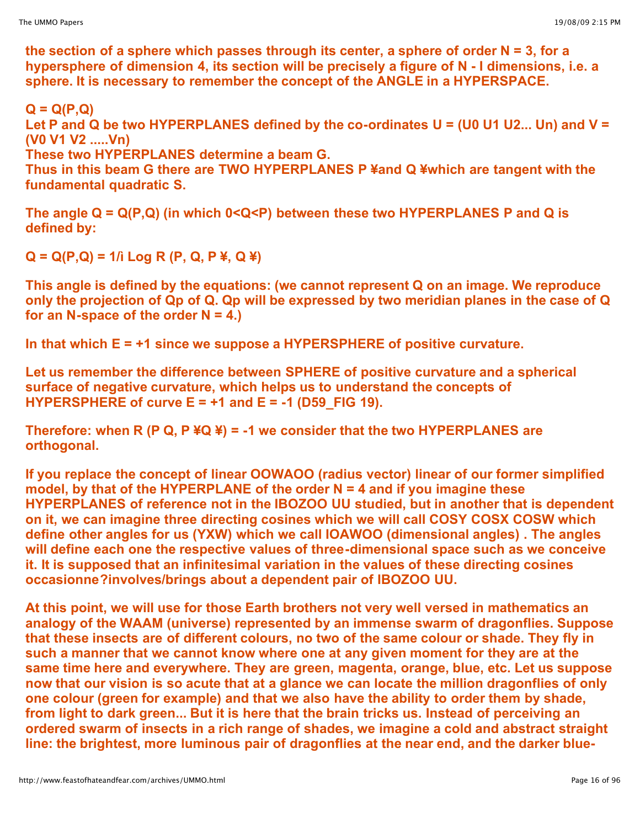**the section of a sphere which passes through its center, a sphere of order N = 3, for a hypersphere of dimension 4, its section will be precisely a figure of N - I dimensions, i.e. a sphere. It is necessary to remember the concept of the ANGLE in a HYPERSPACE.**

# **Q = Q(P,Q)**

**Let P and Q be two HYPERPLANES defined by the co-ordinates U = (U0 U1 U2... Un) and V = (V0 V1 V2 .....Vn)** 

**These two HYPERPLANES determine a beam G.**

**Thus in this beam G there are TWO HYPERPLANES P ¥and Q ¥which are tangent with the fundamental quadratic S.**

**The angle Q = Q(P,Q) (in which 0<Q<P) between these two HYPERPLANES P and Q is defined by:**

**Q = Q(P,Q) = 1/ì Log R (P, Q, P ¥, Q ¥)**

**This angle is defined by the equations: (we cannot represent Q on an image. We reproduce only the projection of Qp of Q. Qp will be expressed by two meridian planes in the case of Q for an N-space of the order N = 4.)**

**In that which E = +1 since we suppose a HYPERSPHERE of positive curvature.**

**Let us remember the difference between SPHERE of positive curvature and a spherical surface of negative curvature, which helps us to understand the concepts of HYPERSPHERE of curve E = +1 and E = -1 (D59\_FIG 19).**

**Therefore: when R (P Q, P ¥Q ¥) = -1 we consider that the two HYPERPLANES are orthogonal.**

**If you replace the concept of linear OOWAOO (radius vector) linear of our former simplified model, by that of the HYPERPLANE of the order N = 4 and if you imagine these HYPERPLANES of reference not in the IBOZOO UU studied, but in another that is dependent on it, we can imagine three directing cosines which we will call COSY COSX COSW which define other angles for us (YXW) which we call IOAWOO (dimensional angles) . The angles will define each one the respective values of three-dimensional space such as we conceive it. It is supposed that an infinitesimal variation in the values of these directing cosines occasionne?involves/brings about a dependent pair of IBOZOO UU.**

**At this point, we will use for those Earth brothers not very well versed in mathematics an analogy of the WAAM (universe) represented by an immense swarm of dragonflies. Suppose that these insects are of different colours, no two of the same colour or shade. They fly in such a manner that we cannot know where one at any given moment for they are at the same time here and everywhere. They are green, magenta, orange, blue, etc. Let us suppose now that our vision is so acute that at a glance we can locate the million dragonflies of only one colour (green for example) and that we also have the ability to order them by shade, from light to dark green... But it is here that the brain tricks us. Instead of perceiving an ordered swarm of insects in a rich range of shades, we imagine a cold and abstract straight line: the brightest, more luminous pair of dragonflies at the near end, and the darker blue-**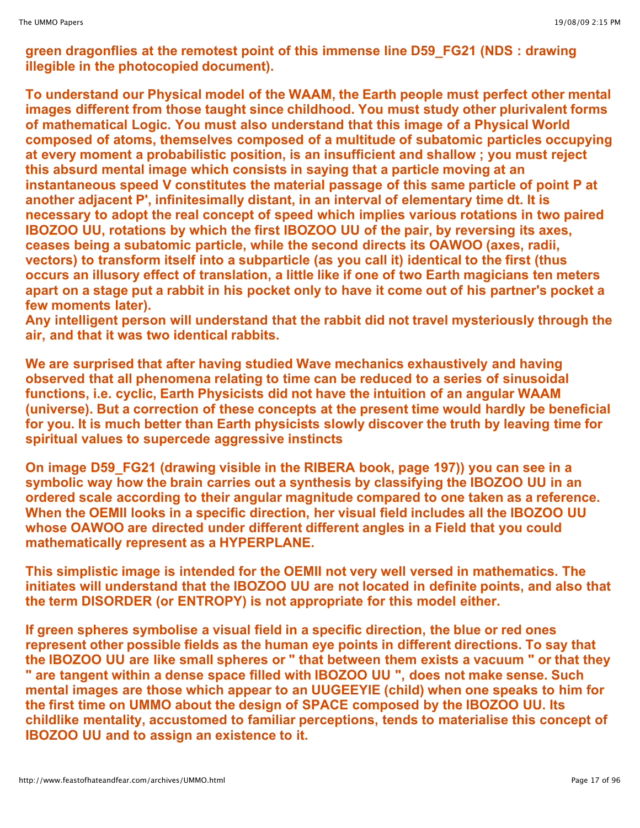**green dragonflies at the remotest point of this immense line D59\_FG21 (NDS : drawing illegible in the photocopied document).**

**To understand our Physical model of the WAAM, the Earth people must perfect other mental images different from those taught since childhood. You must study other plurivalent forms of mathematical Logic. You must also understand that this image of a Physical World composed of atoms, themselves composed of a multitude of subatomic particles occupying at every moment a probabilistic position, is an insufficient and shallow ; you must reject this absurd mental image which consists in saying that a particle moving at an instantaneous speed V constitutes the material passage of this same particle of point P at another adjacent P', infinitesimally distant, in an interval of elementary time dt. It is necessary to adopt the real concept of speed which implies various rotations in two paired IBOZOO UU, rotations by which the first IBOZOO UU of the pair, by reversing its axes, ceases being a subatomic particle, while the second directs its OAWOO (axes, radii, vectors) to transform itself into a subparticle (as you call it) identical to the first (thus occurs an illusory effect of translation, a little like if one of two Earth magicians ten meters** apart on a stage put a rabbit in his pocket only to have it come out of his partner's pocket a **few moments later).**

**Any intelligent person will understand that the rabbit did not travel mysteriously through the air, and that it was two identical rabbits.**

**We are surprised that after having studied Wave mechanics exhaustively and having observed that all phenomena relating to time can be reduced to a series of sinusoidal functions, i.e. cyclic, Earth Physicists did not have the intuition of an angular WAAM (universe). But a correction of these concepts at the present time would hardly be beneficial for you. It is much better than Earth physicists slowly discover the truth by leaving time for spiritual values to supercede aggressive instincts**

**On image D59\_FG21 (drawing visible in the RIBERA book, page 197)) you can see in a symbolic way how the brain carries out a synthesis by classifying the IBOZOO UU in an ordered scale according to their angular magnitude compared to one taken as a reference. When the OEMII looks in a specific direction, her visual field includes all the IBOZOO UU whose OAWOO are directed under different different angles in a Field that you could mathematically represent as a HYPERPLANE.**

**This simplistic image is intended for the OEMII not very well versed in mathematics. The initiates will understand that the IBOZOO UU are not located in definite points, and also that the term DISORDER (or ENTROPY) is not appropriate for this model either.**

**If green spheres symbolise a visual field in a specific direction, the blue or red ones represent other possible fields as the human eye points in different directions. To say that the IBOZOO UU are like small spheres or " that between them exists a vacuum " or that they " are tangent within a dense space filled with IBOZOO UU ", does not make sense. Such mental images are those which appear to an UUGEEYIE (child) when one speaks to him for the first time on UMMO about the design of SPACE composed by the IBOZOO UU. Its childlike mentality, accustomed to familiar perceptions, tends to materialise this concept of IBOZOO UU and to assign an existence to it.**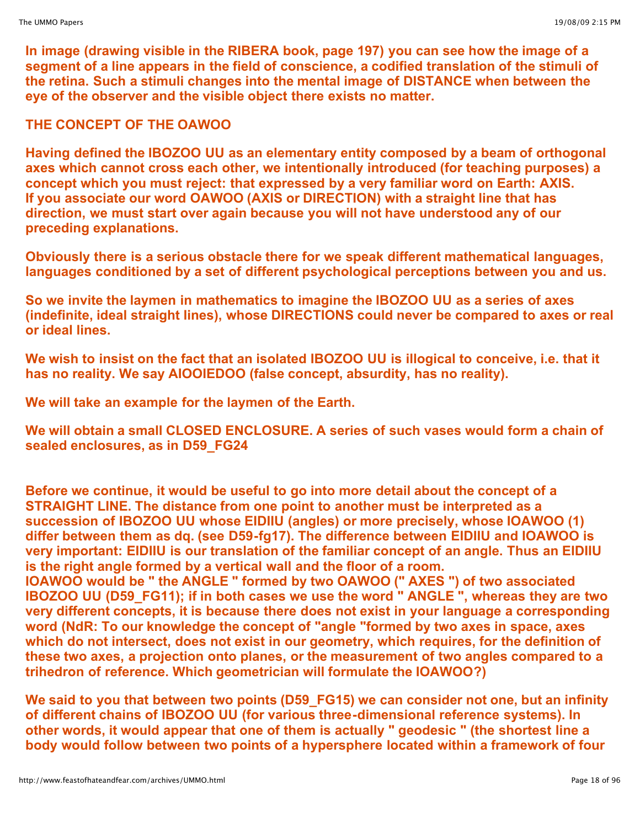**In image (drawing visible in the RIBERA book, page 197) you can see how the image of a segment of a line appears in the field of conscience, a codified translation of the stimuli of the retina. Such a stimuli changes into the mental image of DISTANCE when between the eye of the observer and the visible object there exists no matter.**

# **THE CONCEPT OF THE OAWOO**

**Having defined the IBOZOO UU as an elementary entity composed by a beam of orthogonal axes which cannot cross each other, we intentionally introduced (for teaching purposes) a concept which you must reject: that expressed by a very familiar word on Earth: AXIS. If you associate our word OAWOO (AXIS or DIRECTION) with a straight line that has direction, we must start over again because you will not have understood any of our preceding explanations.**

**Obviously there is a serious obstacle there for we speak different mathematical languages, languages conditioned by a set of different psychological perceptions between you and us.**

**So we invite the laymen in mathematics to imagine the IBOZOO UU as a series of axes (indefinite, ideal straight lines), whose DIRECTIONS could never be compared to axes or real or ideal lines.**

**We wish to insist on the fact that an isolated IBOZOO UU is illogical to conceive, i.e. that it has no reality. We say AIOOIEDOO (false concept, absurdity, has no reality).**

**We will take an example for the laymen of the Earth.**

**We will obtain a small CLOSED ENCLOSURE. A series of such vases would form a chain of sealed enclosures, as in D59\_FG24**

**Before we continue, it would be useful to go into more detail about the concept of a STRAIGHT LINE. The distance from one point to another must be interpreted as a succession of IBOZOO UU whose EIDIIU (angles) or more precisely, whose IOAWOO (1) differ between them as dq. (see D59-fg17). The difference between EIDIIU and IOAWOO is very important: EIDIIU is our translation of the familiar concept of an angle. Thus an EIDIIU is the right angle formed by a vertical wall and the floor of a room.**

**IOAWOO would be " the ANGLE " formed by two OAWOO (" AXES ") of two associated IBOZOO UU (D59\_FG11); if in both cases we use the word " ANGLE ", whereas they are two very different concepts, it is because there does not exist in your language a corresponding word (NdR: To our knowledge the concept of "angle "formed by two axes in space, axes which do not intersect, does not exist in our geometry, which requires, for the definition of these two axes, a projection onto planes, or the measurement of two angles compared to a trihedron of reference. Which geometrician will formulate the IOAWOO?)**

**We said to you that between two points (D59\_FG15) we can consider not one, but an infinity of different chains of IBOZOO UU (for various three-dimensional reference systems). In other words, it would appear that one of them is actually " geodesic " (the shortest line a body would follow between two points of a hypersphere located within a framework of four**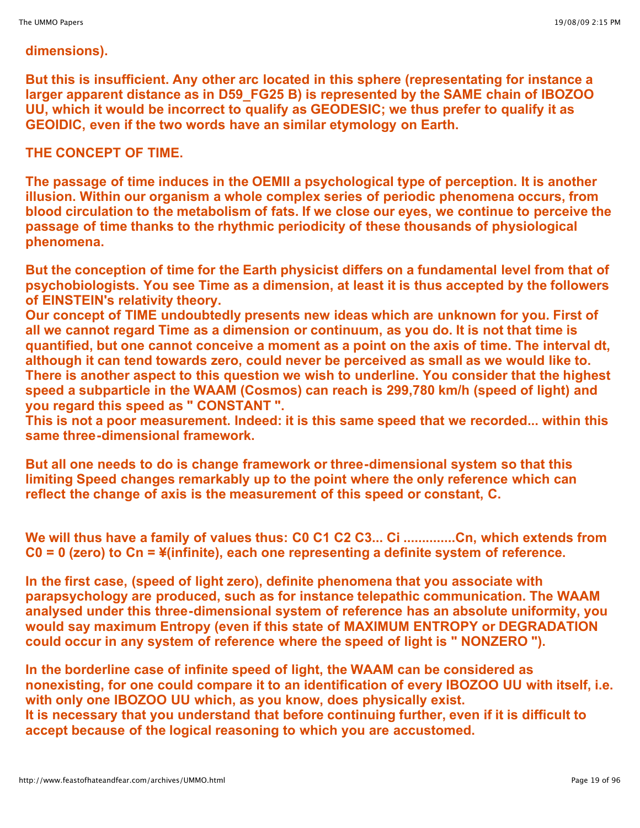#### **dimensions).**

**But this is insufficient. Any other arc located in this sphere (representating for instance a larger apparent distance as in D59\_FG25 B) is represented by the SAME chain of IBOZOO UU, which it would be incorrect to qualify as GEODESIC; we thus prefer to qualify it as GEOIDIC, even if the two words have an similar etymology on Earth.**

# **THE CONCEPT OF TIME.**

**The passage of time induces in the OEMII a psychological type of perception. It is another illusion. Within our organism a whole complex series of periodic phenomena occurs, from blood circulation to the metabolism of fats. If we close our eyes, we continue to perceive the passage of time thanks to the rhythmic periodicity of these thousands of physiological phenomena.**

**But the conception of time for the Earth physicist differs on a fundamental level from that of psychobiologists. You see Time as a dimension, at least it is thus accepted by the followers of EINSTEIN's relativity theory.**

**Our concept of TIME undoubtedly presents new ideas which are unknown for you. First of all we cannot regard Time as a dimension or continuum, as you do. It is not that time is quantified, but one cannot conceive a moment as a point on the axis of time. The interval dt, although it can tend towards zero, could never be perceived as small as we would like to. There is another aspect to this question we wish to underline. You consider that the highest speed a subparticle in the WAAM (Cosmos) can reach is 299,780 km/h (speed of light) and you regard this speed as " CONSTANT ".**

**This is not a poor measurement. Indeed: it is this same speed that we recorded... within this same three-dimensional framework.**

**But all one needs to do is change framework or three-dimensional system so that this limiting Speed changes remarkably up to the point where the only reference which can reflect the change of axis is the measurement of this speed or constant, C.**

**We will thus have a family of values thus: C0 C1 C2 C3... Ci ..............Cn, which extends from C0 = 0 (zero) to Cn = ¥(infinite), each one representing a definite system of reference.**

**In the first case, (speed of light zero), definite phenomena that you associate with parapsychology are produced, such as for instance telepathic communication. The WAAM analysed under this three-dimensional system of reference has an absolute uniformity, you would say maximum Entropy (even if this state of MAXIMUM ENTROPY or DEGRADATION could occur in any system of reference where the speed of light is " NONZERO ").**

**In the borderline case of infinite speed of light, the WAAM can be considered as nonexisting, for one could compare it to an identification of every IBOZOO UU with itself, i.e. with only one IBOZOO UU which, as you know, does physically exist. It is necessary that you understand that before continuing further, even if it is difficult to accept because of the logical reasoning to which you are accustomed.**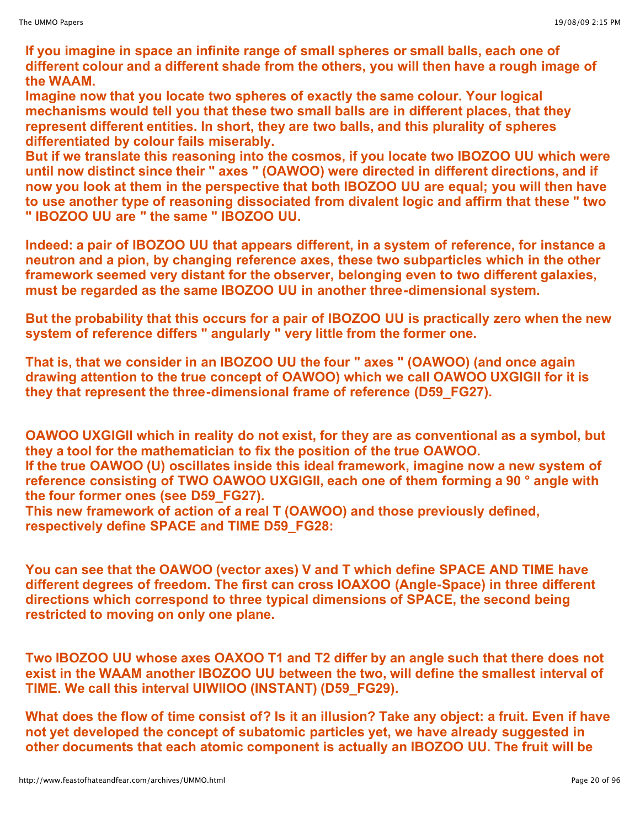**If you imagine in space an infinite range of small spheres or small balls, each one of different colour and a different shade from the others, you will then have a rough image of the WAAM.**

**Imagine now that you locate two spheres of exactly the same colour. Your logical mechanisms would tell you that these two small balls are in different places, that they represent different entities. In short, they are two balls, and this plurality of spheres differentiated by colour fails miserably.**

**But if we translate this reasoning into the cosmos, if you locate two IBOZOO UU which were until now distinct since their " axes " (OAWOO) were directed in different directions, and if now you look at them in the perspective that both IBOZOO UU are equal; you will then have to use another type of reasoning dissociated from divalent logic and affirm that these " two " IBOZOO UU are " the same " IBOZOO UU.**

**Indeed: a pair of IBOZOO UU that appears different, in a system of reference, for instance a neutron and a pion, by changing reference axes, these two subparticles which in the other framework seemed very distant for the observer, belonging even to two different galaxies, must be regarded as the same IBOZOO UU in another three-dimensional system.**

**But the probability that this occurs for a pair of IBOZOO UU is practically zero when the new system of reference differs " angularly " very little from the former one.**

**That is, that we consider in an IBOZOO UU the four " axes " (OAWOO) (and once again drawing attention to the true concept of OAWOO) which we call OAWOO UXGIGII for it is they that represent the three-dimensional frame of reference (D59\_FG27).**

**OAWOO UXGIGII which in reality do not exist, for they are as conventional as a symbol, but they a tool for the mathematician to fix the position of the true OAWOO.**

**If the true OAWOO (U) oscillates inside this ideal framework, imagine now a new system of reference consisting of TWO OAWOO UXGIGII, each one of them forming a 90 ° angle with the four former ones (see D59\_FG27).**

**This new framework of action of a real T (OAWOO) and those previously defined, respectively define SPACE and TIME D59\_FG28:**

**You can see that the OAWOO (vector axes) V and T which define SPACE AND TIME have different degrees of freedom. The first can cross IOAXOO (Angle-Space) in three different directions which correspond to three typical dimensions of SPACE, the second being restricted to moving on only one plane.**

**Two IBOZOO UU whose axes OAXOO T1 and T2 differ by an angle such that there does not exist in the WAAM another IBOZOO UU between the two, will define the smallest interval of TIME. We call this interval UIWIIOO (INSTANT) (D59\_FG29).**

**What does the flow of time consist of? Is it an illusion? Take any object: a fruit. Even if have not yet developed the concept of subatomic particles yet, we have already suggested in other documents that each atomic component is actually an IBOZOO UU. The fruit will be**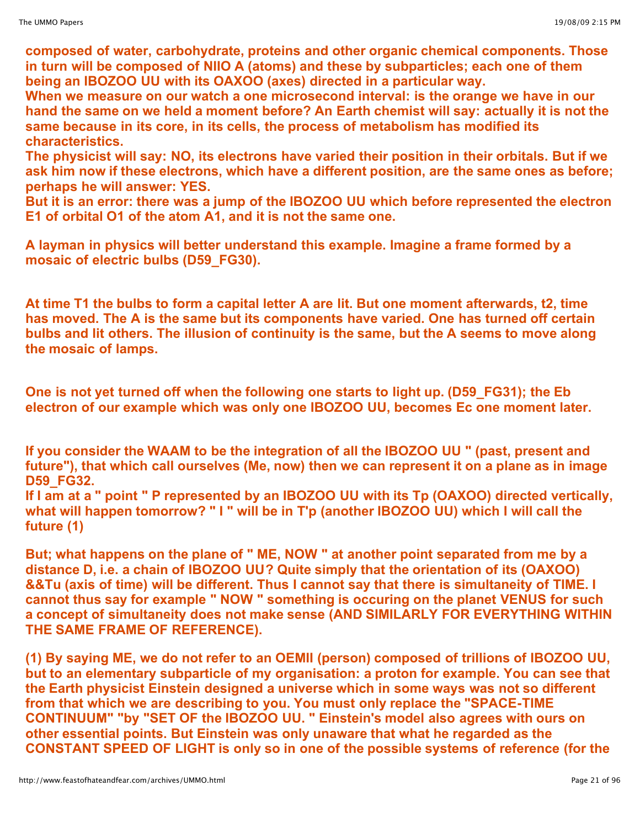**composed of water, carbohydrate, proteins and other organic chemical components. Those in turn will be composed of NIIO A (atoms) and these by subparticles; each one of them being an IBOZOO UU with its OAXOO (axes) directed in a particular way.**

**When we measure on our watch a one microsecond interval: is the orange we have in our hand the same on we held a moment before? An Earth chemist will say: actually it is not the same because in its core, in its cells, the process of metabolism has modified its characteristics.**

**The physicist will say: NO, its electrons have varied their position in their orbitals. But if we ask him now if these electrons, which have a different position, are the same ones as before; perhaps he will answer: YES.**

**But it is an error: there was a jump of the IBOZOO UU which before represented the electron E1 of orbital O1 of the atom A1, and it is not the same one.**

**A layman in physics will better understand this example. Imagine a frame formed by a mosaic of electric bulbs (D59\_FG30).**

**At time T1 the bulbs to form a capital letter A are lit. But one moment afterwards, t2, time has moved. The A is the same but its components have varied. One has turned off certain bulbs and lit others. The illusion of continuity is the same, but the A seems to move along the mosaic of lamps.**

**One is not yet turned off when the following one starts to light up. (D59\_FG31); the Eb electron of our example which was only one IBOZOO UU, becomes Ec one moment later.**

**If you consider the WAAM to be the integration of all the IBOZOO UU " (past, present and future"), that which call ourselves (Me, now) then we can represent it on a plane as in image D59\_FG32.**

If I am at a " point " P represented by an IBOZOO UU with its Tp (OAXOO) directed vertically, **what will happen tomorrow? " I " will be in T'p (another IBOZOO UU) which I will call the future (1)**

**But; what happens on the plane of " ME, NOW " at another point separated from me by a distance D, i.e. a chain of IBOZOO UU? Quite simply that the orientation of its (OAXOO) &&Tu (axis of time) will be different. Thus I cannot say that there is simultaneity of TIME. I cannot thus say for example " NOW " something is occuring on the planet VENUS for such a concept of simultaneity does not make sense (AND SIMILARLY FOR EVERYTHING WITHIN THE SAME FRAME OF REFERENCE).**

**(1) By saying ME, we do not refer to an OEMII (person) composed of trillions of IBOZOO UU, but to an elementary subparticle of my organisation: a proton for example. You can see that the Earth physicist Einstein designed a universe which in some ways was not so different from that which we are describing to you. You must only replace the "SPACE-TIME CONTINUUM" "by "SET OF the IBOZOO UU. " Einstein's model also agrees with ours on other essential points. But Einstein was only unaware that what he regarded as the CONSTANT SPEED OF LIGHT is only so in one of the possible systems of reference (for the**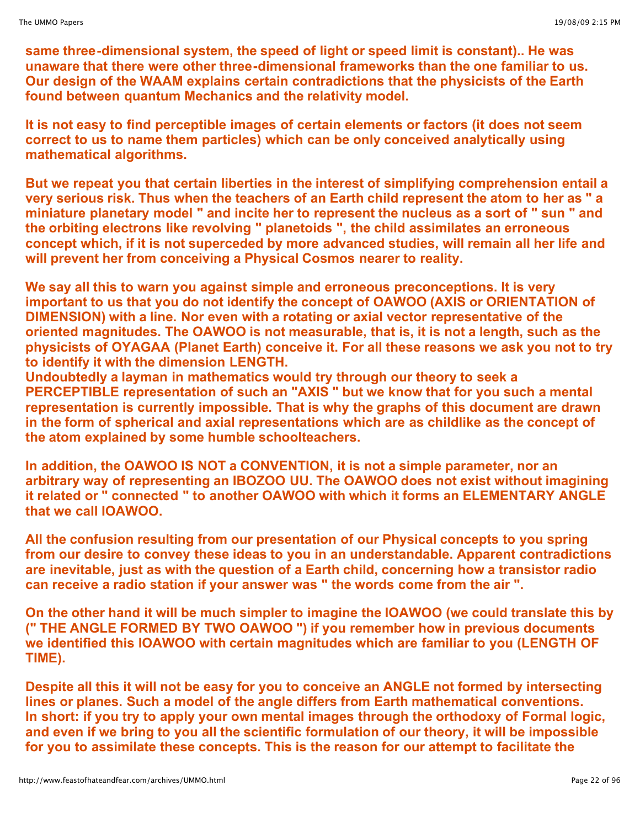**same three-dimensional system, the speed of light or speed limit is constant).. He was unaware that there were other three-dimensional frameworks than the one familiar to us. Our design of the WAAM explains certain contradictions that the physicists of the Earth found between quantum Mechanics and the relativity model.**

**It is not easy to find perceptible images of certain elements or factors (it does not seem correct to us to name them particles) which can be only conceived analytically using mathematical algorithms.**

**But we repeat you that certain liberties in the interest of simplifying comprehension entail a very serious risk. Thus when the teachers of an Earth child represent the atom to her as " a miniature planetary model " and incite her to represent the nucleus as a sort of " sun " and the orbiting electrons like revolving " planetoids ", the child assimilates an erroneous concept which, if it is not superceded by more advanced studies, will remain all her life and will prevent her from conceiving a Physical Cosmos nearer to reality.**

**We say all this to warn you against simple and erroneous preconceptions. It is very important to us that you do not identify the concept of OAWOO (AXIS or ORIENTATION of DIMENSION) with a line. Nor even with a rotating or axial vector representative of the oriented magnitudes. The OAWOO is not measurable, that is, it is not a length, such as the physicists of OYAGAA (Planet Earth) conceive it. For all these reasons we ask you not to try to identify it with the dimension LENGTH.**

**Undoubtedly a layman in mathematics would try through our theory to seek a PERCEPTIBLE representation of such an "AXIS " but we know that for you such a mental representation is currently impossible. That is why the graphs of this document are drawn in the form of spherical and axial representations which are as childlike as the concept of the atom explained by some humble schoolteachers.**

**In addition, the OAWOO IS NOT a CONVENTION, it is not a simple parameter, nor an arbitrary way of representing an IBOZOO UU. The OAWOO does not exist without imagining it related or " connected " to another OAWOO with which it forms an ELEMENTARY ANGLE that we call IOAWOO.**

**All the confusion resulting from our presentation of our Physical concepts to you spring from our desire to convey these ideas to you in an understandable. Apparent contradictions are inevitable, just as with the question of a Earth child, concerning how a transistor radio can receive a radio station if your answer was " the words come from the air ".**

**On the other hand it will be much simpler to imagine the IOAWOO (we could translate this by (" THE ANGLE FORMED BY TWO OAWOO ") if you remember how in previous documents we identified this IOAWOO with certain magnitudes which are familiar to you (LENGTH OF TIME).**

**Despite all this it will not be easy for you to conceive an ANGLE not formed by intersecting lines or planes. Such a model of the angle differs from Earth mathematical conventions. In short: if you try to apply your own mental images through the orthodoxy of Formal logic, and even if we bring to you all the scientific formulation of our theory, it will be impossible for you to assimilate these concepts. This is the reason for our attempt to facilitate the**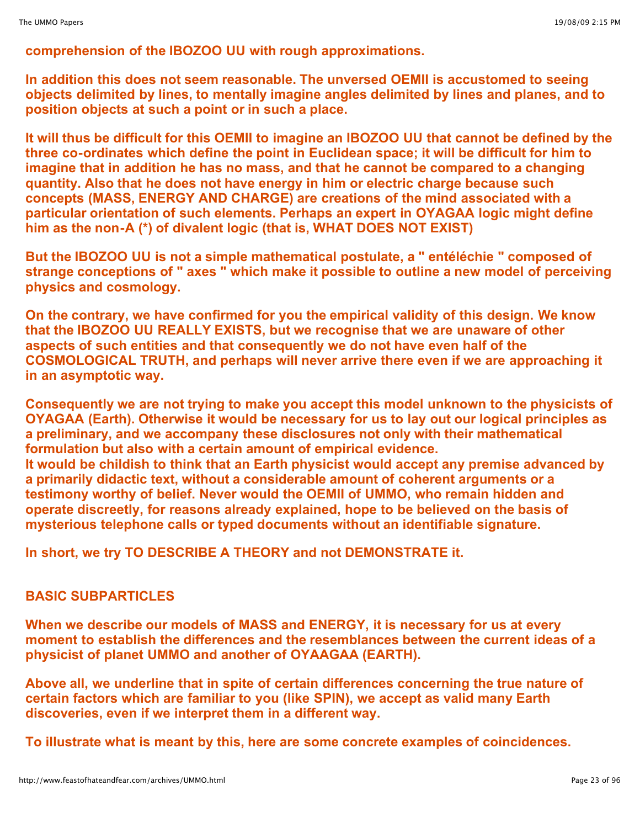**comprehension of the IBOZOO UU with rough approximations.**

**In addition this does not seem reasonable. The unversed OEMII is accustomed to seeing objects delimited by lines, to mentally imagine angles delimited by lines and planes, and to position objects at such a point or in such a place.**

It will thus be difficult for this OEMII to imagine an IBOZOO UU that cannot be defined by the **three co-ordinates which define the point in Euclidean space; it will be difficult for him to imagine that in addition he has no mass, and that he cannot be compared to a changing quantity. Also that he does not have energy in him or electric charge because such concepts (MASS, ENERGY AND CHARGE) are creations of the mind associated with a particular orientation of such elements. Perhaps an expert in OYAGAA logic might define him as the non-A (\*) of divalent logic (that is, WHAT DOES NOT EXIST)**

**But the IBOZOO UU is not a simple mathematical postulate, a " entéléchie " composed of strange conceptions of " axes " which make it possible to outline a new model of perceiving physics and cosmology.**

**On the contrary, we have confirmed for you the empirical validity of this design. We know that the IBOZOO UU REALLY EXISTS, but we recognise that we are unaware of other aspects of such entities and that consequently we do not have even half of the COSMOLOGICAL TRUTH, and perhaps will never arrive there even if we are approaching it in an asymptotic way.**

**Consequently we are not trying to make you accept this model unknown to the physicists of OYAGAA (Earth). Otherwise it would be necessary for us to lay out our logical principles as a preliminary, and we accompany these disclosures not only with their mathematical formulation but also with a certain amount of empirical evidence.**

**It would be childish to think that an Earth physicist would accept any premise advanced by a primarily didactic text, without a considerable amount of coherent arguments or a testimony worthy of belief. Never would the OEMII of UMMO, who remain hidden and operate discreetly, for reasons already explained, hope to be believed on the basis of mysterious telephone calls or typed documents without an identifiable signature.**

**In short, we try TO DESCRIBE A THEORY and not DEMONSTRATE it.**

# **BASIC SUBPARTICLES**

**When we describe our models of MASS and ENERGY, it is necessary for us at every moment to establish the differences and the resemblances between the current ideas of a physicist of planet UMMO and another of OYAAGAA (EARTH).**

**Above all, we underline that in spite of certain differences concerning the true nature of certain factors which are familiar to you (like SPIN), we accept as valid many Earth discoveries, even if we interpret them in a different way.**

**To illustrate what is meant by this, here are some concrete examples of coincidences.**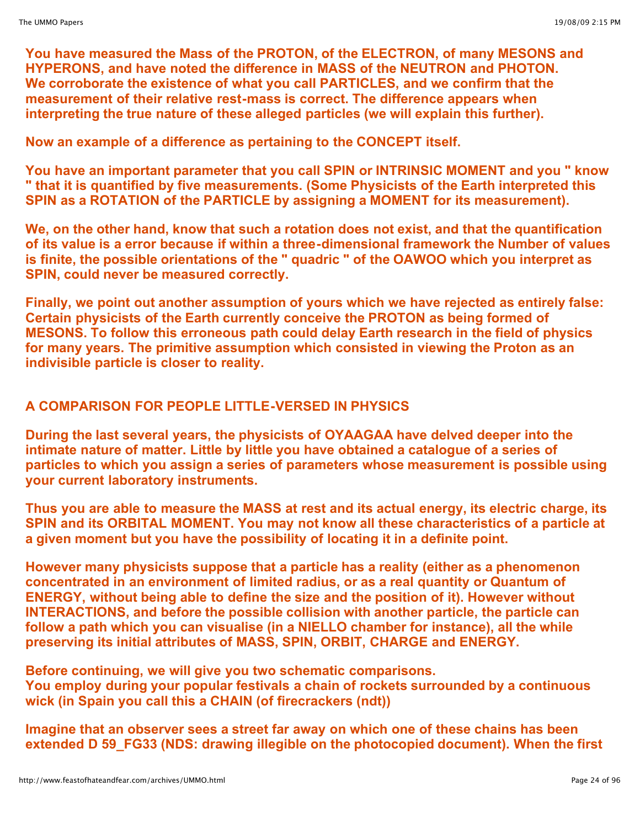**You have measured the Mass of the PROTON, of the ELECTRON, of many MESONS and HYPERONS, and have noted the difference in MASS of the NEUTRON and PHOTON. We corroborate the existence of what you call PARTICLES, and we confirm that the measurement of their relative rest-mass is correct. The difference appears when interpreting the true nature of these alleged particles (we will explain this further).**

**Now an example of a difference as pertaining to the CONCEPT itself.**

**You have an important parameter that you call SPIN or INTRINSIC MOMENT and you " know " that it is quantified by five measurements. (Some Physicists of the Earth interpreted this SPIN as a ROTATION of the PARTICLE by assigning a MOMENT for its measurement).**

**We, on the other hand, know that such a rotation does not exist, and that the quantification of its value is a error because if within a three-dimensional framework the Number of values is finite, the possible orientations of the " quadric " of the OAWOO which you interpret as SPIN, could never be measured correctly.**

**Finally, we point out another assumption of yours which we have rejected as entirely false: Certain physicists of the Earth currently conceive the PROTON as being formed of MESONS. To follow this erroneous path could delay Earth research in the field of physics for many years. The primitive assumption which consisted in viewing the Proton as an indivisible particle is closer to reality.**

# **A COMPARISON FOR PEOPLE LITTLE-VERSED IN PHYSICS**

**During the last several years, the physicists of OYAAGAA have delved deeper into the intimate nature of matter. Little by little you have obtained a catalogue of a series of particles to which you assign a series of parameters whose measurement is possible using your current laboratory instruments.**

**Thus you are able to measure the MASS at rest and its actual energy, its electric charge, its SPIN and its ORBITAL MOMENT. You may not know all these characteristics of a particle at a given moment but you have the possibility of locating it in a definite point.**

**However many physicists suppose that a particle has a reality (either as a phenomenon concentrated in an environment of limited radius, or as a real quantity or Quantum of ENERGY, without being able to define the size and the position of it). However without INTERACTIONS, and before the possible collision with another particle, the particle can follow a path which you can visualise (in a NIELLO chamber for instance), all the while preserving its initial attributes of MASS, SPIN, ORBIT, CHARGE and ENERGY.**

**Before continuing, we will give you two schematic comparisons. You employ during your popular festivals a chain of rockets surrounded by a continuous wick (in Spain you call this a CHAIN (of firecrackers (ndt))**

**Imagine that an observer sees a street far away on which one of these chains has been extended D 59\_FG33 (NDS: drawing illegible on the photocopied document). When the first**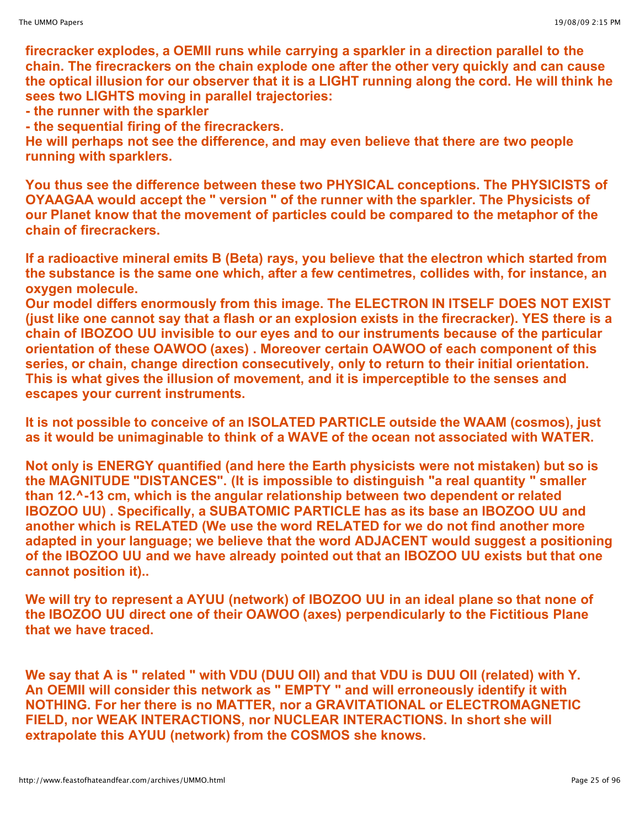**firecracker explodes, a OEMII runs while carrying a sparkler in a direction parallel to the chain. The firecrackers on the chain explode one after the other very quickly and can cause the optical illusion for our observer that it is a LIGHT running along the cord. He will think he sees two LIGHTS moving in parallel trajectories:**

**- the runner with the sparkler**

**- the sequential firing of the firecrackers.**

**He will perhaps not see the difference, and may even believe that there are two people running with sparklers.**

**You thus see the difference between these two PHYSICAL conceptions. The PHYSICISTS of OYAAGAA would accept the " version " of the runner with the sparkler. The Physicists of our Planet know that the movement of particles could be compared to the metaphor of the chain of firecrackers.**

**If a radioactive mineral emits B (Beta) rays, you believe that the electron which started from the substance is the same one which, after a few centimetres, collides with, for instance, an oxygen molecule.**

**Our model differs enormously from this image. The ELECTRON IN ITSELF DOES NOT EXIST (just like one cannot say that a flash or an explosion exists in the firecracker). YES there is a chain of IBOZOO UU invisible to our eyes and to our instruments because of the particular orientation of these OAWOO (axes) . Moreover certain OAWOO of each component of this series, or chain, change direction consecutively, only to return to their initial orientation. This is what gives the illusion of movement, and it is imperceptible to the senses and escapes your current instruments.**

**It is not possible to conceive of an ISOLATED PARTICLE outside the WAAM (cosmos), just as it would be unimaginable to think of a WAVE of the ocean not associated with WATER.**

**Not only is ENERGY quantified (and here the Earth physicists were not mistaken) but so is the MAGNITUDE "DISTANCES". (It is impossible to distinguish "a real quantity " smaller than 12.^-13 cm, which is the angular relationship between two dependent or related IBOZOO UU) . Specifically, a SUBATOMIC PARTICLE has as its base an IBOZOO UU and another which is RELATED (We use the word RELATED for we do not find another more adapted in your language; we believe that the word ADJACENT would suggest a positioning of the IBOZOO UU and we have already pointed out that an IBOZOO UU exists but that one cannot position it)..**

**We will try to represent a AYUU (network) of IBOZOO UU in an ideal plane so that none of the IBOZOO UU direct one of their OAWOO (axes) perpendicularly to the Fictitious Plane that we have traced.**

**We say that A is " related " with VDU (DUU OII) and that VDU is DUU OII (related) with Y. An OEMII will consider this network as " EMPTY " and will erroneously identify it with NOTHING. For her there is no MATTER, nor a GRAVITATIONAL or ELECTROMAGNETIC FIELD, nor WEAK INTERACTIONS, nor NUCLEAR INTERACTIONS. In short she will extrapolate this AYUU (network) from the COSMOS she knows.**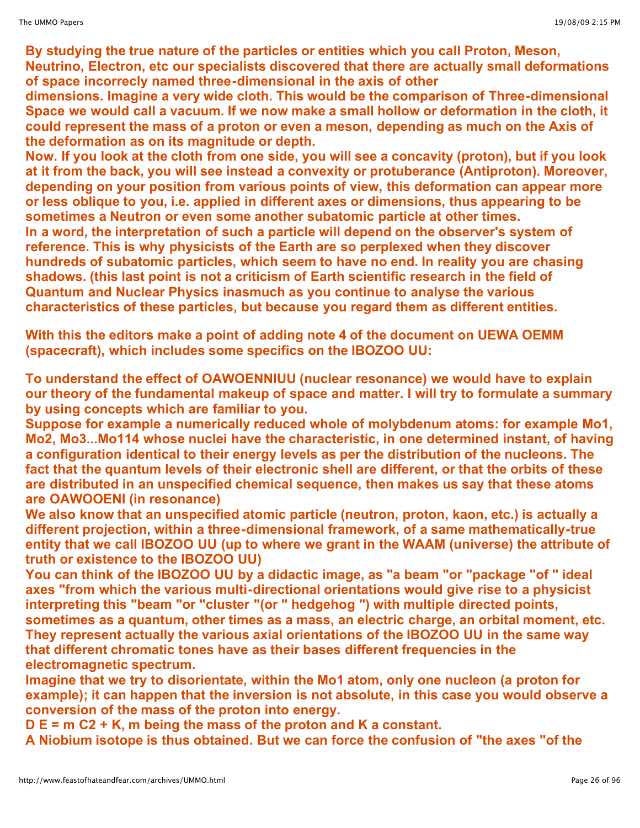**By studying the true nature of the particles or entities which you call Proton, Meson, Neutrino, Electron, etc our specialists discovered that there are actually small deformations of space incorrecly named three-dimensional in the axis of other** 

**dimensions. Imagine a very wide cloth. This would be the comparison of Three-dimensional Space we would call a vacuum. If we now make a small hollow or deformation in the cloth, it could represent the mass of a proton or even a meson, depending as much on the Axis of the deformation as on its magnitude or depth.** 

Now. If you look at the cloth from one side, you will see a concavity (proton), but if you look **at it from the back, you will see instead a convexity or protuberance (Antiproton). Moreover, depending on your position from various points of view, this deformation can appear more or less oblique to you, i.e. applied in different axes or dimensions, thus appearing to be sometimes a Neutron or even some another subatomic particle at other times. In a word, the interpretation of such a particle will depend on the observer's system of reference. This is why physicists of the Earth are so perplexed when they discover hundreds of subatomic particles, which seem to have no end. In reality you are chasing shadows. (this last point is not a criticism of Earth scientific research in the field of Quantum and Nuclear Physics inasmuch as you continue to analyse the various characteristics of these particles, but because you regard them as different entities.**

**With this the editors make a point of adding note 4 of the document on UEWA OEMM (spacecraft), which includes some specifics on the IBOZOO UU:**

**To understand the effect of OAWOENNIUU (nuclear resonance) we would have to explain our theory of the fundamental makeup of space and matter. I will try to formulate a summary by using concepts which are familiar to you.**

**Suppose for example a numerically reduced whole of molybdenum atoms: for example Mo1, Mo2, Mo3...Mo114 whose nuclei have the characteristic, in one determined instant, of having a configuration identical to their energy levels as per the distribution of the nucleons. The fact that the quantum levels of their electronic shell are different, or that the orbits of these are distributed in an unspecified chemical sequence, then makes us say that these atoms are OAWOOENI (in resonance)**

**We also know that an unspecified atomic particle (neutron, proton, kaon, etc.) is actually a different projection, within a three-dimensional framework, of a same mathematically-true entity that we call IBOZOO UU (up to where we grant in the WAAM (universe) the attribute of truth or existence to the IBOZOO UU)**

**You can think of the IBOZOO UU by a didactic image, as "a beam "or "package "of " ideal axes "from which the various multi-directional orientations would give rise to a physicist interpreting this "beam "or "cluster "(or " hedgehog ") with multiple directed points, sometimes as a quantum, other times as a mass, an electric charge, an orbital moment, etc. They represent actually the various axial orientations of the IBOZOO UU in the same way that different chromatic tones have as their bases different frequencies in the electromagnetic spectrum.**

**Imagine that we try to disorientate, within the Mo1 atom, only one nucleon (a proton for example); it can happen that the inversion is not absolute, in this case you would observe a conversion of the mass of the proton into energy.**

**D E = m C2 + K, m being the mass of the proton and K a constant.**

**A Niobium isotope is thus obtained. But we can force the confusion of "the axes "of the**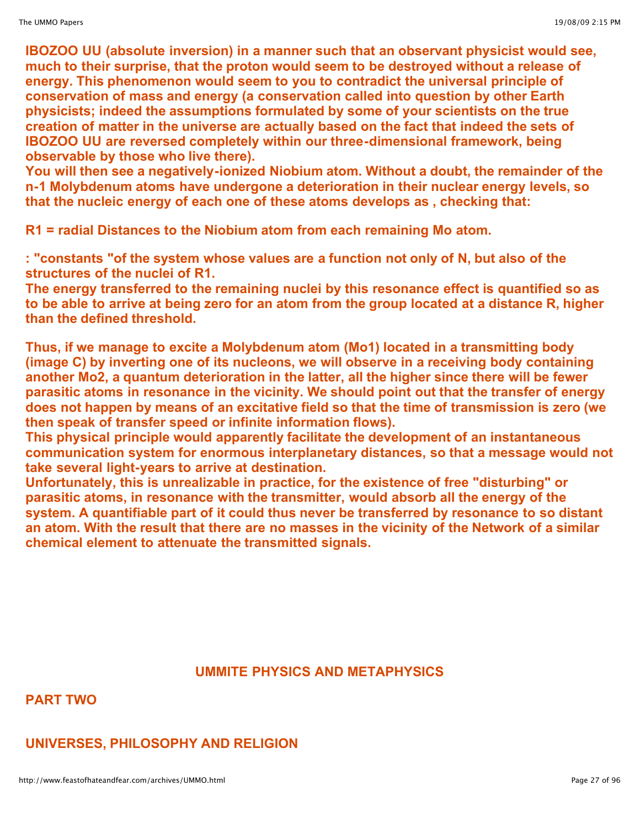**IBOZOO UU (absolute inversion) in a manner such that an observant physicist would see, much to their surprise, that the proton would seem to be destroyed without a release of energy. This phenomenon would seem to you to contradict the universal principle of conservation of mass and energy (a conservation called into question by other Earth physicists; indeed the assumptions formulated by some of your scientists on the true creation of matter in the universe are actually based on the fact that indeed the sets of IBOZOO UU are reversed completely within our three-dimensional framework, being observable by those who live there).**

**You will then see a negatively-ionized Niobium atom. Without a doubt, the remainder of the n-1 Molybdenum atoms have undergone a deterioration in their nuclear energy levels, so that the nucleic energy of each one of these atoms develops as , checking that:**

**R1 = radial Distances to the Niobium atom from each remaining Mo atom.**

**: "constants "of the system whose values are a function not only of N, but also of the structures of the nuclei of R1.**

**The energy transferred to the remaining nuclei by this resonance effect is quantified so as to be able to arrive at being zero for an atom from the group located at a distance R, higher than the defined threshold.**

**Thus, if we manage to excite a Molybdenum atom (Mo1) located in a transmitting body (image C) by inverting one of its nucleons, we will observe in a receiving body containing another Mo2, a quantum deterioration in the latter, all the higher since there will be fewer parasitic atoms in resonance in the vicinity. We should point out that the transfer of energy does not happen by means of an excitative field so that the time of transmission is zero (we then speak of transfer speed or infinite information flows).**

**This physical principle would apparently facilitate the development of an instantaneous communication system for enormous interplanetary distances, so that a message would not take several light-years to arrive at destination.**

**Unfortunately, this is unrealizable in practice, for the existence of free "disturbing" or parasitic atoms, in resonance with the transmitter, would absorb all the energy of the system. A quantifiable part of it could thus never be transferred by resonance to so distant an atom. With the result that there are no masses in the vicinity of the Network of a similar chemical element to attenuate the transmitted signals.**

# **UMMITE PHYSICS AND METAPHYSICS**

**PART TWO**

# **UNIVERSES, PHILOSOPHY AND RELIGION**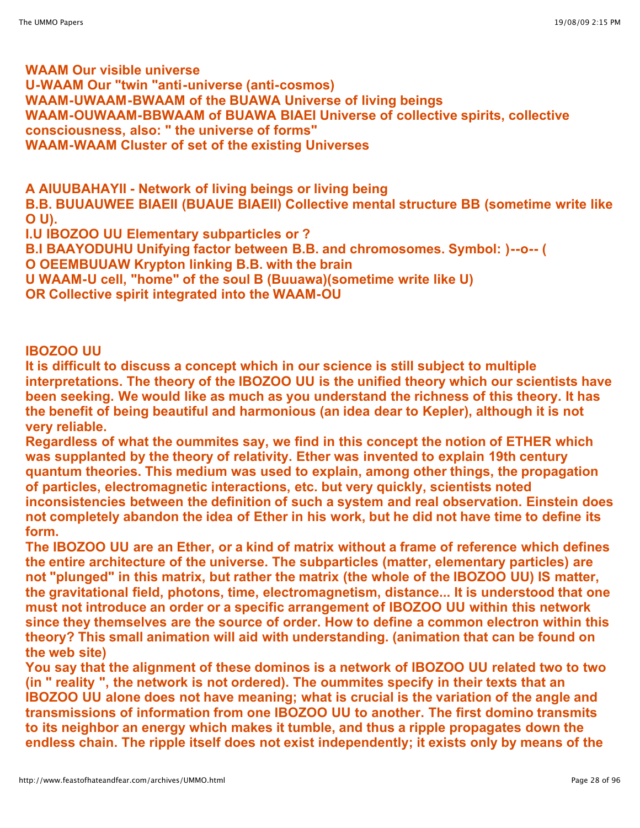**WAAM Our visible universe U-WAAM Our "twin "anti-universe (anti-cosmos) WAAM-UWAAM-BWAAM of the BUAWA Universe of living beings WAAM-OUWAAM-BBWAAM of BUAWA BIAEI Universe of collective spirits, collective consciousness, also: " the universe of forms" WAAM-WAAM Cluster of set of the existing Universes**

**A AIUUBAHAYII - Network of living beings or living being B.B. BUUAUWEE BIAEII (BUAUE BIAEII) Collective mental structure BB (sometime write like O U).**

**I.U IBOZOO UU Elementary subparticles or ?**

**B.I BAAYODUHU Unifying factor between B.B. and chromosomes. Symbol: )--o-- (**

**O OEEMBUUAW Krypton linking B.B. with the brain**

**U WAAM-U cell, "home" of the soul B (Buuawa)(sometime write like U)**

**OR Collective spirit integrated into the WAAM-OU**

#### **IBOZOO UU**

**It is difficult to discuss a concept which in our science is still subject to multiple interpretations. The theory of the IBOZOO UU is the unified theory which our scientists have been seeking. We would like as much as you understand the richness of this theory. It has the benefit of being beautiful and harmonious (an idea dear to Kepler), although it is not very reliable.**

**Regardless of what the oummites say, we find in this concept the notion of ETHER which was supplanted by the theory of relativity. Ether was invented to explain 19th century quantum theories. This medium was used to explain, among other things, the propagation of particles, electromagnetic interactions, etc. but very quickly, scientists noted inconsistencies between the definition of such a system and real observation. Einstein does not completely abandon the idea of Ether in his work, but he did not have time to define its form.** 

**The IBOZOO UU are an Ether, or a kind of matrix without a frame of reference which defines the entire architecture of the universe. The subparticles (matter, elementary particles) are not "plunged" in this matrix, but rather the matrix (the whole of the IBOZOO UU) IS matter, the gravitational field, photons, time, electromagnetism, distance... It is understood that one must not introduce an order or a specific arrangement of IBOZOO UU within this network since they themselves are the source of order. How to define a common electron within this theory? This small animation will aid with understanding. (animation that can be found on the web site)**

**You say that the alignment of these dominos is a network of IBOZOO UU related two to two (in " reality ", the network is not ordered). The oummites specify in their texts that an IBOZOO UU alone does not have meaning; what is crucial is the variation of the angle and transmissions of information from one IBOZOO UU to another. The first domino transmits to its neighbor an energy which makes it tumble, and thus a ripple propagates down the endless chain. The ripple itself does not exist independently; it exists only by means of the**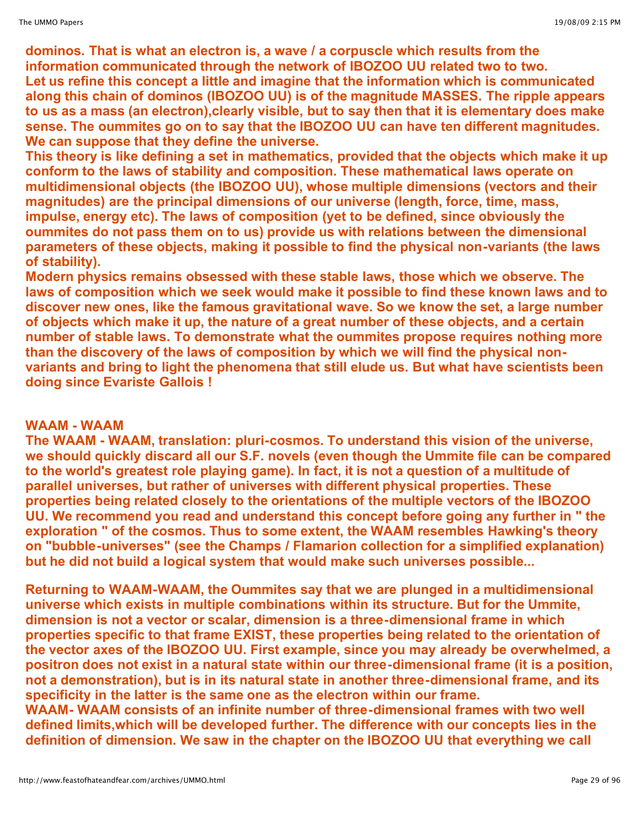**dominos. That is what an electron is, a wave / a corpuscle which results from the information communicated through the network of IBOZOO UU related two to two. Let us refine this concept a little and imagine that the information which is communicated along this chain of dominos (IBOZOO UU) is of the magnitude MASSES. The ripple appears to us as a mass (an electron),clearly visible, but to say then that it is elementary does make sense. The oummites go on to say that the IBOZOO UU can have ten different magnitudes. We can suppose that they define the universe.**

**This theory is like defining a set in mathematics, provided that the objects which make it up conform to the laws of stability and composition. These mathematical laws operate on multidimensional objects (the IBOZOO UU), whose multiple dimensions (vectors and their magnitudes) are the principal dimensions of our universe (length, force, time, mass, impulse, energy etc). The laws of composition (yet to be defined, since obviously the oummites do not pass them on to us) provide us with relations between the dimensional parameters of these objects, making it possible to find the physical non-variants (the laws of stability).**

**Modern physics remains obsessed with these stable laws, those which we observe. The laws of composition which we seek would make it possible to find these known laws and to discover new ones, like the famous gravitational wave. So we know the set, a large number of objects which make it up, the nature of a great number of these objects, and a certain number of stable laws. To demonstrate what the oummites propose requires nothing more than the discovery of the laws of composition by which we will find the physical nonvariants and bring to light the phenomena that still elude us. But what have scientists been doing since Evariste Gallois !**

### **WAAM - WAAM**

**The WAAM - WAAM, translation: pluri-cosmos. To understand this vision of the universe, we should quickly discard all our S.F. novels (even though the Ummite file can be compared to the world's greatest role playing game). In fact, it is not a question of a multitude of parallel universes, but rather of universes with different physical properties. These properties being related closely to the orientations of the multiple vectors of the IBOZOO UU. We recommend you read and understand this concept before going any further in " the exploration " of the cosmos. Thus to some extent, the WAAM resembles Hawking's theory on "bubble-universes" (see the Champs / Flamarion collection for a simplified explanation) but he did not build a logical system that would make such universes possible...**

**Returning to WAAM-WAAM, the Oummites say that we are plunged in a multidimensional universe which exists in multiple combinations within its structure. But for the Ummite, dimension is not a vector or scalar, dimension is a three-dimensional frame in which properties specific to that frame EXIST, these properties being related to the orientation of the vector axes of the IBOZOO UU. First example, since you may already be overwhelmed, a positron does not exist in a natural state within our three-dimensional frame (it is a position, not a demonstration), but is in its natural state in another three-dimensional frame, and its specificity in the latter is the same one as the electron within our frame.**

**WAAM- WAAM consists of an infinite number of three-dimensional frames with two well defined limits,which will be developed further. The difference with our concepts lies in the definition of dimension. We saw in the chapter on the IBOZOO UU that everything we call**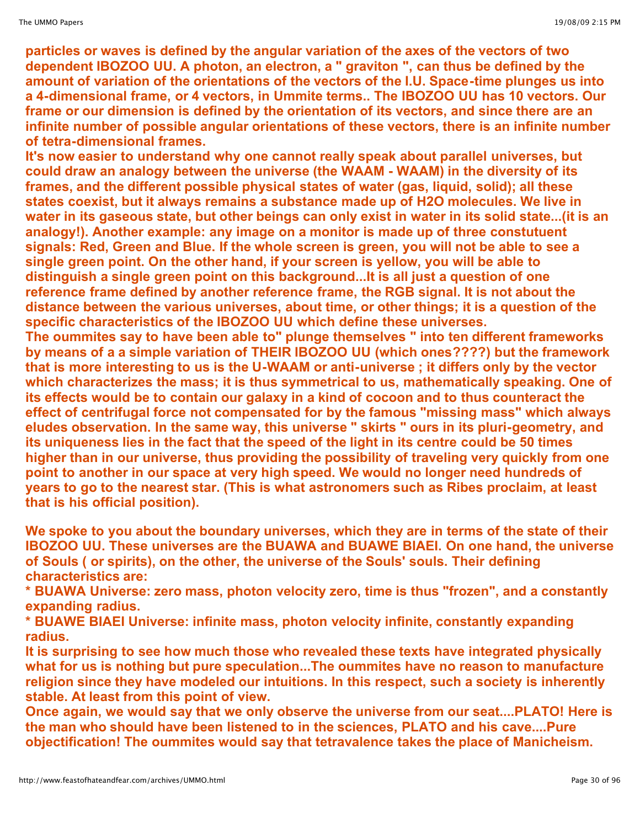**particles or waves is defined by the angular variation of the axes of the vectors of two dependent IBOZOO UU. A photon, an electron, a " graviton ", can thus be defined by the amount of variation of the orientations of the vectors of the I.U. Space-time plunges us into a 4-dimensional frame, or 4 vectors, in Ummite terms.. The IBOZOO UU has 10 vectors. Our frame or our dimension is defined by the orientation of its vectors, and since there are an infinite number of possible angular orientations of these vectors, there is an infinite number of tetra-dimensional frames.**

**It's now easier to understand why one cannot really speak about parallel universes, but could draw an analogy between the universe (the WAAM - WAAM) in the diversity of its frames, and the different possible physical states of water (gas, liquid, solid); all these states coexist, but it always remains a substance made up of H2O molecules. We live in** water in its gaseous state, but other beings can only exist in water in its solid state... (it is an **analogy!). Another example: any image on a monitor is made up of three constutuent signals: Red, Green and Blue. If the whole screen is green, you will not be able to see a single green point. On the other hand, if your screen is yellow, you will be able to distinguish a single green point on this background...It is all just a question of one reference frame defined by another reference frame, the RGB signal. It is not about the distance between the various universes, about time, or other things; it is a question of the specific characteristics of the IBOZOO UU which define these universes.**

**The oummites say to have been able to" plunge themselves " into ten different frameworks by means of a a simple variation of THEIR IBOZOO UU (which ones????) but the framework that is more interesting to us is the U-WAAM or anti-universe ; it differs only by the vector which characterizes the mass; it is thus symmetrical to us, mathematically speaking. One of its effects would be to contain our galaxy in a kind of cocoon and to thus counteract the effect of centrifugal force not compensated for by the famous "missing mass" which always eludes observation. In the same way, this universe " skirts " ours in its pluri-geometry, and its uniqueness lies in the fact that the speed of the light in its centre could be 50 times higher than in our universe, thus providing the possibility of traveling very quickly from one point to another in our space at very high speed. We would no longer need hundreds of years to go to the nearest star. (This is what astronomers such as Ribes proclaim, at least that is his official position).**

**We spoke to you about the boundary universes, which they are in terms of the state of their IBOZOO UU. These universes are the BUAWA and BUAWE BIAEI. On one hand, the universe of Souls ( or spirits), on the other, the universe of the Souls' souls. Their defining characteristics are:**

**\* BUAWA Universe: zero mass, photon velocity zero, time is thus "frozen", and a constantly expanding radius.**

**\* BUAWE BIAEI Universe: infinite mass, photon velocity infinite, constantly expanding radius.**

**It is surprising to see how much those who revealed these texts have integrated physically what for us is nothing but pure speculation...The oummites have no reason to manufacture religion since they have modeled our intuitions. In this respect, such a society is inherently stable. At least from this point of view.**

**Once again, we would say that we only observe the universe from our seat....PLATO! Here is the man who should have been listened to in the sciences, PLATO and his cave....Pure objectification! The oummites would say that tetravalence takes the place of Manicheism.**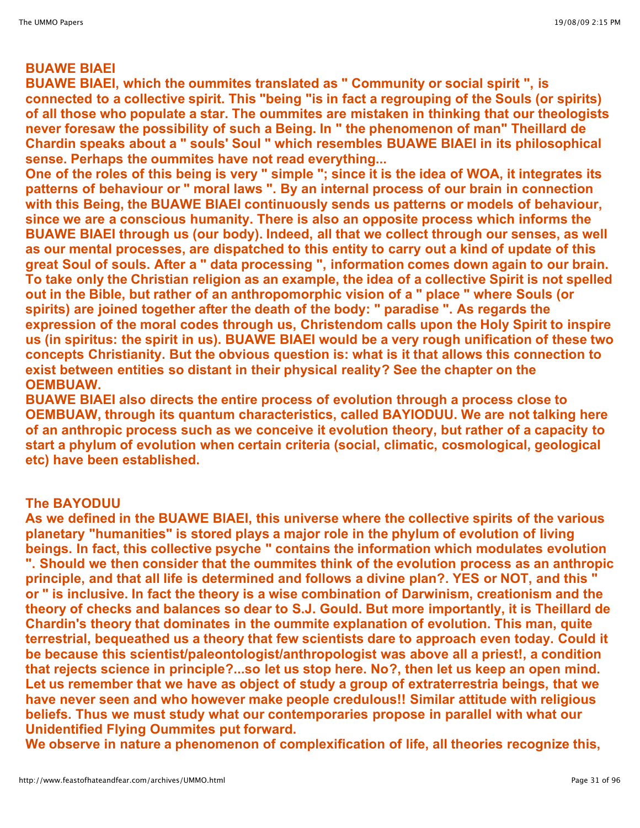# **BUAWE BIAEI**

**BUAWE BIAEI, which the oummites translated as " Community or social spirit ", is connected to a collective spirit. This "being "is in fact a regrouping of the Souls (or spirits) of all those who populate a star. The oummites are mistaken in thinking that our theologists never foresaw the possibility of such a Being. In " the phenomenon of man" Theillard de Chardin speaks about a " souls' Soul " which resembles BUAWE BIAEI in its philosophical sense. Perhaps the oummites have not read everything...**

One of the roles of this being is very " simple "; since it is the idea of WOA, it integrates its **patterns of behaviour or " moral laws ". By an internal process of our brain in connection with this Being, the BUAWE BIAEI continuously sends us patterns or models of behaviour, since we are a conscious humanity. There is also an opposite process which informs the BUAWE BIAEI through us (our body). Indeed, all that we collect through our senses, as well as our mental processes, are dispatched to this entity to carry out a kind of update of this great Soul of souls. After a " data processing ", information comes down again to our brain. To take only the Christian religion as an example, the idea of a collective Spirit is not spelled out in the Bible, but rather of an anthropomorphic vision of a " place " where Souls (or spirits) are joined together after the death of the body: " paradise ". As regards the expression of the moral codes through us, Christendom calls upon the Holy Spirit to inspire us (in spiritus: the spirit in us). BUAWE BIAEI would be a very rough unification of these two concepts Christianity. But the obvious question is: what is it that allows this connection to exist between entities so distant in their physical reality? See the chapter on the OEMBUAW.**

**BUAWE BIAEI also directs the entire process of evolution through a process close to OEMBUAW, through its quantum characteristics, called BAYIODUU. We are not talking here of an anthropic process such as we conceive it evolution theory, but rather of a capacity to start a phylum of evolution when certain criteria (social, climatic, cosmological, geological etc) have been established.**

#### **The BAYODUU**

**As we defined in the BUAWE BIAEI, this universe where the collective spirits of the various planetary "humanities" is stored plays a major role in the phylum of evolution of living beings. In fact, this collective psyche " contains the information which modulates evolution ". Should we then consider that the oummites think of the evolution process as an anthropic principle, and that all life is determined and follows a divine plan?. YES or NOT, and this " or " is inclusive. In fact the theory is a wise combination of Darwinism, creationism and the theory of checks and balances so dear to S.J. Gould. But more importantly, it is Theillard de Chardin's theory that dominates in the oummite explanation of evolution. This man, quite terrestrial, bequeathed us a theory that few scientists dare to approach even today. Could it be because this scientist/paleontologist/anthropologist was above all a priest!, a condition that rejects science in principle?...so let us stop here. No?, then let us keep an open mind. Let us remember that we have as object of study a group of extraterrestria beings, that we have never seen and who however make people credulous!! Similar attitude with religious beliefs. Thus we must study what our contemporaries propose in parallel with what our Unidentified Flying Oummites put forward.**

**We observe in nature a phenomenon of complexification of life, all theories recognize this,**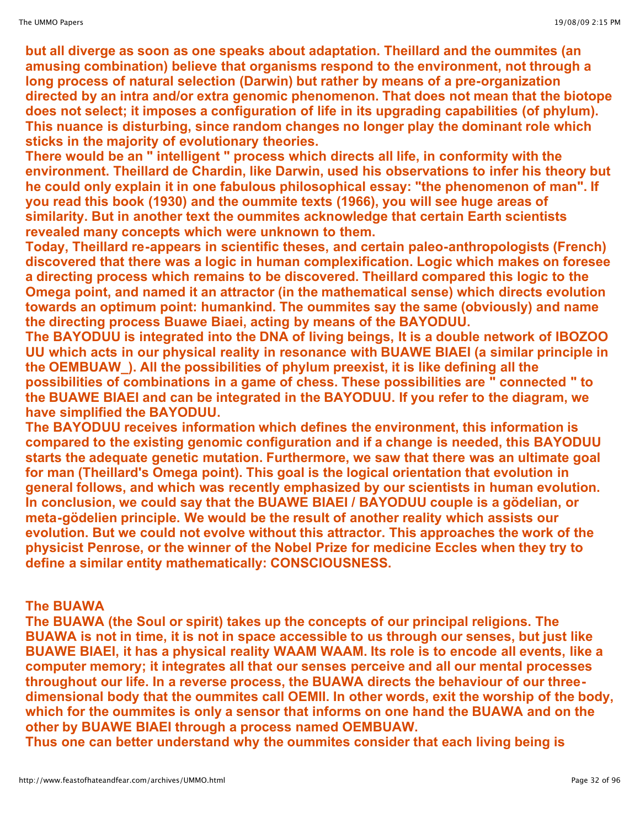**but all diverge as soon as one speaks about adaptation. Theillard and the oummites (an amusing combination) believe that organisms respond to the environment, not through a long process of natural selection (Darwin) but rather by means of a pre-organization directed by an intra and/or extra genomic phenomenon. That does not mean that the biotope does not select; it imposes a configuration of life in its upgrading capabilities (of phylum). This nuance is disturbing, since random changes no longer play the dominant role which sticks in the majority of evolutionary theories.**

**There would be an " intelligent " process which directs all life, in conformity with the environment. Theillard de Chardin, like Darwin, used his observations to infer his theory but he could only explain it in one fabulous philosophical essay: "the phenomenon of man". If you read this book (1930) and the oummite texts (1966), you will see huge areas of similarity. But in another text the oummites acknowledge that certain Earth scientists revealed many concepts which were unknown to them.**

**Today, Theillard re-appears in scientific theses, and certain paleo-anthropologists (French) discovered that there was a logic in human complexification. Logic which makes on foresee a directing process which remains to be discovered. Theillard compared this logic to the Omega point, and named it an attractor (in the mathematical sense) which directs evolution towards an optimum point: humankind. The oummites say the same (obviously) and name the directing process Buawe Biaei, acting by means of the BAYODUU.**

**The BAYODUU is integrated into the DNA of living beings, It is a double network of IBOZOO UU which acts in our physical reality in resonance with BUAWE BIAEI (a similar principle in the OEMBUAW\_). All the possibilities of phylum preexist, it is like defining all the possibilities of combinations in a game of chess. These possibilities are " connected " to the BUAWE BIAEI and can be integrated in the BAYODUU. If you refer to the diagram, we have simplified the BAYODUU.**

**The BAYODUU receives information which defines the environment, this information is compared to the existing genomic configuration and if a change is needed, this BAYODUU starts the adequate genetic mutation. Furthermore, we saw that there was an ultimate goal for man (Theillard's Omega point). This goal is the logical orientation that evolution in general follows, and which was recently emphasized by our scientists in human evolution. In conclusion, we could say that the BUAWE BIAEI / BAYODUU couple is a gödelian, or meta-gödelien principle. We would be the result of another reality which assists our evolution. But we could not evolve without this attractor. This approaches the work of the physicist Penrose, or the winner of the Nobel Prize for medicine Eccles when they try to define a similar entity mathematically: CONSCIOUSNESS.**

## **The BUAWA**

**The BUAWA (the Soul or spirit) takes up the concepts of our principal religions. The BUAWA is not in time, it is not in space accessible to us through our senses, but just like BUAWE BIAEI, it has a physical reality WAAM WAAM. Its role is to encode all events, like a computer memory; it integrates all that our senses perceive and all our mental processes throughout our life. In a reverse process, the BUAWA directs the behaviour of our threedimensional body that the oummites call OEMII. In other words, exit the worship of the body, which for the oummites is only a sensor that informs on one hand the BUAWA and on the other by BUAWE BIAEI through a process named OEMBUAW.**

**Thus one can better understand why the oummites consider that each living being is**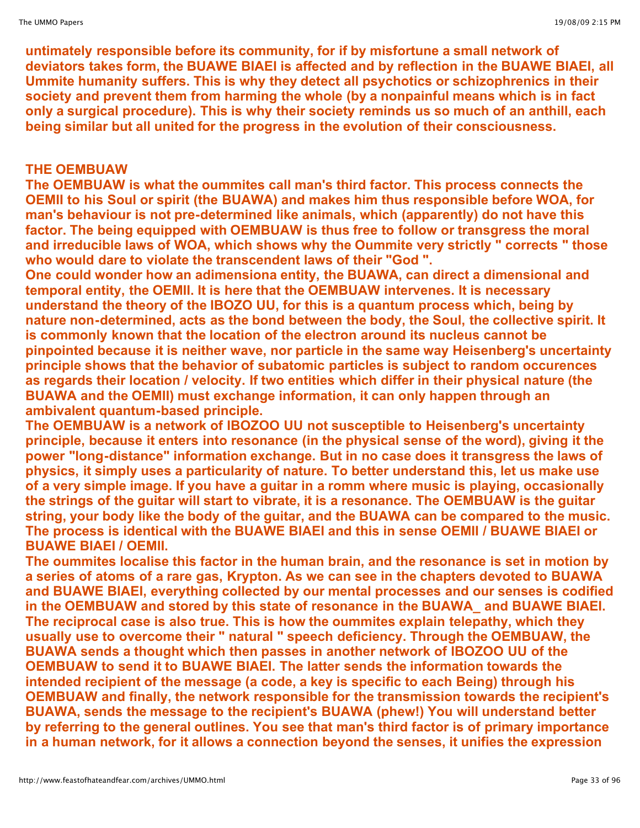**untimately responsible before its community, for if by misfortune a small network of deviators takes form, the BUAWE BIAEI is affected and by reflection in the BUAWE BIAEI, all Ummite humanity suffers. This is why they detect all psychotics or schizophrenics in their society and prevent them from harming the whole (by a nonpainful means which is in fact only a surgical procedure). This is why their society reminds us so much of an anthill, each being similar but all united for the progress in the evolution of their consciousness.**

# **THE OEMBUAW**

**The OEMBUAW is what the oummites call man's third factor. This process connects the OEMII to his Soul or spirit (the BUAWA) and makes him thus responsible before WOA, for man's behaviour is not pre-determined like animals, which (apparently) do not have this factor. The being equipped with OEMBUAW is thus free to follow or transgress the moral and irreducible laws of WOA, which shows why the Oummite very strictly " corrects " those who would dare to violate the transcendent laws of their "God ".**

**One could wonder how an adimensiona entity, the BUAWA, can direct a dimensional and temporal entity, the OEMII. It is here that the OEMBUAW intervenes. It is necessary understand the theory of the IBOZO UU, for this is a quantum process which, being by nature non-determined, acts as the bond between the body, the Soul, the collective spirit. It is commonly known that the location of the electron around its nucleus cannot be pinpointed because it is neither wave, nor particle in the same way Heisenberg's uncertainty principle shows that the behavior of subatomic particles is subject to random occurences as regards their location / velocity. If two entities which differ in their physical nature (the BUAWA and the OEMII) must exchange information, it can only happen through an ambivalent quantum-based principle.**

**The OEMBUAW is a network of IBOZOO UU not susceptible to Heisenberg's uncertainty principle, because it enters into resonance (in the physical sense of the word), giving it the power "long-distance" information exchange. But in no case does it transgress the laws of physics, it simply uses a particularity of nature. To better understand this, let us make use of a very simple image. If you have a guitar in a romm where music is playing, occasionally the strings of the guitar will start to vibrate, it is a resonance. The OEMBUAW is the guitar string, your body like the body of the guitar, and the BUAWA can be compared to the music. The process is identical with the BUAWE BIAEI and this in sense OEMII / BUAWE BIAEI or BUAWE BIAEI / OEMII.**

**The oummites localise this factor in the human brain, and the resonance is set in motion by a series of atoms of a rare gas, Krypton. As we can see in the chapters devoted to BUAWA and BUAWE BIAEI, everything collected by our mental processes and our senses is codified in the OEMBUAW and stored by this state of resonance in the BUAWA\_ and BUAWE BIAEI. The reciprocal case is also true. This is how the oummites explain telepathy, which they usually use to overcome their " natural " speech deficiency. Through the OEMBUAW, the BUAWA sends a thought which then passes in another network of IBOZOO UU of the OEMBUAW to send it to BUAWE BIAEI. The latter sends the information towards the intended recipient of the message (a code, a key is specific to each Being) through his OEMBUAW and finally, the network responsible for the transmission towards the recipient's BUAWA, sends the message to the recipient's BUAWA (phew!) You will understand better by referring to the general outlines. You see that man's third factor is of primary importance in a human network, for it allows a connection beyond the senses, it unifies the expression**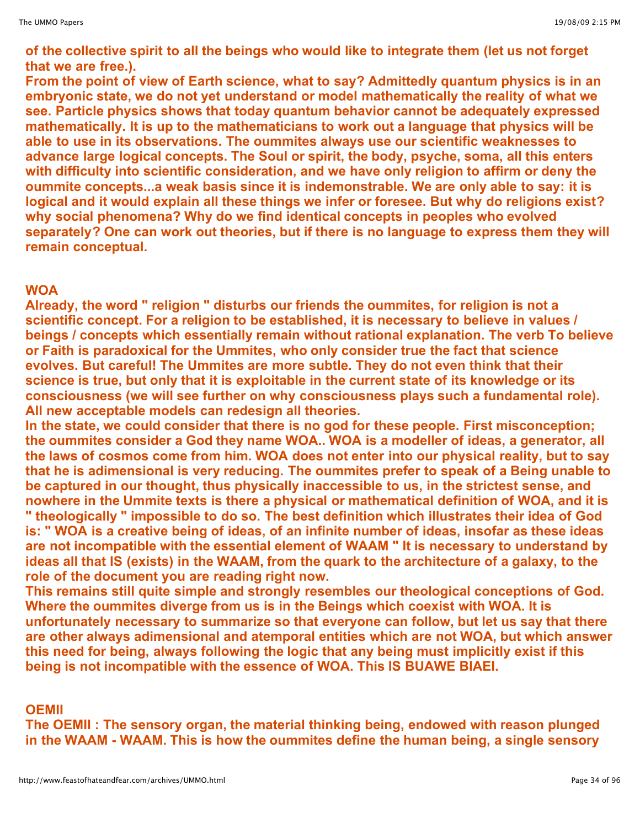**of the collective spirit to all the beings who would like to integrate them (let us not forget that we are free.).**

**From the point of view of Earth science, what to say? Admittedly quantum physics is in an embryonic state, we do not yet understand or model mathematically the reality of what we see. Particle physics shows that today quantum behavior cannot be adequately expressed mathematically. It is up to the mathematicians to work out a language that physics will be able to use in its observations. The oummites always use our scientific weaknesses to advance large logical concepts. The Soul or spirit, the body, psyche, soma, all this enters with difficulty into scientific consideration, and we have only religion to affirm or deny the oummite concepts...a weak basis since it is indemonstrable. We are only able to say: it is logical and it would explain all these things we infer or foresee. But why do religions exist? why social phenomena? Why do we find identical concepts in peoples who evolved separately? One can work out theories, but if there is no language to express them they will remain conceptual.**

#### **WOA**

**Already, the word " religion " disturbs our friends the oummites, for religion is not a scientific concept. For a religion to be established, it is necessary to believe in values / beings / concepts which essentially remain without rational explanation. The verb To believe or Faith is paradoxical for the Ummites, who only consider true the fact that science evolves. But careful! The Ummites are more subtle. They do not even think that their science is true, but only that it is exploitable in the current state of its knowledge or its consciousness (we will see further on why consciousness plays such a fundamental role). All new acceptable models can redesign all theories.**

**In the state, we could consider that there is no god for these people. First misconception; the oummites consider a God they name WOA.. WOA is a modeller of ideas, a generator, all the laws of cosmos come from him. WOA does not enter into our physical reality, but to say that he is adimensional is very reducing. The oummites prefer to speak of a Being unable to be captured in our thought, thus physically inaccessible to us, in the strictest sense, and nowhere in the Ummite texts is there a physical or mathematical definition of WOA, and it is " theologically " impossible to do so. The best definition which illustrates their idea of God** is: "WOA is a creative being of ideas, of an infinite number of ideas, insofar as these ideas **are not incompatible with the essential element of WAAM " It is necessary to understand by ideas all that IS (exists) in the WAAM, from the quark to the architecture of a galaxy, to the role of the document you are reading right now.**

**This remains still quite simple and strongly resembles our theological conceptions of God. Where the oummites diverge from us is in the Beings which coexist with WOA. It is unfortunately necessary to summarize so that everyone can follow, but let us say that there are other always adimensional and atemporal entities which are not WOA, but which answer this need for being, always following the logic that any being must implicitly exist if this being is not incompatible with the essence of WOA. This IS BUAWE BIAEI.**

**OEMII**

**The OEMII : The sensory organ, the material thinking being, endowed with reason plunged in the WAAM - WAAM. This is how the oummites define the human being, a single sensory**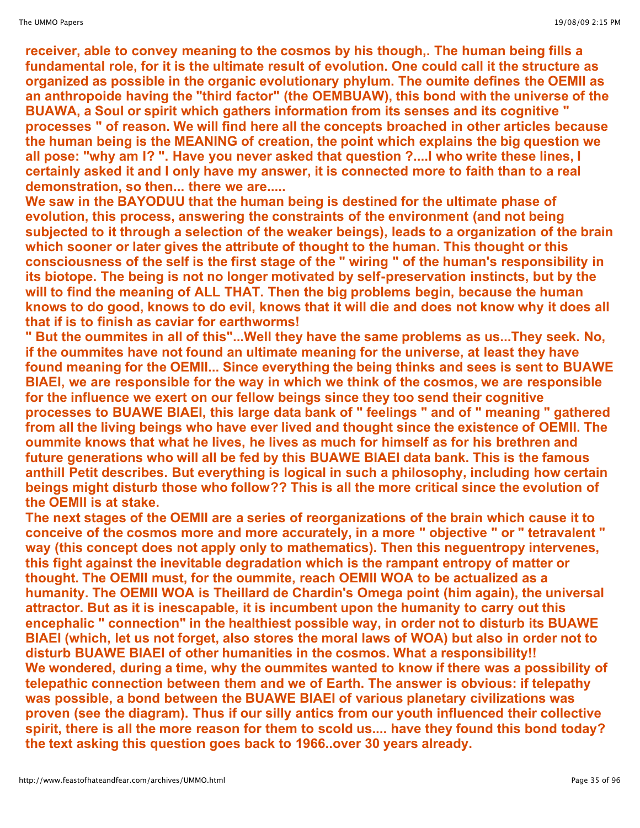**receiver, able to convey meaning to the cosmos by his though,. The human being fills a fundamental role, for it is the ultimate result of evolution. One could call it the structure as organized as possible in the organic evolutionary phylum. The oumite defines the OEMII as an anthropoide having the "third factor" (the OEMBUAW), this bond with the universe of the BUAWA, a Soul or spirit which gathers information from its senses and its cognitive " processes " of reason. We will find here all the concepts broached in other articles because the human being is the MEANING of creation, the point which explains the big question we all pose: "why am I? ". Have you never asked that question ?....I who write these lines, I certainly asked it and I only have my answer, it is connected more to faith than to a real demonstration, so then... there we are.....**

**We saw in the BAYODUU that the human being is destined for the ultimate phase of evolution, this process, answering the constraints of the environment (and not being subjected to it through a selection of the weaker beings), leads to a organization of the brain which sooner or later gives the attribute of thought to the human. This thought or this consciousness of the self is the first stage of the " wiring " of the human's responsibility in its biotope. The being is not no longer motivated by self-preservation instincts, but by the will to find the meaning of ALL THAT. Then the big problems begin, because the human** knows to do good, knows to do evil, knows that it will die and does not know why it does all **that if is to finish as caviar for earthworms!**

**" But the oummites in all of this"...Well they have the same problems as us...They seek. No, if the oummites have not found an ultimate meaning for the universe, at least they have found meaning for the OEMII... Since everything the being thinks and sees is sent to BUAWE BIAEI, we are responsible for the way in which we think of the cosmos, we are responsible for the influence we exert on our fellow beings since they too send their cognitive processes to BUAWE BIAEI, this large data bank of " feelings " and of " meaning " gathered from all the living beings who have ever lived and thought since the existence of OEMII. The oummite knows that what he lives, he lives as much for himself as for his brethren and future generations who will all be fed by this BUAWE BIAEI data bank. This is the famous anthill Petit describes. But everything is logical in such a philosophy, including how certain beings might disturb those who follow?? This is all the more critical since the evolution of the OEMII is at stake.**

**The next stages of the OEMII are a series of reorganizations of the brain which cause it to conceive of the cosmos more and more accurately, in a more " objective " or " tetravalent " way (this concept does not apply only to mathematics). Then this neguentropy intervenes, this fight against the inevitable degradation which is the rampant entropy of matter or thought. The OEMII must, for the oummite, reach OEMII WOA to be actualized as a humanity. The OEMII WOA is Theillard de Chardin's Omega point (him again), the universal attractor. But as it is inescapable, it is incumbent upon the humanity to carry out this encephalic " connection" in the healthiest possible way, in order not to disturb its BUAWE BIAEI (which, let us not forget, also stores the moral laws of WOA) but also in order not to disturb BUAWE BIAEI of other humanities in the cosmos. What a responsibility!! We wondered, during a time, why the oummites wanted to know if there was a possibility of telepathic connection between them and we of Earth. The answer is obvious: if telepathy was possible, a bond between the BUAWE BIAEI of various planetary civilizations was proven (see the diagram). Thus if our silly antics from our youth influenced their collective spirit, there is all the more reason for them to scold us.... have they found this bond today? the text asking this question goes back to 1966..over 30 years already.**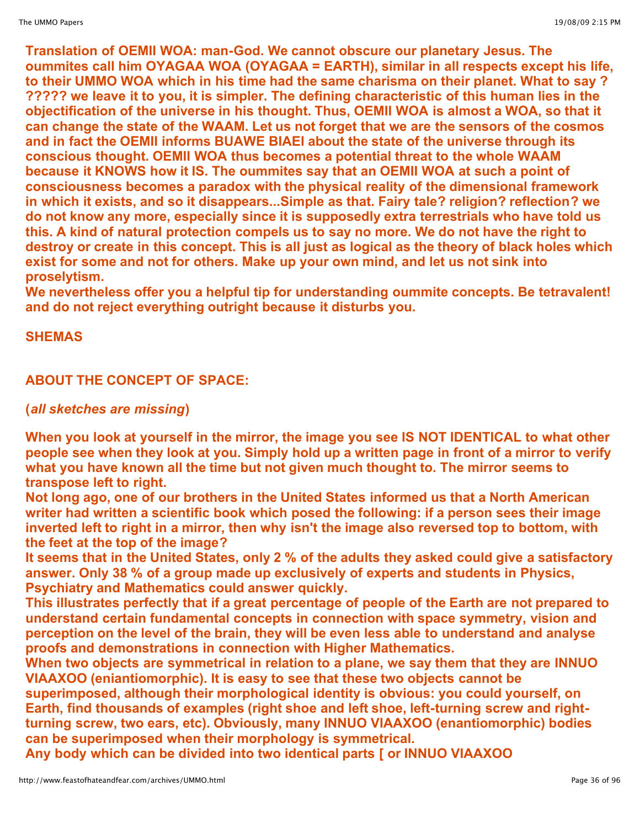**Translation of OEMII WOA: man-God. We cannot obscure our planetary Jesus. The oummites call him OYAGAA WOA (OYAGAA = EARTH), similar in all respects except his life, to their UMMO WOA which in his time had the same charisma on their planet. What to say ? ????? we leave it to you, it is simpler. The defining characteristic of this human lies in the objectification of the universe in his thought. Thus, OEMII WOA is almost a WOA, so that it can change the state of the WAAM. Let us not forget that we are the sensors of the cosmos and in fact the OEMII informs BUAWE BIAEI about the state of the universe through its conscious thought. OEMII WOA thus becomes a potential threat to the whole WAAM because it KNOWS how it IS. The oummites say that an OEMII WOA at such a point of consciousness becomes a paradox with the physical reality of the dimensional framework in which it exists, and so it disappears...Simple as that. Fairy tale? religion? reflection? we do not know any more, especially since it is supposedly extra terrestrials who have told us this. A kind of natural protection compels us to say no more. We do not have the right to destroy or create in this concept. This is all just as logical as the theory of black holes which exist for some and not for others. Make up your own mind, and let us not sink into proselytism.**

**We nevertheless offer you a helpful tip for understanding oummite concepts. Be tetravalent! and do not reject everything outright because it disturbs you.**

# **SHEMAS**

# **ABOUT THE CONCEPT OF SPACE:**

# **(***all sketches are missing***)**

**When you look at yourself in the mirror, the image you see IS NOT IDENTICAL to what other** people see when they look at you. Simply hold up a written page in front of a mirror to verify **what you have known all the time but not given much thought to. The mirror seems to transpose left to right.**

**Not long ago, one of our brothers in the United States informed us that a North American writer had written a scientific book which posed the following: if a person sees their image inverted left to right in a mirror, then why isn't the image also reversed top to bottom, with the feet at the top of the image?**

**It seems that in the United States, only 2 % of the adults they asked could give a satisfactory answer. Only 38 % of a group made up exclusively of experts and students in Physics, Psychiatry and Mathematics could answer quickly.**

**This illustrates perfectly that if a great percentage of people of the Earth are not prepared to understand certain fundamental concepts in connection with space symmetry, vision and perception on the level of the brain, they will be even less able to understand and analyse proofs and demonstrations in connection with Higher Mathematics.**

**When two objects are symmetrical in relation to a plane, we say them that they are INNUO VIAAXOO (eniantiomorphic). It is easy to see that these two objects cannot be superimposed, although their morphological identity is obvious: you could yourself, on Earth, find thousands of examples (right shoe and left shoe, left-turning screw and rightturning screw, two ears, etc). Obviously, many INNUO VIAAXOO (enantiomorphic) bodies can be superimposed when their morphology is symmetrical.**

**Any body which can be divided into two identical parts [ or INNUO VIAAXOO**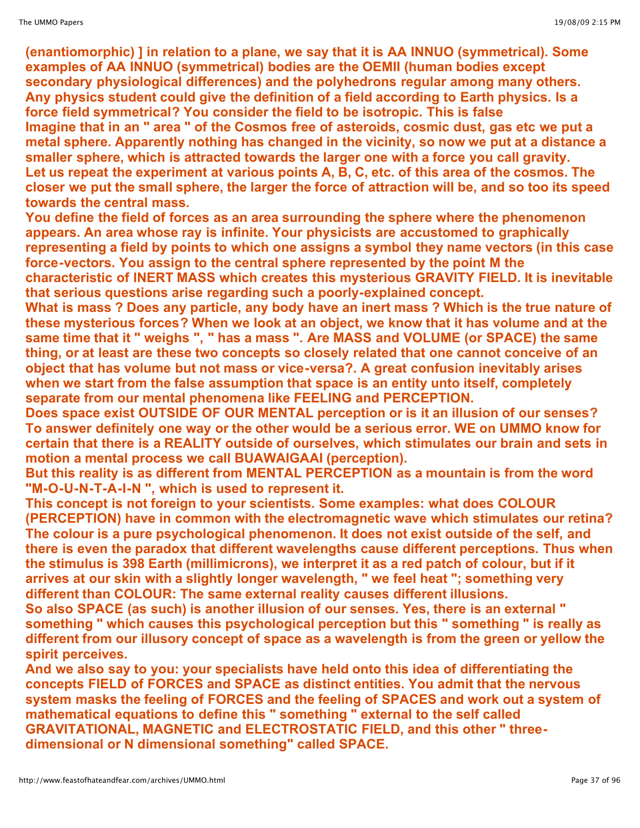**(enantiomorphic) ] in relation to a plane, we say that it is AA INNUO (symmetrical). Some examples of AA INNUO (symmetrical) bodies are the OEMII (human bodies except secondary physiological differences) and the polyhedrons regular among many others. Any physics student could give the definition of a field according to Earth physics. Is a force field symmetrical? You consider the field to be isotropic. This is false Imagine that in an " area " of the Cosmos free of asteroids, cosmic dust, gas etc we put a metal sphere. Apparently nothing has changed in the vicinity, so now we put at a distance a smaller sphere, which is attracted towards the larger one with a force you call gravity. Let us repeat the experiment at various points A, B, C, etc. of this area of the cosmos. The closer we put the small sphere, the larger the force of attraction will be, and so too its speed towards the central mass.**

**You define the field of forces as an area surrounding the sphere where the phenomenon appears. An area whose ray is infinite. Your physicists are accustomed to graphically representing a field by points to which one assigns a symbol they name vectors (in this case force-vectors. You assign to the central sphere represented by the point M the characteristic of INERT MASS which creates this mysterious GRAVITY FIELD. It is inevitable that serious questions arise regarding such a poorly-explained concept.**

**What is mass ? Does any particle, any body have an inert mass ? Which is the true nature of these mysterious forces? When we look at an object, we know that it has volume and at the same time that it " weighs ", " has a mass ". Are MASS and VOLUME (or SPACE) the same thing, or at least are these two concepts so closely related that one cannot conceive of an object that has volume but not mass or vice-versa?. A great confusion inevitably arises when we start from the false assumption that space is an entity unto itself, completely separate from our mental phenomena like FEELING and PERCEPTION.**

**Does space exist OUTSIDE OF OUR MENTAL perception or is it an illusion of our senses? To answer definitely one way or the other would be a serious error. WE on UMMO know for certain that there is a REALITY outside of ourselves, which stimulates our brain and sets in motion a mental process we call BUAWAIGAAI (perception).**

**But this reality is as different from MENTAL PERCEPTION as a mountain is from the word "M-O-U-N-T-A-I-N ", which is used to represent it.**

**This concept is not foreign to your scientists. Some examples: what does COLOUR (PERCEPTION) have in common with the electromagnetic wave which stimulates our retina? The colour is a pure psychological phenomenon. It does not exist outside of the self, and there is even the paradox that different wavelengths cause different perceptions. Thus when the stimulus is 398 Earth (millimicrons), we interpret it as a red patch of colour, but if it arrives at our skin with a slightly longer wavelength, " we feel heat "; something very different than COLOUR: The same external reality causes different illusions.**

**So also SPACE (as such) is another illusion of our senses. Yes, there is an external " something " which causes this psychological perception but this " something " is really as different from our illusory concept of space as a wavelength is from the green or yellow the spirit perceives.**

**And we also say to you: your specialists have held onto this idea of differentiating the concepts FIELD of FORCES and SPACE as distinct entities. You admit that the nervous system masks the feeling of FORCES and the feeling of SPACES and work out a system of mathematical equations to define this " something " external to the self called GRAVITATIONAL, MAGNETIC and ELECTROSTATIC FIELD, and this other " threedimensional or N dimensional something" called SPACE.**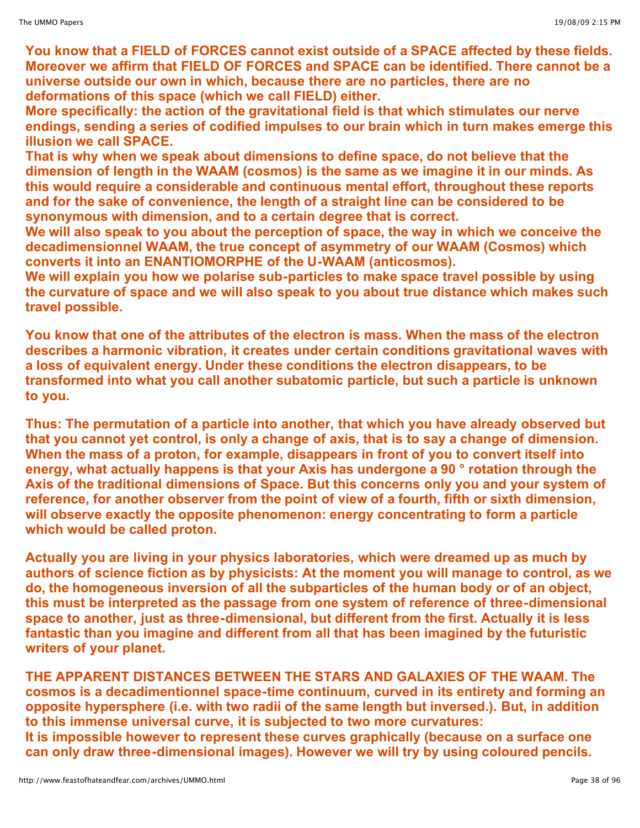**You know that a FIELD of FORCES cannot exist outside of a SPACE affected by these fields. Moreover we affirm that FIELD OF FORCES and SPACE can be identified. There cannot be a universe outside our own in which, because there are no particles, there are no deformations of this space (which we call FIELD) either.**

**More specifically: the action of the gravitational field is that which stimulates our nerve endings, sending a series of codified impulses to our brain which in turn makes emerge this illusion we call SPACE.**

**That is why when we speak about dimensions to define space, do not believe that the dimension of length in the WAAM (cosmos) is the same as we imagine it in our minds. As this would require a considerable and continuous mental effort, throughout these reports and for the sake of convenience, the length of a straight line can be considered to be synonymous with dimension, and to a certain degree that is correct.**

**We will also speak to you about the perception of space, the way in which we conceive the decadimensionnel WAAM, the true concept of asymmetry of our WAAM (Cosmos) which converts it into an ENANTIOMORPHE of the U-WAAM (anticosmos).**

**We will explain you how we polarise sub-particles to make space travel possible by using the curvature of space and we will also speak to you about true distance which makes such travel possible.**

**You know that one of the attributes of the electron is mass. When the mass of the electron describes a harmonic vibration, it creates under certain conditions gravitational waves with a loss of equivalent energy. Under these conditions the electron disappears, to be transformed into what you call another subatomic particle, but such a particle is unknown to you.**

**Thus: The permutation of a particle into another, that which you have already observed but** that you cannot yet control, is only a change of axis, that is to say a change of dimension. **When the mass of a proton, for example, disappears in front of you to convert itself into energy, what actually happens is that your Axis has undergone a 90 ° rotation through the Axis of the traditional dimensions of Space. But this concerns only you and your system of reference, for another observer from the point of view of a fourth, fifth or sixth dimension, will observe exactly the opposite phenomenon: energy concentrating to form a particle which would be called proton.**

**Actually you are living in your physics laboratories, which were dreamed up as much by authors of science fiction as by physicists: At the moment you will manage to control, as we do, the homogeneous inversion of all the subparticles of the human body or of an object, this must be interpreted as the passage from one system of reference of three-dimensional space to another, just as three-dimensional, but different from the first. Actually it is less fantastic than you imagine and different from all that has been imagined by the futuristic writers of your planet.**

**THE APPARENT DISTANCES BETWEEN THE STARS AND GALAXIES OF THE WAAM. The cosmos is a decadimentionnel space-time continuum, curved in its entirety and forming an opposite hypersphere (i.e. with two radii of the same length but inversed.). But, in addition to this immense universal curve, it is subjected to two more curvatures: It is impossible however to represent these curves graphically (because on a surface one can only draw three-dimensional images). However we will try by using coloured pencils.**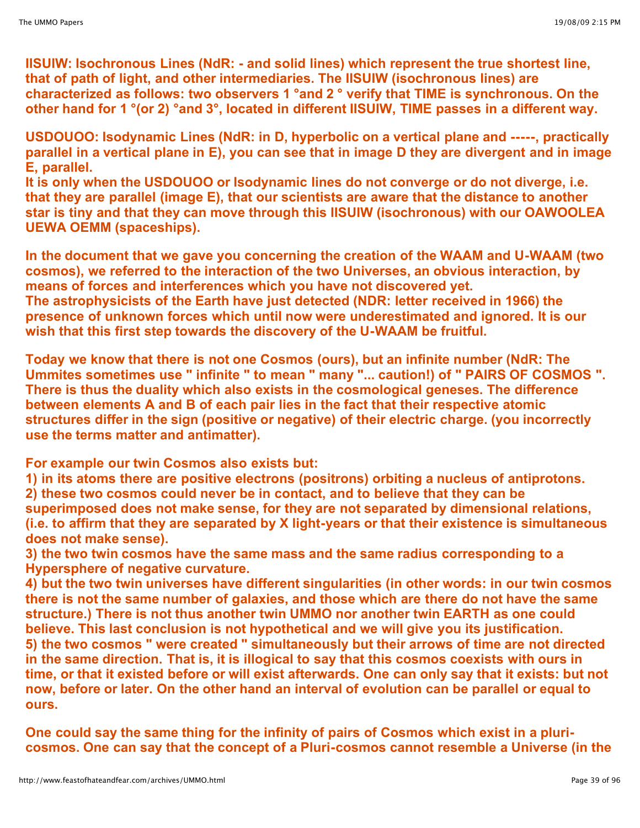**IISUIW: Isochronous Lines (NdR: - and solid lines) which represent the true shortest line, that of path of light, and other intermediaries. The IISUIW (isochronous lines) are characterized as follows: two observers 1 °and 2 ° verify that TIME is synchronous. On the other hand for 1 °(or 2) °and 3°, located in different IISUIW, TIME passes in a different way.**

**USDOUOO: Isodynamic Lines (NdR: in D, hyperbolic on a vertical plane and -----, practically** parallel in a vertical plane in E), you can see that in image D they are divergent and in image **E, parallel.**

**It is only when the USDOUOO or Isodynamic lines do not converge or do not diverge, i.e. that they are parallel (image E), that our scientists are aware that the distance to another star is tiny and that they can move through this IISUIW (isochronous) with our OAWOOLEA UEWA OEMM (spaceships).**

**In the document that we gave you concerning the creation of the WAAM and U-WAAM (two cosmos), we referred to the interaction of the two Universes, an obvious interaction, by means of forces and interferences which you have not discovered yet. The astrophysicists of the Earth have just detected (NDR: letter received in 1966) the presence of unknown forces which until now were underestimated and ignored. It is our wish that this first step towards the discovery of the U-WAAM be fruitful.**

**Today we know that there is not one Cosmos (ours), but an infinite number (NdR: The Ummites sometimes use " infinite " to mean " many "... caution!) of " PAIRS OF COSMOS ". There is thus the duality which also exists in the cosmological geneses. The difference between elements A and B of each pair lies in the fact that their respective atomic structures differ in the sign (positive or negative) of their electric charge. (you incorrectly use the terms matter and antimatter).**

**For example our twin Cosmos also exists but:**

**1) in its atoms there are positive electrons (positrons) orbiting a nucleus of antiprotons. 2) these two cosmos could never be in contact, and to believe that they can be superimposed does not make sense, for they are not separated by dimensional relations, (i.e. to affirm that they are separated by X light-years or that their existence is simultaneous does not make sense).**

**3) the two twin cosmos have the same mass and the same radius corresponding to a Hypersphere of negative curvature.**

**4) but the two twin universes have different singularities (in other words: in our twin cosmos there is not the same number of galaxies, and those which are there do not have the same structure.) There is not thus another twin UMMO nor another twin EARTH as one could believe. This last conclusion is not hypothetical and we will give you its justification. 5) the two cosmos " were created " simultaneously but their arrows of time are not directed in the same direction. That is, it is illogical to say that this cosmos coexists with ours in time, or that it existed before or will exist afterwards. One can only say that it exists: but not now, before or later. On the other hand an interval of evolution can be parallel or equal to ours.**

**One could say the same thing for the infinity of pairs of Cosmos which exist in a pluricosmos. One can say that the concept of a Pluri-cosmos cannot resemble a Universe (in the**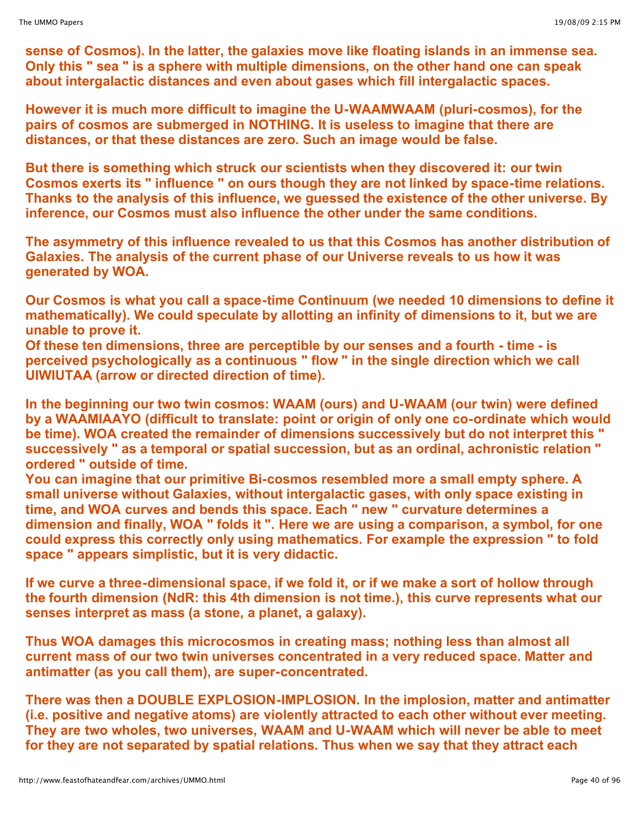**sense of Cosmos). In the latter, the galaxies move like floating islands in an immense sea. Only this " sea " is a sphere with multiple dimensions, on the other hand one can speak about intergalactic distances and even about gases which fill intergalactic spaces.**

**However it is much more difficult to imagine the U-WAAMWAAM (pluri-cosmos), for the pairs of cosmos are submerged in NOTHING. It is useless to imagine that there are distances, or that these distances are zero. Such an image would be false.**

**But there is something which struck our scientists when they discovered it: our twin Cosmos exerts its " influence " on ours though they are not linked by space-time relations. Thanks to the analysis of this influence, we guessed the existence of the other universe. By inference, our Cosmos must also influence the other under the same conditions.**

**The asymmetry of this influence revealed to us that this Cosmos has another distribution of Galaxies. The analysis of the current phase of our Universe reveals to us how it was generated by WOA.**

**Our Cosmos is what you call a space-time Continuum (we needed 10 dimensions to define it mathematically). We could speculate by allotting an infinity of dimensions to it, but we are unable to prove it.**

**Of these ten dimensions, three are perceptible by our senses and a fourth - time - is perceived psychologically as a continuous " flow " in the single direction which we call UIWIUTAA (arrow or directed direction of time).**

**In the beginning our two twin cosmos: WAAM (ours) and U-WAAM (our twin) were defined by a WAAMIAAYO (difficult to translate: point or origin of only one co-ordinate which would be time). WOA created the remainder of dimensions successively but do not interpret this " successively " as a temporal or spatial succession, but as an ordinal, achronistic relation " ordered " outside of time.**

**You can imagine that our primitive Bi-cosmos resembled more a small empty sphere. A small universe without Galaxies, without intergalactic gases, with only space existing in time, and WOA curves and bends this space. Each " new " curvature determines a dimension and finally, WOA " folds it ". Here we are using a comparison, a symbol, for one could express this correctly only using mathematics. For example the expression " to fold space " appears simplistic, but it is very didactic.**

**If we curve a three-dimensional space, if we fold it, or if we make a sort of hollow through the fourth dimension (NdR: this 4th dimension is not time.), this curve represents what our senses interpret as mass (a stone, a planet, a galaxy).**

**Thus WOA damages this microcosmos in creating mass; nothing less than almost all current mass of our two twin universes concentrated in a very reduced space. Matter and antimatter (as you call them), are super-concentrated.**

**There was then a DOUBLE EXPLOSION-IMPLOSION. In the implosion, matter and antimatter (i.e. positive and negative atoms) are violently attracted to each other without ever meeting. They are two wholes, two universes, WAAM and U-WAAM which will never be able to meet for they are not separated by spatial relations. Thus when we say that they attract each**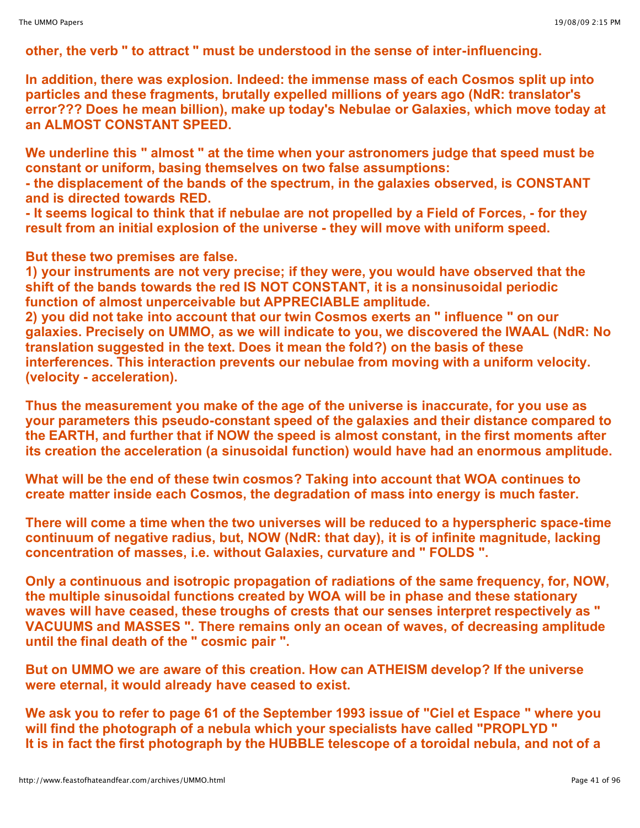**other, the verb " to attract " must be understood in the sense of inter-influencing.**

**In addition, there was explosion. Indeed: the immense mass of each Cosmos split up into particles and these fragments, brutally expelled millions of years ago (NdR: translator's error??? Does he mean billion), make up today's Nebulae or Galaxies, which move today at an ALMOST CONSTANT SPEED.**

**We underline this " almost " at the time when your astronomers judge that speed must be constant or uniform, basing themselves on two false assumptions:**

**- the displacement of the bands of the spectrum, in the galaxies observed, is CONSTANT and is directed towards RED.**

- It seems logical to think that if nebulae are not propelled by a Field of Forces, - for they **result from an initial explosion of the universe - they will move with uniform speed.**

**But these two premises are false.**

**1) your instruments are not very precise; if they were, you would have observed that the shift of the bands towards the red IS NOT CONSTANT, it is a nonsinusoidal periodic function of almost unperceivable but APPRECIABLE amplitude.**

**2) you did not take into account that our twin Cosmos exerts an " influence " on our galaxies. Precisely on UMMO, as we will indicate to you, we discovered the IWAAL (NdR: No translation suggested in the text. Does it mean the fold?) on the basis of these interferences. This interaction prevents our nebulae from moving with a uniform velocity. (velocity - acceleration).**

**Thus the measurement you make of the age of the universe is inaccurate, for you use as your parameters this pseudo-constant speed of the galaxies and their distance compared to the EARTH, and further that if NOW the speed is almost constant, in the first moments after its creation the acceleration (a sinusoidal function) would have had an enormous amplitude.**

**What will be the end of these twin cosmos? Taking into account that WOA continues to create matter inside each Cosmos, the degradation of mass into energy is much faster.**

**There will come a time when the two universes will be reduced to a hyperspheric space-time continuum of negative radius, but, NOW (NdR: that day), it is of infinite magnitude, lacking concentration of masses, i.e. without Galaxies, curvature and " FOLDS ".**

**Only a continuous and isotropic propagation of radiations of the same frequency, for, NOW, the multiple sinusoidal functions created by WOA will be in phase and these stationary waves will have ceased, these troughs of crests that our senses interpret respectively as " VACUUMS and MASSES ". There remains only an ocean of waves, of decreasing amplitude until the final death of the " cosmic pair ".**

**But on UMMO we are aware of this creation. How can ATHEISM develop? If the universe were eternal, it would already have ceased to exist.**

**We ask you to refer to page 61 of the September 1993 issue of "Ciel et Espace " where you will find the photograph of a nebula which your specialists have called "PROPLYD " It is in fact the first photograph by the HUBBLE telescope of a toroidal nebula, and not of a**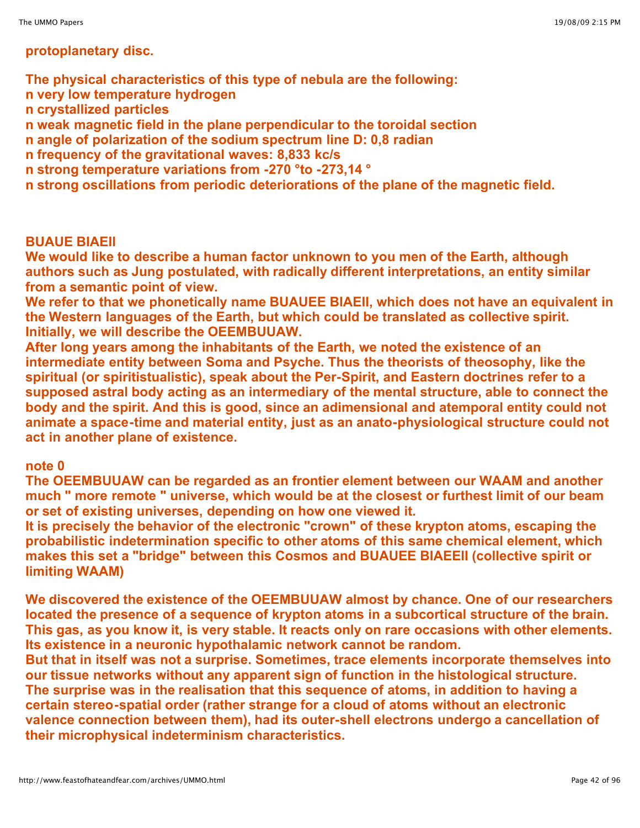# **protoplanetary disc.**

**The physical characteristics of this type of nebula are the following: n very low temperature hydrogen n crystallized particles n weak magnetic field in the plane perpendicular to the toroidal section n angle of polarization of the sodium spectrum line D: 0,8 radian n frequency of the gravitational waves: 8,833 kc/s n strong temperature variations from -270 °to -273,14 ° n strong oscillations from periodic deteriorations of the plane of the magnetic field.**

## **BUAUE BIAEII**

**We would like to describe a human factor unknown to you men of the Earth, although authors such as Jung postulated, with radically different interpretations, an entity similar from a semantic point of view.**

**We refer to that we phonetically name BUAUEE BIAEII, which does not have an equivalent in the Western languages of the Earth, but which could be translated as collective spirit. Initially, we will describe the OEEMBUUAW.**

**After long years among the inhabitants of the Earth, we noted the existence of an intermediate entity between Soma and Psyche. Thus the theorists of theosophy, like the spiritual (or spiritistualistic), speak about the Per-Spirit, and Eastern doctrines refer to a supposed astral body acting as an intermediary of the mental structure, able to connect the body and the spirit. And this is good, since an adimensional and atemporal entity could not animate a space-time and material entity, just as an anato-physiological structure could not act in another plane of existence.**

## **note 0**

**The OEEMBUUAW can be regarded as an frontier element between our WAAM and another much " more remote " universe, which would be at the closest or furthest limit of our beam or set of existing universes, depending on how one viewed it.**

**It is precisely the behavior of the electronic "crown" of these krypton atoms, escaping the probabilistic indetermination specific to other atoms of this same chemical element, which makes this set a "bridge" between this Cosmos and BUAUEE BIAEEII (collective spirit or limiting WAAM)**

**We discovered the existence of the OEEMBUUAW almost by chance. One of our researchers located the presence of a sequence of krypton atoms in a subcortical structure of the brain. This gas, as you know it, is very stable. It reacts only on rare occasions with other elements. Its existence in a neuronic hypothalamic network cannot be random.**

**But that in itself was not a surprise. Sometimes, trace elements incorporate themselves into our tissue networks without any apparent sign of function in the histological structure. The surprise was in the realisation that this sequence of atoms, in addition to having a certain stereo-spatial order (rather strange for a cloud of atoms without an electronic valence connection between them), had its outer-shell electrons undergo a cancellation of their microphysical indeterminism characteristics.**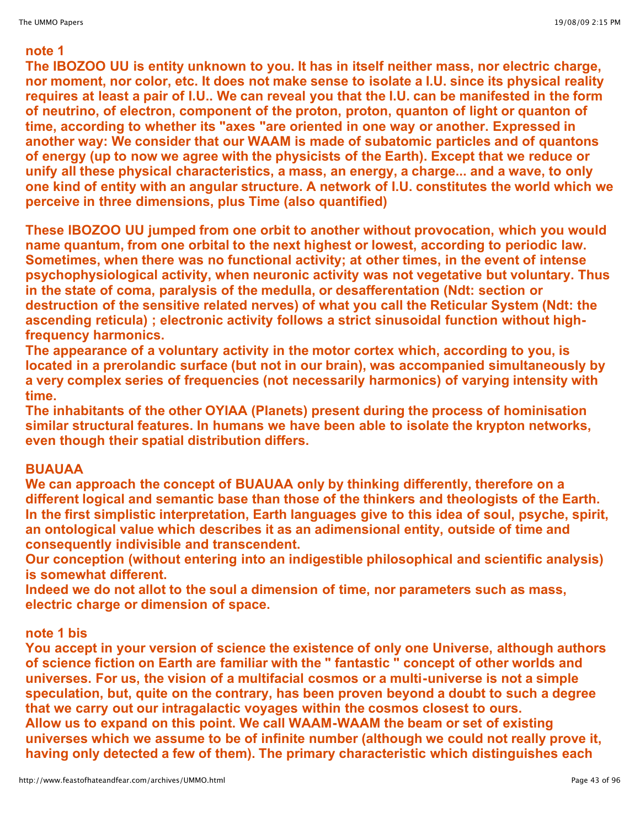# **note 1**

**The IBOZOO UU is entity unknown to you. It has in itself neither mass, nor electric charge, nor moment, nor color, etc. It does not make sense to isolate a I.U. since its physical reality requires at least a pair of I.U.. We can reveal you that the I.U. can be manifested in the form of neutrino, of electron, component of the proton, proton, quanton of light or quanton of time, according to whether its "axes "are oriented in one way or another. Expressed in another way: We consider that our WAAM is made of subatomic particles and of quantons of energy (up to now we agree with the physicists of the Earth). Except that we reduce or unify all these physical characteristics, a mass, an energy, a charge... and a wave, to only one kind of entity with an angular structure. A network of I.U. constitutes the world which we perceive in three dimensions, plus Time (also quantified)**

**These IBOZOO UU jumped from one orbit to another without provocation, which you would name quantum, from one orbital to the next highest or lowest, according to periodic law. Sometimes, when there was no functional activity; at other times, in the event of intense psychophysiological activity, when neuronic activity was not vegetative but voluntary. Thus in the state of coma, paralysis of the medulla, or desafferentation (Ndt: section or destruction of the sensitive related nerves) of what you call the Reticular System (Ndt: the ascending reticula) ; electronic activity follows a strict sinusoidal function without highfrequency harmonics.**

**The appearance of a voluntary activity in the motor cortex which, according to you, is located in a prerolandic surface (but not in our brain), was accompanied simultaneously by a very complex series of frequencies (not necessarily harmonics) of varying intensity with time.**

**The inhabitants of the other OYIAA (Planets) present during the process of hominisation similar structural features. In humans we have been able to isolate the krypton networks, even though their spatial distribution differs.**

# **BUAUAA**

**We can approach the concept of BUAUAA only by thinking differently, therefore on a different logical and semantic base than those of the thinkers and theologists of the Earth. In the first simplistic interpretation, Earth languages give to this idea of soul, psyche, spirit, an ontological value which describes it as an adimensional entity, outside of time and consequently indivisible and transcendent.**

**Our conception (without entering into an indigestible philosophical and scientific analysis) is somewhat different.**

**Indeed we do not allot to the soul a dimension of time, nor parameters such as mass, electric charge or dimension of space.**

# **note 1 bis**

**You accept in your version of science the existence of only one Universe, although authors of science fiction on Earth are familiar with the " fantastic " concept of other worlds and universes. For us, the vision of a multifacial cosmos or a multi-universe is not a simple speculation, but, quite on the contrary, has been proven beyond a doubt to such a degree that we carry out our intragalactic voyages within the cosmos closest to ours. Allow us to expand on this point. We call WAAM-WAAM the beam or set of existing universes which we assume to be of infinite number (although we could not really prove it, having only detected a few of them). The primary characteristic which distinguishes each**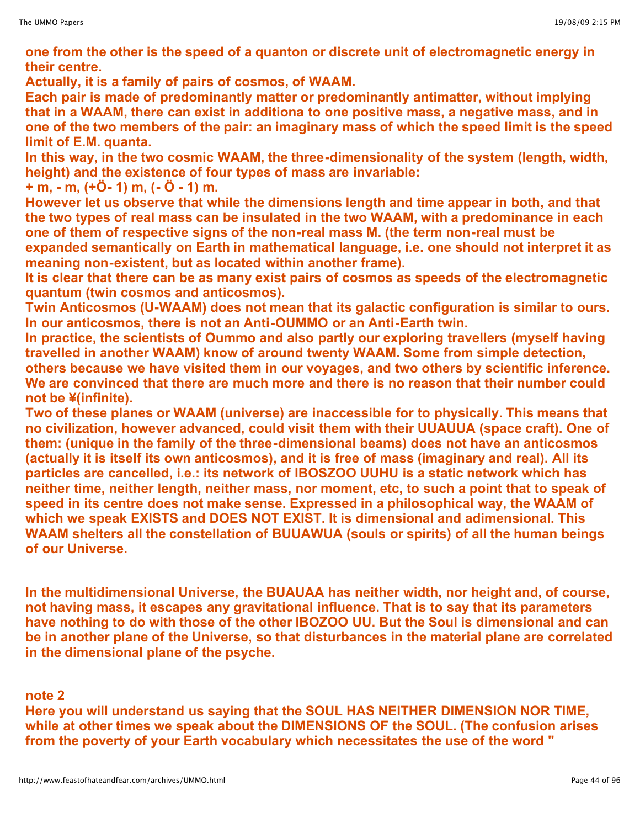**one from the other is the speed of a quanton or discrete unit of electromagnetic energy in their centre.**

**Actually, it is a family of pairs of cosmos, of WAAM.**

**Each pair is made of predominantly matter or predominantly antimatter, without implying that in a WAAM, there can exist in additiona to one positive mass, a negative mass, and in one of the two members of the pair: an imaginary mass of which the speed limit is the speed limit of E.M. quanta.**

**In this way, in the two cosmic WAAM, the three-dimensionality of the system (length, width, height) and the existence of four types of mass are invariable:**

**+ m, - m, (+Ö- 1) m, (- Ö - 1) m.**

**However let us observe that while the dimensions length and time appear in both, and that the two types of real mass can be insulated in the two WAAM, with a predominance in each one of them of respective signs of the non-real mass M. (the term non-real must be expanded semantically on Earth in mathematical language, i.e. one should not interpret it as meaning non-existent, but as located within another frame).**

**It is clear that there can be as many exist pairs of cosmos as speeds of the electromagnetic quantum (twin cosmos and anticosmos).**

**Twin Anticosmos (U-WAAM) does not mean that its galactic configuration is similar to ours. In our anticosmos, there is not an Anti-OUMMO or an Anti-Earth twin.**

**In practice, the scientists of Oummo and also partly our exploring travellers (myself having travelled in another WAAM) know of around twenty WAAM. Some from simple detection, others because we have visited them in our voyages, and two others by scientific inference. We are convinced that there are much more and there is no reason that their number could not be ¥(infinite).**

**Two of these planes or WAAM (universe) are inaccessible for to physically. This means that no civilization, however advanced, could visit them with their UUAUUA (space craft). One of them: (unique in the family of the three-dimensional beams) does not have an anticosmos (actually it is itself its own anticosmos), and it is free of mass (imaginary and real). All its particles are cancelled, i.e.: its network of IBOSZOO UUHU is a static network which has neither time, neither length, neither mass, nor moment, etc, to such a point that to speak of speed in its centre does not make sense. Expressed in a philosophical way, the WAAM of which we speak EXISTS and DOES NOT EXIST. It is dimensional and adimensional. This WAAM shelters all the constellation of BUUAWUA (souls or spirits) of all the human beings of our Universe.**

**In the multidimensional Universe, the BUAUAA has neither width, nor height and, of course, not having mass, it escapes any gravitational influence. That is to say that its parameters have nothing to do with those of the other IBOZOO UU. But the Soul is dimensional and can be in another plane of the Universe, so that disturbances in the material plane are correlated in the dimensional plane of the psyche.**

**note 2**

**Here you will understand us saying that the SOUL HAS NEITHER DIMENSION NOR TIME, while at other times we speak about the DIMENSIONS OF the SOUL. (The confusion arises from the poverty of your Earth vocabulary which necessitates the use of the word "**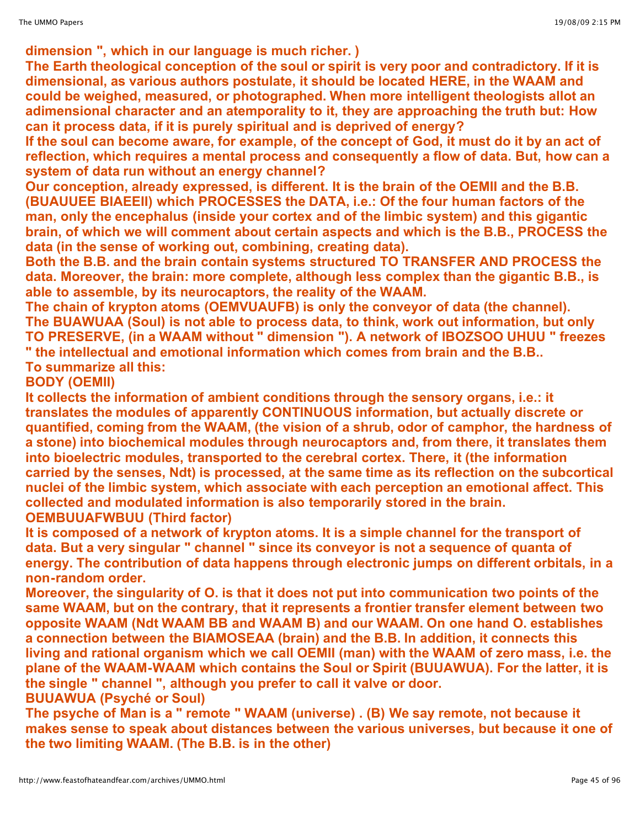**dimension ", which in our language is much richer. )**

**The Earth theological conception of the soul or spirit is very poor and contradictory. If it is dimensional, as various authors postulate, it should be located HERE, in the WAAM and could be weighed, measured, or photographed. When more intelligent theologists allot an adimensional character and an atemporality to it, they are approaching the truth but: How can it process data, if it is purely spiritual and is deprived of energy?**

If the soul can become aware, for example, of the concept of God, it must do it by an act of **reflection, which requires a mental process and consequently a flow of data. But, how can a system of data run without an energy channel?**

**Our conception, already expressed, is different. It is the brain of the OEMII and the B.B. (BUAUUEE BIAEEII) which PROCESSES the DATA, i.e.: Of the four human factors of the man, only the encephalus (inside your cortex and of the limbic system) and this gigantic brain, of which we will comment about certain aspects and which is the B.B., PROCESS the data (in the sense of working out, combining, creating data).**

**Both the B.B. and the brain contain systems structured TO TRANSFER AND PROCESS the data. Moreover, the brain: more complete, although less complex than the gigantic B.B., is able to assemble, by its neurocaptors, the reality of the WAAM.**

**The chain of krypton atoms (OEMVUAUFB) is only the conveyor of data (the channel). The BUAWUAA (Soul) is not able to process data, to think, work out information, but only TO PRESERVE, (in a WAAM without " dimension "). A network of IBOZSOO UHUU " freezes " the intellectual and emotional information which comes from brain and the B.B.. To summarize all this:**

**BODY (OEMII)** 

**It collects the information of ambient conditions through the sensory organs, i.e.: it translates the modules of apparently CONTINUOUS information, but actually discrete or quantified, coming from the WAAM, (the vision of a shrub, odor of camphor, the hardness of a stone) into biochemical modules through neurocaptors and, from there, it translates them into bioelectric modules, transported to the cerebral cortex. There, it (the information carried by the senses, Ndt) is processed, at the same time as its reflection on the subcortical nuclei of the limbic system, which associate with each perception an emotional affect. This collected and modulated information is also temporarily stored in the brain. OEMBUUAFWBUU (Third factor)**

**It is composed of a network of krypton atoms. It is a simple channel for the transport of data. But a very singular " channel " since its conveyor is not a sequence of quanta of energy. The contribution of data happens through electronic jumps on different orbitals, in a non-random order.**

**Moreover, the singularity of O. is that it does not put into communication two points of the same WAAM, but on the contrary, that it represents a frontier transfer element between two opposite WAAM (Ndt WAAM BB and WAAM B) and our WAAM. On one hand O. establishes a connection between the BIAMOSEAA (brain) and the B.B. In addition, it connects this living and rational organism which we call OEMII (man) with the WAAM of zero mass, i.e. the plane of the WAAM-WAAM which contains the Soul or Spirit (BUUAWUA). For the latter, it is the single " channel ", although you prefer to call it valve or door.** 

**BUUAWUA (Psyché or Soul)** 

**The psyche of Man is a " remote " WAAM (universe) . (B) We say remote, not because it makes sense to speak about distances between the various universes, but because it one of the two limiting WAAM. (The B.B. is in the other)**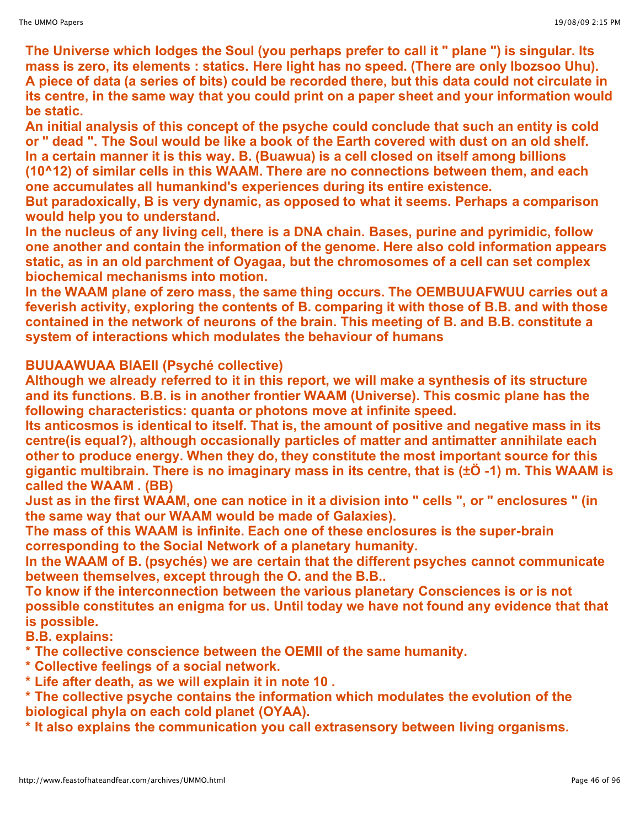**The Universe which lodges the Soul (you perhaps prefer to call it " plane ") is singular. Its mass is zero, its elements : statics. Here light has no speed. (There are only Ibozsoo Uhu).** A piece of data (a series of bits) could be recorded there, but this data could not circulate in **its centre, in the same way that you could print on a paper sheet and your information would be static.**

**An initial analysis of this concept of the psyche could conclude that such an entity is cold or " dead ". The Soul would be like a book of the Earth covered with dust on an old shelf. In a certain manner it is this way. B. (Buawua) is a cell closed on itself among billions (10^12) of similar cells in this WAAM. There are no connections between them, and each one accumulates all humankind's experiences during its entire existence.**

**But paradoxically, B is very dynamic, as opposed to what it seems. Perhaps a comparison would help you to understand.**

**In the nucleus of any living cell, there is a DNA chain. Bases, purine and pyrimidic, follow one another and contain the information of the genome. Here also cold information appears static, as in an old parchment of Oyagaa, but the chromosomes of a cell can set complex biochemical mechanisms into motion.**

**In the WAAM plane of zero mass, the same thing occurs. The OEMBUUAFWUU carries out a feverish activity, exploring the contents of B. comparing it with those of B.B. and with those contained in the network of neurons of the brain. This meeting of B. and B.B. constitute a system of interactions which modulates the behaviour of humans**

# **BUUAAWUAA BIAEII (Psyché collective)**

**Although we already referred to it in this report, we will make a synthesis of its structure and its functions. B.B. is in another frontier WAAM (Universe). This cosmic plane has the following characteristics: quanta or photons move at infinite speed.**

**Its anticosmos is identical to itself. That is, the amount of positive and negative mass in its centre(is equal?), although occasionally particles of matter and antimatter annihilate each other to produce energy. When they do, they constitute the most important source for this gigantic multibrain. There is no imaginary mass in its centre, that is (±Ö -1) m. This WAAM is called the WAAM . (BB)**

Just as in the first WAAM, one can notice in it a division into " cells ", or " enclosures " (in **the same way that our WAAM would be made of Galaxies).**

**The mass of this WAAM is infinite. Each one of these enclosures is the super-brain corresponding to the Social Network of a planetary humanity.**

**In the WAAM of B. (psychés) we are certain that the different psyches cannot communicate between themselves, except through the O. and the B.B..**

**To know if the interconnection between the various planetary Consciences is or is not possible constitutes an enigma for us. Until today we have not found any evidence that that is possible.**

**B.B. explains:**

**\* The collective conscience between the OEMII of the same humanity.**

- **\* Collective feelings of a social network.**
- **\* Life after death, as we will explain it in note 10 .**

**\* The collective psyche contains the information which modulates the evolution of the biological phyla on each cold planet (OYAA).**

**\* It also explains the communication you call extrasensory between living organisms.**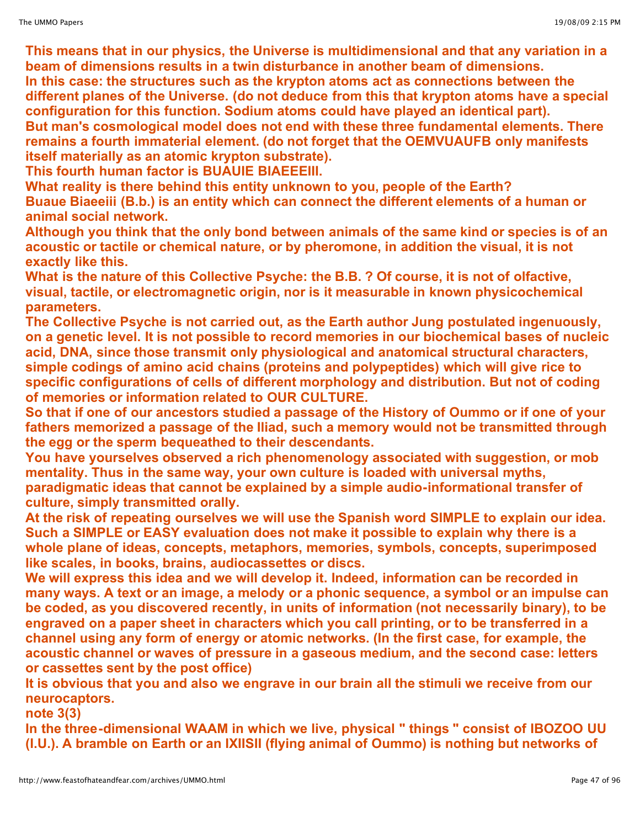**This means that in our physics, the Universe is multidimensional and that any variation in a beam of dimensions results in a twin disturbance in another beam of dimensions. In this case: the structures such as the krypton atoms act as connections between the different planes of the Universe. (do not deduce from this that krypton atoms have a special configuration for this function. Sodium atoms could have played an identical part). But man's cosmological model does not end with these three fundamental elements. There**

**remains a fourth immaterial element. (do not forget that the OEMVUAUFB only manifests itself materially as an atomic krypton substrate).**

**This fourth human factor is BUAUIE BIAEEEIII.**

**What reality is there behind this entity unknown to you, people of the Earth? Buaue Biaeeiii (B.b.) is an entity which can connect the different elements of a human or animal social network.**

**Although you think that the only bond between animals of the same kind or species is of an acoustic or tactile or chemical nature, or by pheromone, in addition the visual, it is not exactly like this.**

**What is the nature of this Collective Psyche: the B.B. ? Of course, it is not of olfactive, visual, tactile, or electromagnetic origin, nor is it measurable in known physicochemical parameters.**

**The Collective Psyche is not carried out, as the Earth author Jung postulated ingenuously, on a genetic level. It is not possible to record memories in our biochemical bases of nucleic acid, DNA, since those transmit only physiological and anatomical structural characters, simple codings of amino acid chains (proteins and polypeptides) which will give rice to specific configurations of cells of different morphology and distribution. But not of coding of memories or information related to OUR CULTURE.**

**So that if one of our ancestors studied a passage of the History of Oummo or if one of your fathers memorized a passage of the Iliad, such a memory would not be transmitted through the egg or the sperm bequeathed to their descendants.**

**You have yourselves observed a rich phenomenology associated with suggestion, or mob mentality. Thus in the same way, your own culture is loaded with universal myths, paradigmatic ideas that cannot be explained by a simple audio-informational transfer of culture, simply transmitted orally.**

**At the risk of repeating ourselves we will use the Spanish word SIMPLE to explain our idea. Such a SIMPLE or EASY evaluation does not make it possible to explain why there is a whole plane of ideas, concepts, metaphors, memories, symbols, concepts, superimposed like scales, in books, brains, audiocassettes or discs.**

**We will express this idea and we will develop it. Indeed, information can be recorded in many ways. A text or an image, a melody or a phonic sequence, a symbol or an impulse can be coded, as you discovered recently, in units of information (not necessarily binary), to be engraved on a paper sheet in characters which you call printing, or to be transferred in a channel using any form of energy or atomic networks. (In the first case, for example, the acoustic channel or waves of pressure in a gaseous medium, and the second case: letters or cassettes sent by the post office)** 

**It is obvious that you and also we engrave in our brain all the stimuli we receive from our neurocaptors.**

**note 3(3)**

**In the three-dimensional WAAM in which we live, physical " things " consist of IBOZOO UU (I.U.). A bramble on Earth or an IXIISII (flying animal of Oummo) is nothing but networks of**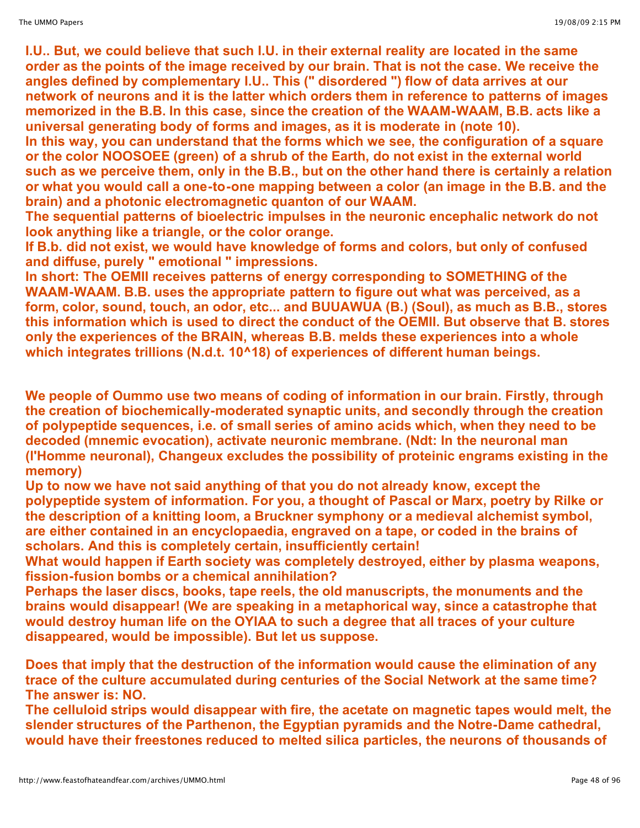**I.U.. But, we could believe that such I.U. in their external reality are located in the same order as the points of the image received by our brain. That is not the case. We receive the angles defined by complementary I.U.. This (" disordered ") flow of data arrives at our network of neurons and it is the latter which orders them in reference to patterns of images memorized in the B.B. In this case, since the creation of the WAAM-WAAM, B.B. acts like a universal generating body of forms and images, as it is moderate in (note 10).**

**In this way, you can understand that the forms which we see, the configuration of a square or the color NOOSOEE (green) of a shrub of the Earth, do not exist in the external world such as we perceive them, only in the B.B., but on the other hand there is certainly a relation or what you would call a one-to-one mapping between a color (an image in the B.B. and the brain) and a photonic electromagnetic quanton of our WAAM.**

**The sequential patterns of bioelectric impulses in the neuronic encephalic network do not look anything like a triangle, or the color orange.**

**If B.b. did not exist, we would have knowledge of forms and colors, but only of confused and diffuse, purely " emotional " impressions.**

**In short: The OEMII receives patterns of energy corresponding to SOMETHING of the WAAM-WAAM. B.B. uses the appropriate pattern to figure out what was perceived, as a form, color, sound, touch, an odor, etc... and BUUAWUA (B.) (Soul), as much as B.B., stores this information which is used to direct the conduct of the OEMII. But observe that B. stores only the experiences of the BRAIN, whereas B.B. melds these experiences into a whole which integrates trillions (N.d.t. 10^18) of experiences of different human beings.**

**We people of Oummo use two means of coding of information in our brain. Firstly, through the creation of biochemically-moderated synaptic units, and secondly through the creation of polypeptide sequences, i.e. of small series of amino acids which, when they need to be decoded (mnemic evocation), activate neuronic membrane. (Ndt: In the neuronal man (l'Homme neuronal), Changeux excludes the possibility of proteinic engrams existing in the memory)**

**Up to now we have not said anything of that you do not already know, except the polypeptide system of information. For you, a thought of Pascal or Marx, poetry by Rilke or the description of a knitting loom, a Bruckner symphony or a medieval alchemist symbol, are either contained in an encyclopaedia, engraved on a tape, or coded in the brains of scholars. And this is completely certain, insufficiently certain!**

**What would happen if Earth society was completely destroyed, either by plasma weapons, fission-fusion bombs or a chemical annihilation?**

**Perhaps the laser discs, books, tape reels, the old manuscripts, the monuments and the brains would disappear! (We are speaking in a metaphorical way, since a catastrophe that would destroy human life on the OYIAA to such a degree that all traces of your culture disappeared, would be impossible). But let us suppose.**

**Does that imply that the destruction of the information would cause the elimination of any trace of the culture accumulated during centuries of the Social Network at the same time? The answer is: NO.**

**The celluloid strips would disappear with fire, the acetate on magnetic tapes would melt, the slender structures of the Parthenon, the Egyptian pyramids and the Notre-Dame cathedral, would have their freestones reduced to melted silica particles, the neurons of thousands of**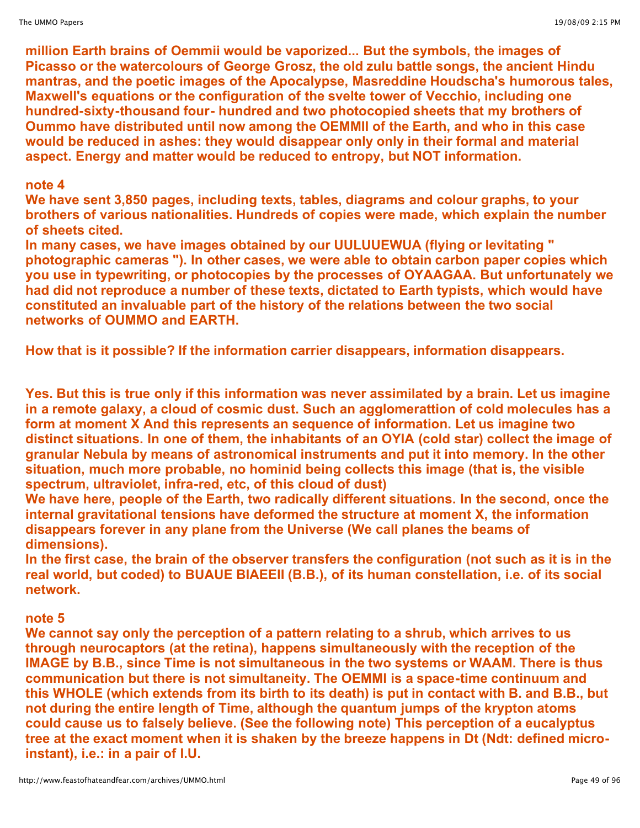**million Earth brains of Oemmii would be vaporized... But the symbols, the images of Picasso or the watercolours of George Grosz, the old zulu battle songs, the ancient Hindu mantras, and the poetic images of the Apocalypse, Masreddine Houdscha's humorous tales, Maxwell's equations or the configuration of the svelte tower of Vecchio, including one hundred-sixty-thousand four- hundred and two photocopied sheets that my brothers of Oummo have distributed until now among the OEMMII of the Earth, and who in this case would be reduced in ashes: they would disappear only only in their formal and material aspect. Energy and matter would be reduced to entropy, but NOT information.**

### **note 4**

**We have sent 3,850 pages, including texts, tables, diagrams and colour graphs, to your brothers of various nationalities. Hundreds of copies were made, which explain the number of sheets cited.**

**In many cases, we have images obtained by our UULUUEWUA (flying or levitating " photographic cameras "). In other cases, we were able to obtain carbon paper copies which you use in typewriting, or photocopies by the processes of OYAAGAA. But unfortunately we had did not reproduce a number of these texts, dictated to Earth typists, which would have constituted an invaluable part of the history of the relations between the two social networks of OUMMO and EARTH.**

**How that is it possible? If the information carrier disappears, information disappears.**

**Yes. But this is true only if this information was never assimilated by a brain. Let us imagine in a remote galaxy, a cloud of cosmic dust. Such an agglomerattion of cold molecules has a form at moment X And this represents an sequence of information. Let us imagine two distinct situations. In one of them, the inhabitants of an OYIA (cold star) collect the image of granular Nebula by means of astronomical instruments and put it into memory. In the other situation, much more probable, no hominid being collects this image (that is, the visible spectrum, ultraviolet, infra-red, etc, of this cloud of dust)**

**We have here, people of the Earth, two radically different situations. In the second, once the internal gravitational tensions have deformed the structure at moment X, the information disappears forever in any plane from the Universe (We call planes the beams of dimensions).**

**In the first case, the brain of the observer transfers the configuration (not such as it is in the real world, but coded) to BUAUE BIAEEII (B.B.), of its human constellation, i.e. of its social network.**

## **note 5**

**We cannot say only the perception of a pattern relating to a shrub, which arrives to us through neurocaptors (at the retina), happens simultaneously with the reception of the IMAGE by B.B., since Time is not simultaneous in the two systems or WAAM. There is thus communication but there is not simultaneity. The OEMMI is a space-time continuum and this WHOLE (which extends from its birth to its death) is put in contact with B. and B.B., but not during the entire length of Time, although the quantum jumps of the krypton atoms could cause us to falsely believe. (See the following note) This perception of a eucalyptus tree at the exact moment when it is shaken by the breeze happens in Dt (Ndt: defined microinstant), i.e.: in a pair of I.U.**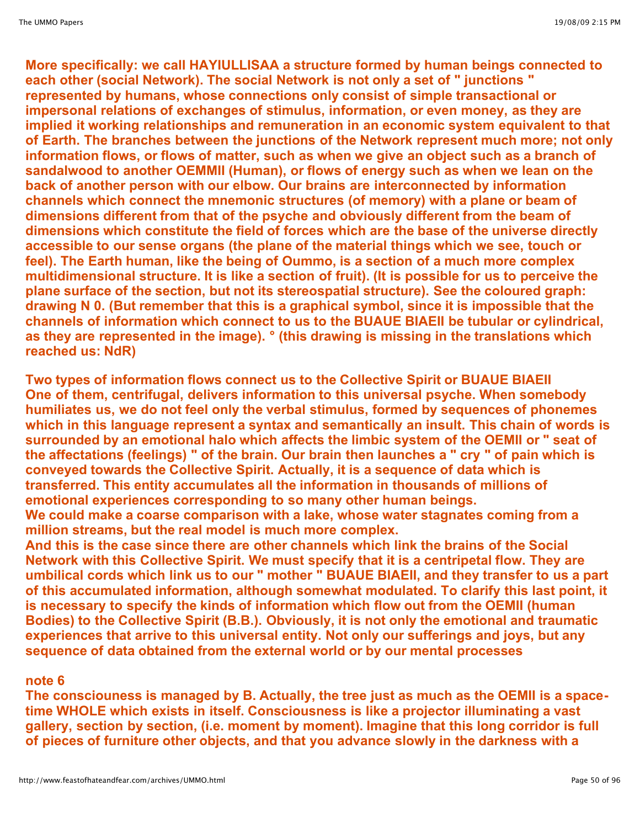**More specifically: we call HAYIULLISAA a structure formed by human beings connected to each other (social Network). The social Network is not only a set of " junctions " represented by humans, whose connections only consist of simple transactional or impersonal relations of exchanges of stimulus, information, or even money, as they are implied it working relationships and remuneration in an economic system equivalent to that of Earth. The branches between the junctions of the Network represent much more; not only information flows, or flows of matter, such as when we give an object such as a branch of sandalwood to another OEMMII (Human), or flows of energy such as when we lean on the back of another person with our elbow. Our brains are interconnected by information channels which connect the mnemonic structures (of memory) with a plane or beam of dimensions different from that of the psyche and obviously different from the beam of dimensions which constitute the field of forces which are the base of the universe directly accessible to our sense organs (the plane of the material things which we see, touch or feel). The Earth human, like the being of Oummo, is a section of a much more complex multidimensional structure. It is like a section of fruit). (It is possible for us to perceive the plane surface of the section, but not its stereospatial structure). See the coloured graph: drawing N 0. (But remember that this is a graphical symbol, since it is impossible that the channels of information which connect to us to the BUAUE BIAEII be tubular or cylindrical, as they are represented in the image). ° (this drawing is missing in the translations which reached us: NdR)**

**Two types of information flows connect us to the Collective Spirit or BUAUE BIAEII One of them, centrifugal, delivers information to this universal psyche. When somebody humiliates us, we do not feel only the verbal stimulus, formed by sequences of phonemes which in this language represent a syntax and semantically an insult. This chain of words is surrounded by an emotional halo which affects the limbic system of the OEMII or " seat of the affectations (feelings) " of the brain. Our brain then launches a " cry " of pain which is conveyed towards the Collective Spirit. Actually, it is a sequence of data which is transferred. This entity accumulates all the information in thousands of millions of emotional experiences corresponding to so many other human beings. We could make a coarse comparison with a lake, whose water stagnates coming from a**

**million streams, but the real model is much more complex.**

**And this is the case since there are other channels which link the brains of the Social Network with this Collective Spirit. We must specify that it is a centripetal flow. They are** umbilical cords which link us to our " mother " BUAUE BIAEII, and they transfer to us a part **of this accumulated information, although somewhat modulated. To clarify this last point, it is necessary to specify the kinds of information which flow out from the OEMII (human Bodies) to the Collective Spirit (B.B.). Obviously, it is not only the emotional and traumatic experiences that arrive to this universal entity. Not only our sufferings and joys, but any sequence of data obtained from the external world or by our mental processes**

## **note 6**

**The consciouness is managed by B. Actually, the tree just as much as the OEMII is a spacetime WHOLE which exists in itself. Consciousness is like a projector illuminating a vast gallery, section by section, (i.e. moment by moment). Imagine that this long corridor is full of pieces of furniture other objects, and that you advance slowly in the darkness with a**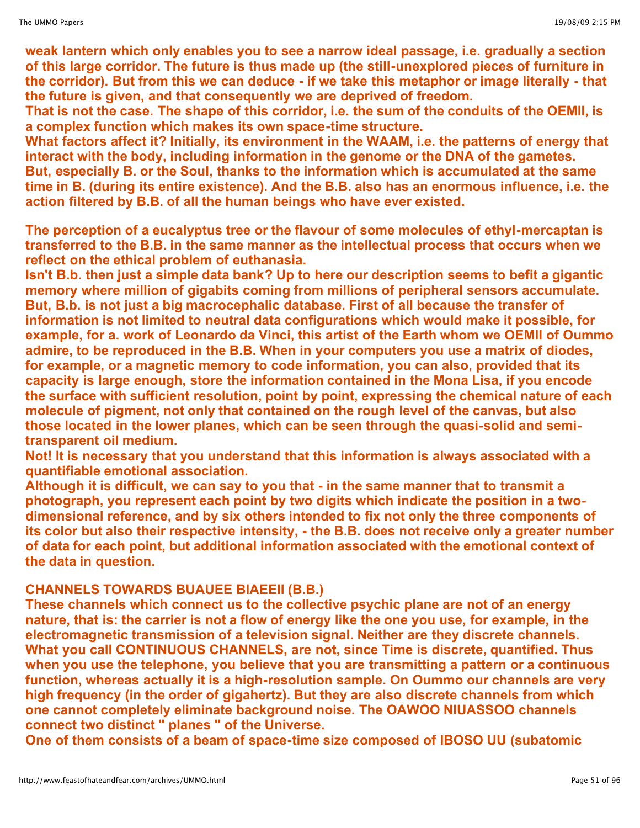**weak lantern which only enables you to see a narrow ideal passage, i.e. gradually a section of this large corridor. The future is thus made up (the still-unexplored pieces of furniture in the corridor). But from this we can deduce - if we take this metaphor or image literally - that the future is given, and that consequently we are deprived of freedom.**

**That is not the case. The shape of this corridor, i.e. the sum of the conduits of the OEMII, is a complex function which makes its own space-time structure.**

**What factors affect it? Initially, its environment in the WAAM, i.e. the patterns of energy that interact with the body, including information in the genome or the DNA of the gametes. But, especially B. or the Soul, thanks to the information which is accumulated at the same time in B. (during its entire existence). And the B.B. also has an enormous influence, i.e. the action filtered by B.B. of all the human beings who have ever existed.**

**The perception of a eucalyptus tree or the flavour of some molecules of ethyl-mercaptan is transferred to the B.B. in the same manner as the intellectual process that occurs when we reflect on the ethical problem of euthanasia.**

**Isn't B.b. then just a simple data bank? Up to here our description seems to befit a gigantic memory where million of gigabits coming from millions of peripheral sensors accumulate. But, B.b. is not just a big macrocephalic database. First of all because the transfer of information is not limited to neutral data configurations which would make it possible, for example, for a. work of Leonardo da Vinci, this artist of the Earth whom we OEMII of Oummo admire, to be reproduced in the B.B. When in your computers you use a matrix of diodes, for example, or a magnetic memory to code information, you can also, provided that its capacity is large enough, store the information contained in the Mona Lisa, if you encode the surface with sufficient resolution, point by point, expressing the chemical nature of each molecule of pigment, not only that contained on the rough level of the canvas, but also those located in the lower planes, which can be seen through the quasi-solid and semitransparent oil medium.**

**Not! It is necessary that you understand that this information is always associated with a quantifiable emotional association.**

**Although it is difficult, we can say to you that - in the same manner that to transmit a photograph, you represent each point by two digits which indicate the position in a twodimensional reference, and by six others intended to fix not only the three components of its color but also their respective intensity, - the B.B. does not receive only a greater number of data for each point, but additional information associated with the emotional context of the data in question.**

# **CHANNELS TOWARDS BUAUEE BIAEEII (B.B.)**

**These channels which connect us to the collective psychic plane are not of an energy nature, that is: the carrier is not a flow of energy like the one you use, for example, in the electromagnetic transmission of a television signal. Neither are they discrete channels. What you call CONTINUOUS CHANNELS, are not, since Time is discrete, quantified. Thus when you use the telephone, you believe that you are transmitting a pattern or a continuous function, whereas actually it is a high-resolution sample. On Oummo our channels are very high frequency (in the order of gigahertz). But they are also discrete channels from which one cannot completely eliminate background noise. The OAWOO NIUASSOO channels connect two distinct " planes " of the Universe.**

**One of them consists of a beam of space-time size composed of IBOSO UU (subatomic**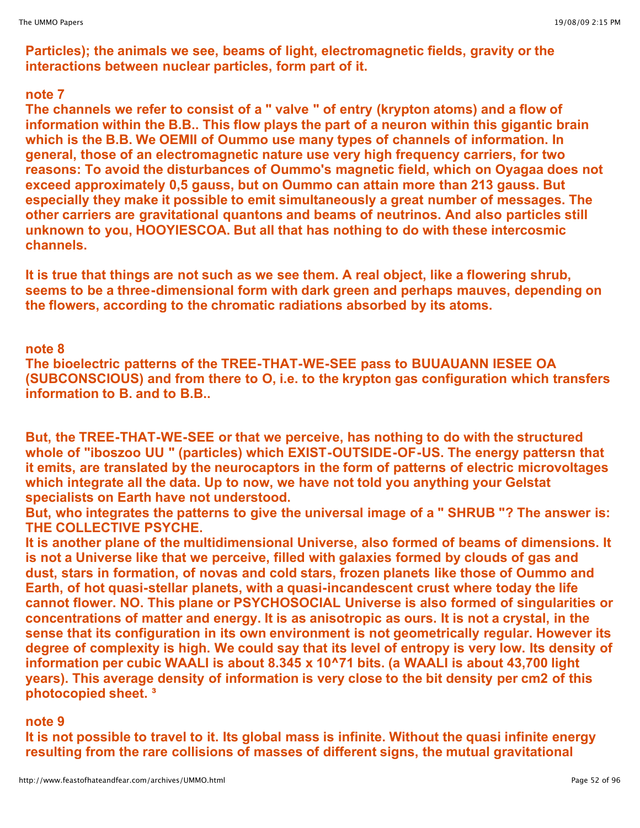**Particles); the animals we see, beams of light, electromagnetic fields, gravity or the interactions between nuclear particles, form part of it.**

#### **note 7**

**The channels we refer to consist of a " valve " of entry (krypton atoms) and a flow of information within the B.B.. This flow plays the part of a neuron within this gigantic brain which is the B.B. We OEMII of Oummo use many types of channels of information. In general, those of an electromagnetic nature use very high frequency carriers, for two reasons: To avoid the disturbances of Oummo's magnetic field, which on Oyagaa does not exceed approximately 0,5 gauss, but on Oummo can attain more than 213 gauss. But especially they make it possible to emit simultaneously a great number of messages. The other carriers are gravitational quantons and beams of neutrinos. And also particles still unknown to you, HOOYIESCOA. But all that has nothing to do with these intercosmic channels.**

**It is true that things are not such as we see them. A real object, like a flowering shrub, seems to be a three-dimensional form with dark green and perhaps mauves, depending on the flowers, according to the chromatic radiations absorbed by its atoms.**

## **note 8**

**The bioelectric patterns of the TREE-THAT-WE-SEE pass to BUUAUANN IESEE OA (SUBCONSCIOUS) and from there to O, i.e. to the krypton gas configuration which transfers information to B. and to B.B..**

**But, the TREE-THAT-WE-SEE or that we perceive, has nothing to do with the structured whole of "iboszoo UU " (particles) which EXIST-OUTSIDE-OF-US. The energy pattersn that it emits, are translated by the neurocaptors in the form of patterns of electric microvoltages which integrate all the data. Up to now, we have not told you anything your Gelstat specialists on Earth have not understood.**

**But, who integrates the patterns to give the universal image of a " SHRUB "? The answer is: THE COLLECTIVE PSYCHE.**

**It is another plane of the multidimensional Universe, also formed of beams of dimensions. It is not a Universe like that we perceive, filled with galaxies formed by clouds of gas and dust, stars in formation, of novas and cold stars, frozen planets like those of Oummo and Earth, of hot quasi-stellar planets, with a quasi-incandescent crust where today the life cannot flower. NO. This plane or PSYCHOSOCIAL Universe is also formed of singularities or concentrations of matter and energy. It is as anisotropic as ours. It is not a crystal, in the sense that its configuration in its own environment is not geometrically regular. However its degree of complexity is high. We could say that its level of entropy is very low. Its density of information per cubic WAALI is about 8.345 x 10^71 bits. (a WAALI is about 43,700 light years). This average density of information is very close to the bit density per cm2 of this photocopied sheet. ³**

## **note 9**

**It is not possible to travel to it. Its global mass is infinite. Without the quasi infinite energy resulting from the rare collisions of masses of different signs, the mutual gravitational**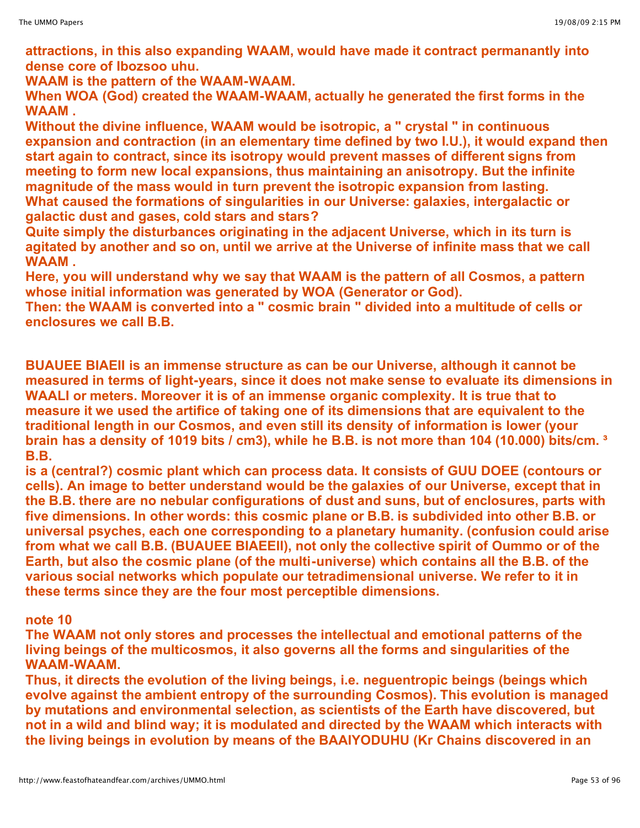**attractions, in this also expanding WAAM, would have made it contract permanantly into dense core of Ibozsoo uhu.**

**WAAM is the pattern of the WAAM-WAAM.**

**When WOA (God) created the WAAM-WAAM, actually he generated the first forms in the WAAM .**

**Without the divine influence, WAAM would be isotropic, a " crystal " in continuous expansion and contraction (in an elementary time defined by two I.U.), it would expand then start again to contract, since its isotropy would prevent masses of different signs from meeting to form new local expansions, thus maintaining an anisotropy. But the infinite magnitude of the mass would in turn prevent the isotropic expansion from lasting. What caused the formations of singularities in our Universe: galaxies, intergalactic or galactic dust and gases, cold stars and stars?**

**Quite simply the disturbances originating in the adjacent Universe, which in its turn is agitated by another and so on, until we arrive at the Universe of infinite mass that we call WAAM .**

**Here, you will understand why we say that WAAM is the pattern of all Cosmos, a pattern whose initial information was generated by WOA (Generator or God).**

**Then: the WAAM is converted into a " cosmic brain " divided into a multitude of cells or enclosures we call B.B.**

**BUAUEE BIAEII is an immense structure as can be our Universe, although it cannot be measured in terms of light-years, since it does not make sense to evaluate its dimensions in WAALI or meters. Moreover it is of an immense organic complexity. It is true that to measure it we used the artifice of taking one of its dimensions that are equivalent to the traditional length in our Cosmos, and even still its density of information is lower (your** brain has a density of 1019 bits / cm3), while he B.B. is not more than 104 (10.000) bits/cm. 3 **B.B.** 

**is a (central?) cosmic plant which can process data. It consists of GUU DOEE (contours or cells). An image to better understand would be the galaxies of our Universe, except that in the B.B. there are no nebular configurations of dust and suns, but of enclosures, parts with five dimensions. In other words: this cosmic plane or B.B. is subdivided into other B.B. or universal psyches, each one corresponding to a planetary humanity. (confusion could arise from what we call B.B. (BUAUEE BIAEEII), not only the collective spirit of Oummo or of the Earth, but also the cosmic plane (of the multi-universe) which contains all the B.B. of the various social networks which populate our tetradimensional universe. We refer to it in these terms since they are the four most perceptible dimensions.**

## **note 10**

**The WAAM not only stores and processes the intellectual and emotional patterns of the living beings of the multicosmos, it also governs all the forms and singularities of the WAAM-WAAM.**

**Thus, it directs the evolution of the living beings, i.e. neguentropic beings (beings which evolve against the ambient entropy of the surrounding Cosmos). This evolution is managed by mutations and environmental selection, as scientists of the Earth have discovered, but not in a wild and blind way; it is modulated and directed by the WAAM which interacts with the living beings in evolution by means of the BAAIYODUHU (Kr Chains discovered in an**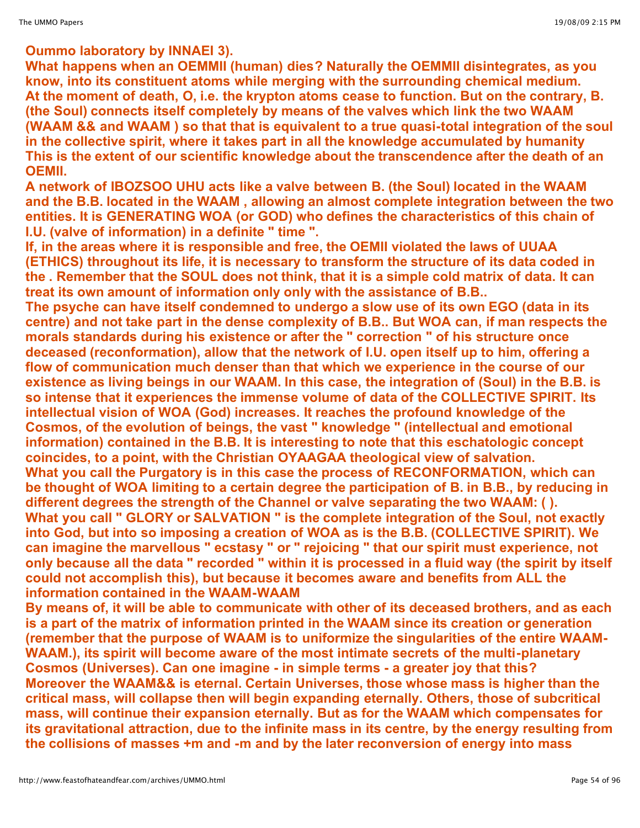**Oummo laboratory by INNAEI 3).**

**What happens when an OEMMII (human) dies? Naturally the OEMMII disintegrates, as you know, into its constituent atoms while merging with the surrounding chemical medium. At the moment of death, O, i.e. the krypton atoms cease to function. But on the contrary, B. (the Soul) connects itself completely by means of the valves which link the two WAAM (WAAM && and WAAM ) so that that is equivalent to a true quasi-total integration of the soul in the collective spirit, where it takes part in all the knowledge accumulated by humanity This is the extent of our scientific knowledge about the transcendence after the death of an OEMII.**

**A network of IBOZSOO UHU acts like a valve between B. (the Soul) located in the WAAM and the B.B. located in the WAAM , allowing an almost complete integration between the two entities. It is GENERATING WOA (or GOD) who defines the characteristics of this chain of I.U. (valve of information) in a definite " time ".**

**If, in the areas where it is responsible and free, the OEMII violated the laws of UUAA (ETHICS) throughout its life, it is necessary to transform the structure of its data coded in the . Remember that the SOUL does not think, that it is a simple cold matrix of data. It can treat its own amount of information only only with the assistance of B.B..**

**The psyche can have itself condemned to undergo a slow use of its own EGO (data in its centre) and not take part in the dense complexity of B.B.. But WOA can, if man respects the morals standards during his existence or after the " correction " of his structure once deceased (reconformation), allow that the network of I.U. open itself up to him, offering a flow of communication much denser than that which we experience in the course of our existence as living beings in our WAAM. In this case, the integration of (Soul) in the B.B. is so intense that it experiences the immense volume of data of the COLLECTIVE SPIRIT. Its intellectual vision of WOA (God) increases. It reaches the profound knowledge of the Cosmos, of the evolution of beings, the vast " knowledge " (intellectual and emotional information) contained in the B.B. It is interesting to note that this eschatologic concept coincides, to a point, with the Christian OYAAGAA theological view of salvation. What you call the Purgatory is in this case the process of RECONFORMATION, which can be thought of WOA limiting to a certain degree the participation of B. in B.B., by reducing in different degrees the strength of the Channel or valve separating the two WAAM: ( ). What you call " GLORY or SALVATION " is the complete integration of the Soul, not exactly into God, but into so imposing a creation of WOA as is the B.B. (COLLECTIVE SPIRIT). We can imagine the marvellous " ecstasy " or " rejoicing " that our spirit must experience, not** only because all the data " recorded " within it is processed in a fluid way (the spirit by itself **could not accomplish this), but because it becomes aware and benefits from ALL the information contained in the WAAM-WAAM**

**By means of, it will be able to communicate with other of its deceased brothers, and as each is a part of the matrix of information printed in the WAAM since its creation or generation (remember that the purpose of WAAM is to uniformize the singularities of the entire WAAM-WAAM.), its spirit will become aware of the most intimate secrets of the multi-planetary Cosmos (Universes). Can one imagine - in simple terms - a greater joy that this? Moreover the WAAM&& is eternal. Certain Universes, those whose mass is higher than the critical mass, will collapse then will begin expanding eternally. Others, those of subcritical mass, will continue their expansion eternally. But as for the WAAM which compensates for its gravitational attraction, due to the infinite mass in its centre, by the energy resulting from the collisions of masses +m and -m and by the later reconversion of energy into mass**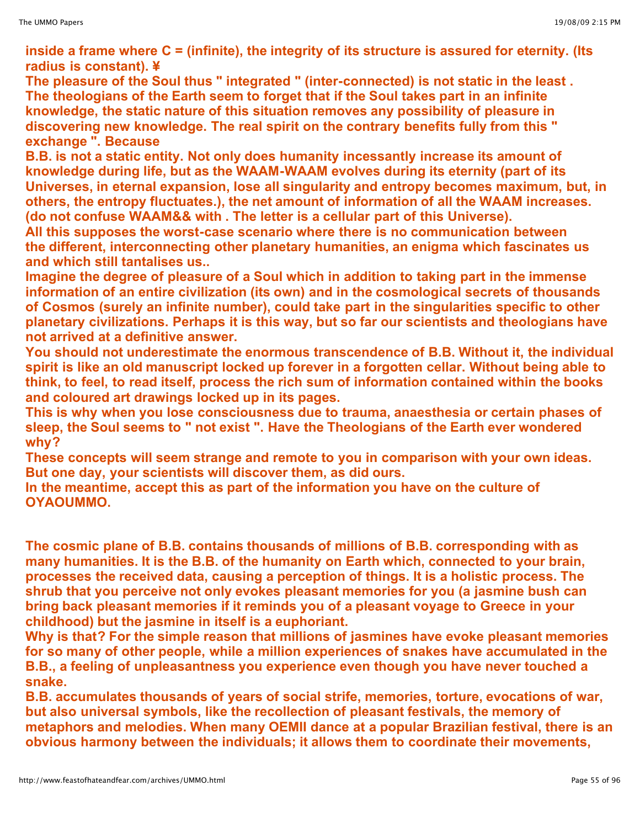**inside a frame where C = (infinite), the integrity of its structure is assured for eternity. (Its radius is constant). ¥**

**The pleasure of the Soul thus " integrated " (inter-connected) is not static in the least . The theologians of the Earth seem to forget that if the Soul takes part in an infinite knowledge, the static nature of this situation removes any possibility of pleasure in discovering new knowledge. The real spirit on the contrary benefits fully from this " exchange ". Because**

**B.B. is not a static entity. Not only does humanity incessantly increase its amount of knowledge during life, but as the WAAM-WAAM evolves during its eternity (part of its Universes, in eternal expansion, lose all singularity and entropy becomes maximum, but, in others, the entropy fluctuates.), the net amount of information of all the WAAM increases. (do not confuse WAAM&& with . The letter is a cellular part of this Universe).**

**All this supposes the worst-case scenario where there is no communication between the different, interconnecting other planetary humanities, an enigma which fascinates us and which still tantalises us..**

**Imagine the degree of pleasure of a Soul which in addition to taking part in the immense information of an entire civilization (its own) and in the cosmological secrets of thousands of Cosmos (surely an infinite number), could take part in the singularities specific to other planetary civilizations. Perhaps it is this way, but so far our scientists and theologians have not arrived at a definitive answer.**

**You should not underestimate the enormous transcendence of B.B. Without it, the individual spirit is like an old manuscript locked up forever in a forgotten cellar. Without being able to think, to feel, to read itself, process the rich sum of information contained within the books and coloured art drawings locked up in its pages.**

**This is why when you lose consciousness due to trauma, anaesthesia or certain phases of sleep, the Soul seems to " not exist ". Have the Theologians of the Earth ever wondered why?**

**These concepts will seem strange and remote to you in comparison with your own ideas. But one day, your scientists will discover them, as did ours.**

**In the meantime, accept this as part of the information you have on the culture of OYAOUMMO.**

**The cosmic plane of B.B. contains thousands of millions of B.B. corresponding with as many humanities. It is the B.B. of the humanity on Earth which, connected to your brain, processes the received data, causing a perception of things. It is a holistic process. The shrub that you perceive not only evokes pleasant memories for you (a jasmine bush can bring back pleasant memories if it reminds you of a pleasant voyage to Greece in your childhood) but the jasmine in itself is a euphoriant.**

**Why is that? For the simple reason that millions of jasmines have evoke pleasant memories for so many of other people, while a million experiences of snakes have accumulated in the B.B., a feeling of unpleasantness you experience even though you have never touched a snake.**

**B.B. accumulates thousands of years of social strife, memories, torture, evocations of war, but also universal symbols, like the recollection of pleasant festivals, the memory of metaphors and melodies. When many OEMII dance at a popular Brazilian festival, there is an obvious harmony between the individuals; it allows them to coordinate their movements,**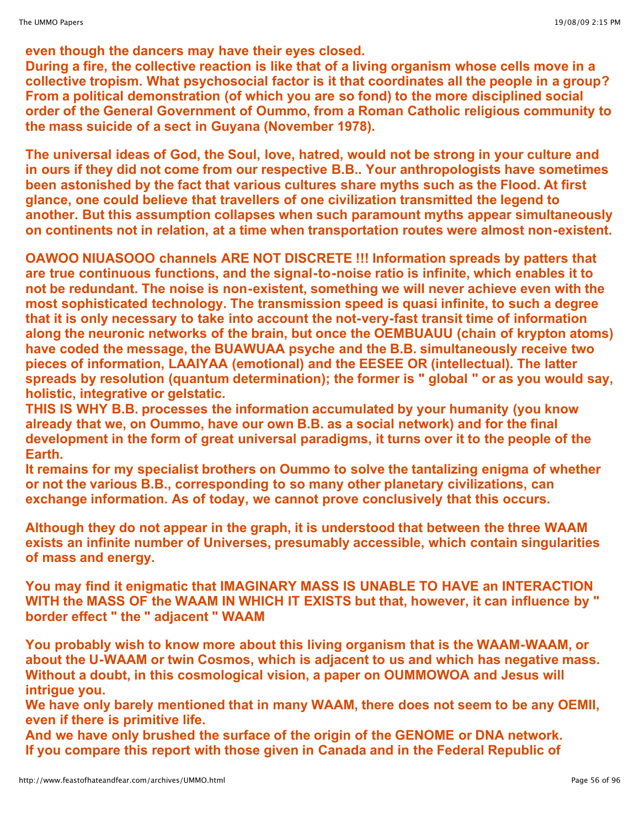**even though the dancers may have their eyes closed.**

**During a fire, the collective reaction is like that of a living organism whose cells move in a collective tropism. What psychosocial factor is it that coordinates all the people in a group? From a political demonstration (of which you are so fond) to the more disciplined social order of the General Government of Oummo, from a Roman Catholic religious community to the mass suicide of a sect in Guyana (November 1978).**

**The universal ideas of God, the Soul, love, hatred, would not be strong in your culture and in ours if they did not come from our respective B.B.. Your anthropologists have sometimes been astonished by the fact that various cultures share myths such as the Flood. At first glance, one could believe that travellers of one civilization transmitted the legend to another. But this assumption collapses when such paramount myths appear simultaneously on continents not in relation, at a time when transportation routes were almost non-existent.**

**OAWOO NIUASOOO channels ARE NOT DISCRETE !!! Information spreads by patters that are true continuous functions, and the signal-to-noise ratio is infinite, which enables it to not be redundant. The noise is non-existent, something we will never achieve even with the most sophisticated technology. The transmission speed is quasi infinite, to such a degree that it is only necessary to take into account the not-very-fast transit time of information along the neuronic networks of the brain, but once the OEMBUAUU (chain of krypton atoms) have coded the message, the BUAWUAA psyche and the B.B. simultaneously receive two pieces of information, LAAIYAA (emotional) and the EESEE OR (intellectual). The latter spreads by resolution (quantum determination); the former is " global " or as you would say, holistic, integrative or gelstatic.**

**THIS IS WHY B.B. processes the information accumulated by your humanity (you know already that we, on Oummo, have our own B.B. as a social network) and for the final development in the form of great universal paradigms, it turns over it to the people of the Earth.**

**It remains for my specialist brothers on Oummo to solve the tantalizing enigma of whether or not the various B.B., corresponding to so many other planetary civilizations, can exchange information. As of today, we cannot prove conclusively that this occurs.**

**Although they do not appear in the graph, it is understood that between the three WAAM exists an infinite number of Universes, presumably accessible, which contain singularities of mass and energy.**

**You may find it enigmatic that IMAGINARY MASS IS UNABLE TO HAVE an INTERACTION WITH the MASS OF the WAAM IN WHICH IT EXISTS but that, however, it can influence by " border effect " the " adjacent " WAAM**

**You probably wish to know more about this living organism that is the WAAM-WAAM, or about the U-WAAM or twin Cosmos, which is adjacent to us and which has negative mass. Without a doubt, in this cosmological vision, a paper on OUMMOWOA and Jesus will intrigue you.**

**We have only barely mentioned that in many WAAM, there does not seem to be any OEMII, even if there is primitive life.**

**And we have only brushed the surface of the origin of the GENOME or DNA network. If you compare this report with those given in Canada and in the Federal Republic of**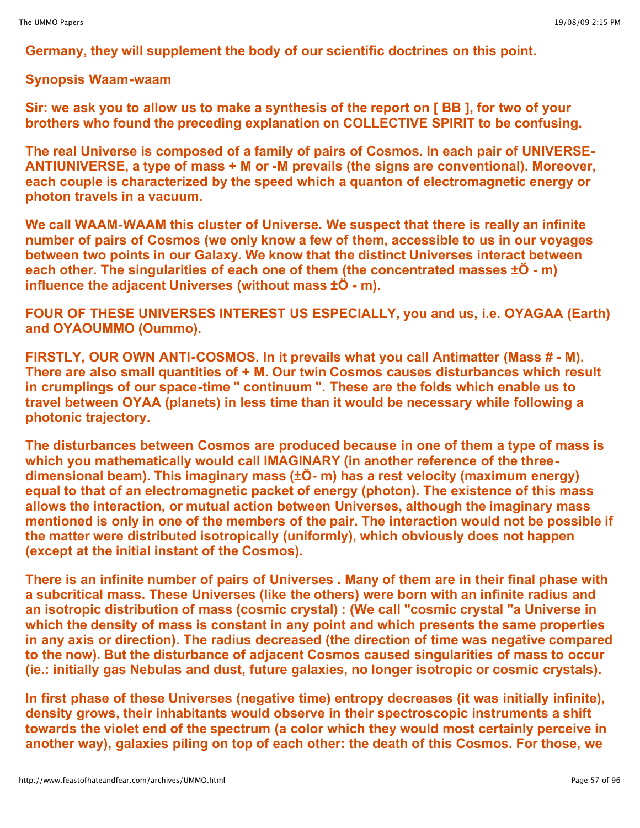**Germany, they will supplement the body of our scientific doctrines on this point.**

## **Synopsis Waam-waam**

Sir: we ask you to allow us to make a synthesis of the report on [BB], for two of your **brothers who found the preceding explanation on COLLECTIVE SPIRIT to be confusing.**

**The real Universe is composed of a family of pairs of Cosmos. In each pair of UNIVERSE-ANTIUNIVERSE, a type of mass + M or -M prevails (the signs are conventional). Moreover, each couple is characterized by the speed which a quanton of electromagnetic energy or photon travels in a vacuum.**

**We call WAAM-WAAM this cluster of Universe. We suspect that there is really an infinite number of pairs of Cosmos (we only know a few of them, accessible to us in our voyages between two points in our Galaxy. We know that the distinct Universes interact between each other. The singularities of each one of them (the concentrated masses ±Ö - m) influence the adjacent Universes (without mass ±Ö - m).**

**FOUR OF THESE UNIVERSES INTEREST US ESPECIALLY, you and us, i.e. OYAGAA (Earth) and OYAOUMMO (Oummo).**

**FIRSTLY, OUR OWN ANTI-COSMOS. In it prevails what you call Antimatter (Mass # - M). There are also small quantities of + M. Our twin Cosmos causes disturbances which result in crumplings of our space-time " continuum ". These are the folds which enable us to travel between OYAA (planets) in less time than it would be necessary while following a photonic trajectory.**

**The disturbances between Cosmos are produced because in one of them a type of mass is which you mathematically would call IMAGINARY (in another reference of the threedimensional beam). This imaginary mass (±Ö- m) has a rest velocity (maximum energy) equal to that of an electromagnetic packet of energy (photon). The existence of this mass allows the interaction, or mutual action between Universes, although the imaginary mass mentioned is only in one of the members of the pair. The interaction would not be possible if the matter were distributed isotropically (uniformly), which obviously does not happen (except at the initial instant of the Cosmos).**

There is an infinite number of pairs of Universes . Many of them are in their final phase with **a subcritical mass. These Universes (like the others) were born with an infinite radius and an isotropic distribution of mass (cosmic crystal) : (We call "cosmic crystal "a Universe in which the density of mass is constant in any point and which presents the same properties in any axis or direction). The radius decreased (the direction of time was negative compared to the now). But the disturbance of adjacent Cosmos caused singularities of mass to occur (ie.: initially gas Nebulas and dust, future galaxies, no longer isotropic or cosmic crystals).**

**In first phase of these Universes (negative time) entropy decreases (it was initially infinite), density grows, their inhabitants would observe in their spectroscopic instruments a shift towards the violet end of the spectrum (a color which they would most certainly perceive in another way), galaxies piling on top of each other: the death of this Cosmos. For those, we**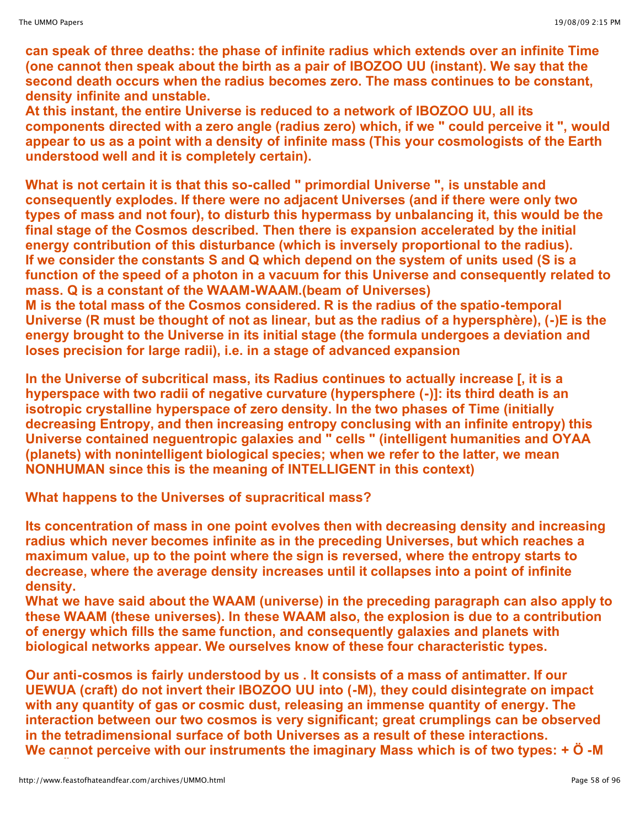**can speak of three deaths: the phase of infinite radius which extends over an infinite Time (one cannot then speak about the birth as a pair of IBOZOO UU (instant). We say that the second death occurs when the radius becomes zero. The mass continues to be constant, density infinite and unstable.**

**At this instant, the entire Universe is reduced to a network of IBOZOO UU, all its components directed with a zero angle (radius zero) which, if we " could perceive it ", would appear to us as a point with a density of infinite mass (This your cosmologists of the Earth understood well and it is completely certain).**

**What is not certain it is that this so-called " primordial Universe ", is unstable and consequently explodes. If there were no adjacent Universes (and if there were only two types of mass and not four), to disturb this hypermass by unbalancing it, this would be the final stage of the Cosmos described. Then there is expansion accelerated by the initial energy contribution of this disturbance (which is inversely proportional to the radius). If we consider the constants S and Q which depend on the system of units used (S is a function of the speed of a photon in a vacuum for this Universe and consequently related to mass. Q is a constant of the WAAM-WAAM.(beam of Universes)**

**M is the total mass of the Cosmos considered. R is the radius of the spatio-temporal Universe (R must be thought of not as linear, but as the radius of a hypersphère), (-)E is the energy brought to the Universe in its initial stage (the formula undergoes a deviation and loses precision for large radii), i.e. in a stage of advanced expansion**

**In the Universe of subcritical mass, its Radius continues to actually increase [, it is a hyperspace with two radii of negative curvature (hypersphere (-)]: its third death is an isotropic crystalline hyperspace of zero density. In the two phases of Time (initially decreasing Entropy, and then increasing entropy conclusing with an infinite entropy) this Universe contained neguentropic galaxies and " cells " (intelligent humanities and OYAA (planets) with nonintelligent biological species; when we refer to the latter, we mean NONHUMAN since this is the meaning of INTELLIGENT in this context)**

**What happens to the Universes of supracritical mass?**

**Its concentration of mass in one point evolves then with decreasing density and increasing radius which never becomes infinite as in the preceding Universes, but which reaches a maximum value, up to the point where the sign is reversed, where the entropy starts to decrease, where the average density increases until it collapses into a point of infinite density.**

**What we have said about the WAAM (universe) in the preceding paragraph can also apply to these WAAM (these universes). In these WAAM also, the explosion is due to a contribution of energy which fills the same function, and consequently galaxies and planets with biological networks appear. We ourselves know of these four characteristic types.**

**Our anti-cosmos is fairly understood by us . It consists of a mass of antimatter. If our UEWUA (craft) do not invert their IBOZOO UU into (-M), they could disintegrate on impact with any quantity of gas or cosmic dust, releasing an immense quantity of energy. The interaction between our two cosmos is very significant; great crumplings can be observed in the tetradimensional surface of both Universes as a result of these interactions. We cannot perceive with our instruments the imaginary Mass which is of two types: + Ö -M**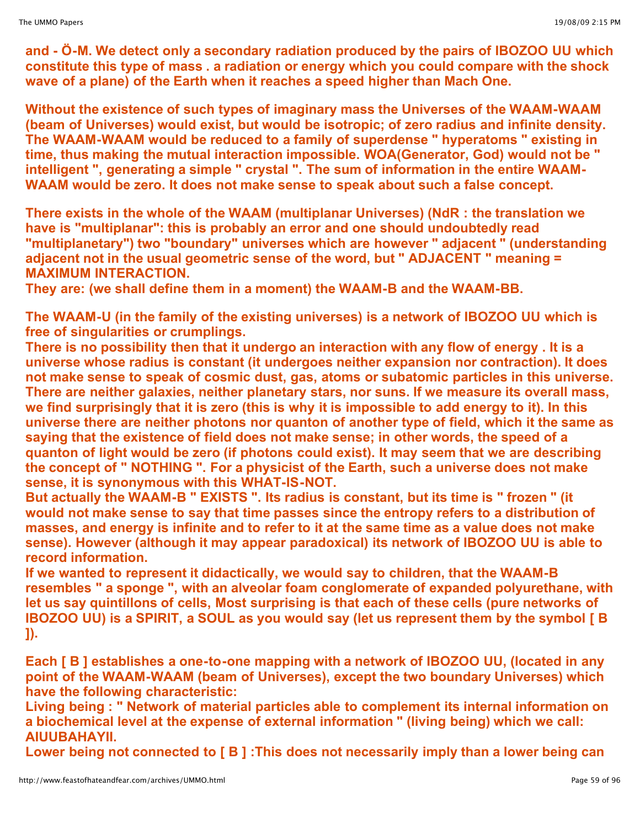**and - Ö-M. We detect only a secondary radiation produced by the pairs of IBOZOO UU which constitute this type of mass . a radiation or energy which you could compare with the shock wave of a plane) of the Earth when it reaches a speed higher than Mach One.**

**Without the existence of such types of imaginary mass the Universes of the WAAM-WAAM (beam of Universes) would exist, but would be isotropic; of zero radius and infinite density. The WAAM-WAAM would be reduced to a family of superdense " hyperatoms " existing in time, thus making the mutual interaction impossible. WOA(Generator, God) would not be " intelligent ", generating a simple " crystal ". The sum of information in the entire WAAM-WAAM would be zero. It does not make sense to speak about such a false concept.**

**There exists in the whole of the WAAM (multiplanar Universes) (NdR : the translation we have is "multiplanar": this is probably an error and one should undoubtedly read "multiplanetary") two "boundary" universes which are however " adjacent " (understanding adjacent not in the usual geometric sense of the word, but " ADJACENT " meaning = MAXIMUM INTERACTION.**

**They are: (we shall define them in a moment) the WAAM-B and the WAAM-BB.**

**The WAAM-U (in the family of the existing universes) is a network of IBOZOO UU which is free of singularities or crumplings.**

**There is no possibility then that it undergo an interaction with any flow of energy . It is a universe whose radius is constant (it undergoes neither expansion nor contraction). It does not make sense to speak of cosmic dust, gas, atoms or subatomic particles in this universe. There are neither galaxies, neither planetary stars, nor suns. If we measure its overall mass,** we find surprisingly that it is zero (this is why it is impossible to add energy to it). In this **universe there are neither photons nor quanton of another type of field, which it the same as saying that the existence of field does not make sense; in other words, the speed of a quanton of light would be zero (if photons could exist). It may seem that we are describing the concept of " NOTHING ". For a physicist of the Earth, such a universe does not make sense, it is synonymous with this WHAT-IS-NOT.**

**But actually the WAAM-B " EXISTS ". Its radius is constant, but its time is " frozen " (it would not make sense to say that time passes since the entropy refers to a distribution of masses, and energy is infinite and to refer to it at the same time as a value does not make sense). However (although it may appear paradoxical) its network of IBOZOO UU is able to record information.**

**If we wanted to represent it didactically, we would say to children, that the WAAM-B resembles " a sponge ", with an alveolar foam conglomerate of expanded polyurethane, with let us say quintillons of cells, Most surprising is that each of these cells (pure networks of IBOZOO UU) is a SPIRIT, a SOUL as you would say (let us represent them by the symbol [ B ]).**

**Each [ B ] establishes a one-to-one mapping with a network of IBOZOO UU, (located in any point of the WAAM-WAAM (beam of Universes), except the two boundary Universes) which have the following characteristic:**

**Living being : " Network of material particles able to complement its internal information on a biochemical level at the expense of external information " (living being) which we call: AIUUBAHAYII.**

**Lower being not connected to [ B ] :This does not necessarily imply than a lower being can**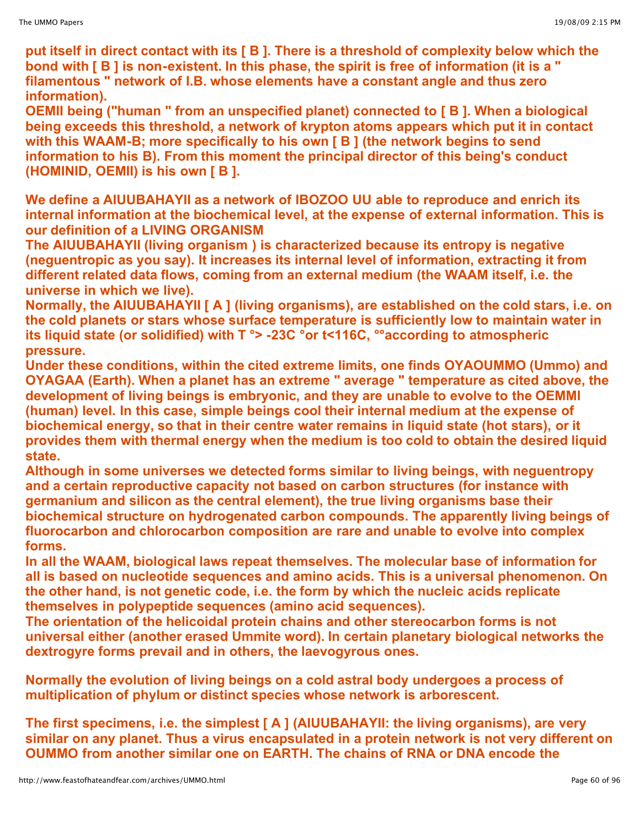**put itself in direct contact with its [ B ]. There is a threshold of complexity below which the bond with [ B ] is non-existent. In this phase, the spirit is free of information (it is a " filamentous " network of I.B. whose elements have a constant angle and thus zero information).**

**OEMII being ("human " from an unspecified planet) connected to [ B ]. When a biological being exceeds this threshold, a network of krypton atoms appears which put it in contact with this WAAM-B; more specifically to his own [ B ] (the network begins to send information to his B). From this moment the principal director of this being's conduct (HOMINID, OEMII) is his own [ B ].**

**We define a AIUUBAHAYII as a network of IBOZOO UU able to reproduce and enrich its internal information at the biochemical level, at the expense of external information. This is our definition of a LIVING ORGANISM** 

**The AIUUBAHAYII (living organism ) is characterized because its entropy is negative (neguentropic as you say). It increases its internal level of information, extracting it from different related data flows, coming from an external medium (the WAAM itself, i.e. the universe in which we live).**

**Normally, the AIUUBAHAYII [ A ] (living organisms), are established on the cold stars, i.e. on the cold planets or stars whose surface temperature is sufficiently low to maintain water in its liquid state (or solidified) with T °> -23C °or t<116C, °°according to atmospheric pressure.**

**Under these conditions, within the cited extreme limits, one finds OYAOUMMO (Ummo) and OYAGAA (Earth). When a planet has an extreme " average " temperature as cited above, the development of living beings is embryonic, and they are unable to evolve to the OEMMI (human) level. In this case, simple beings cool their internal medium at the expense of biochemical energy, so that in their centre water remains in liquid state (hot stars), or it provides them with thermal energy when the medium is too cold to obtain the desired liquid state.**

**Although in some universes we detected forms similar to living beings, with neguentropy and a certain reproductive capacity not based on carbon structures (for instance with germanium and silicon as the central element), the true living organisms base their biochemical structure on hydrogenated carbon compounds. The apparently living beings of fluorocarbon and chlorocarbon composition are rare and unable to evolve into complex forms.**

**In all the WAAM, biological laws repeat themselves. The molecular base of information for all is based on nucleotide sequences and amino acids. This is a universal phenomenon. On the other hand, is not genetic code, i.e. the form by which the nucleic acids replicate themselves in polypeptide sequences (amino acid sequences).**

**The orientation of the helicoidal protein chains and other stereocarbon forms is not universal either (another erased Ummite word). In certain planetary biological networks the dextrogyre forms prevail and in others, the laevogyrous ones.**

**Normally the evolution of living beings on a cold astral body undergoes a process of multiplication of phylum or distinct species whose network is arborescent.**

**The first specimens, i.e. the simplest [ A ] (AIUUBAHAYII: the living organisms), are very similar on any planet. Thus a virus encapsulated in a protein network is not very different on OUMMO from another similar one on EARTH. The chains of RNA or DNA encode the**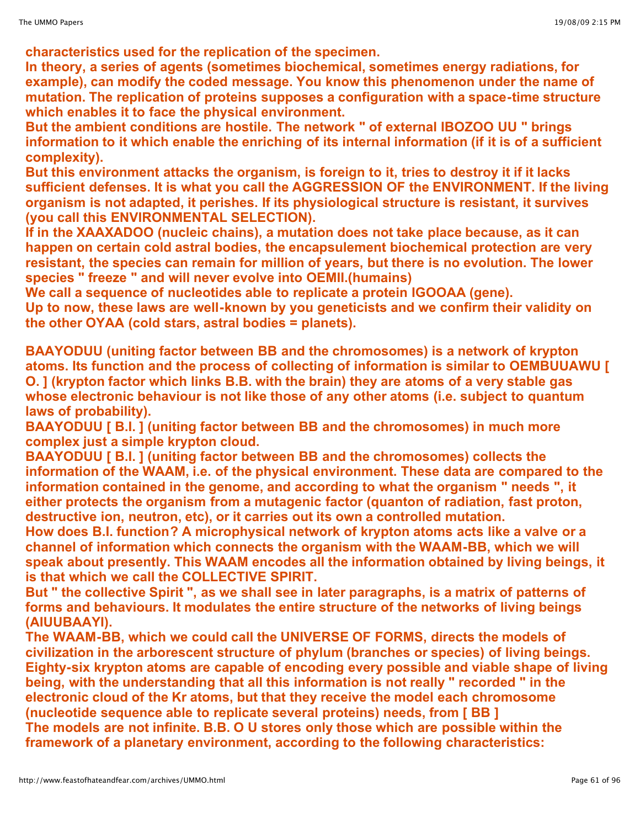**characteristics used for the replication of the specimen.**

**In theory, a series of agents (sometimes biochemical, sometimes energy radiations, for example), can modify the coded message. You know this phenomenon under the name of mutation. The replication of proteins supposes a configuration with a space-time structure which enables it to face the physical environment.**

**But the ambient conditions are hostile. The network " of external IBOZOO UU " brings information to it which enable the enriching of its internal information (if it is of a sufficient complexity).**

**But this environment attacks the organism, is foreign to it, tries to destroy it if it lacks sufficient defenses. It is what you call the AGGRESSION OF the ENVIRONMENT. If the living organism is not adapted, it perishes. If its physiological structure is resistant, it survives (you call this ENVIRONMENTAL SELECTION).**

**If in the XAAXADOO (nucleic chains), a mutation does not take place because, as it can happen on certain cold astral bodies, the encapsulement biochemical protection are very resistant, the species can remain for million of years, but there is no evolution. The lower species " freeze " and will never evolve into OEMII.(humains)**

**We call a sequence of nucleotides able to replicate a protein IGOOAA (gene). Up to now, these laws are well-known by you geneticists and we confirm their validity on the other OYAA (cold stars, astral bodies = planets).**

**BAAYODUU (uniting factor between BB and the chromosomes) is a network of krypton atoms. Its function and the process of collecting of information is similar to OEMBUUAWU [ O. ] (krypton factor which links B.B. with the brain) they are atoms of a very stable gas whose electronic behaviour is not like those of any other atoms (i.e. subject to quantum laws of probability).**

**BAAYODUU [ B.I. ] (uniting factor between BB and the chromosomes) in much more complex just a simple krypton cloud.**

**BAAYODUU [ B.I. ] (uniting factor between BB and the chromosomes) collects the information of the WAAM, i.e. of the physical environment. These data are compared to the information contained in the genome, and according to what the organism " needs ", it either protects the organism from a mutagenic factor (quanton of radiation, fast proton, destructive ion, neutron, etc), or it carries out its own a controlled mutation.** 

**How does B.I. function? A microphysical network of krypton atoms acts like a valve or a channel of information which connects the organism with the WAAM-BB, which we will speak about presently. This WAAM encodes all the information obtained by living beings, it is that which we call the COLLECTIVE SPIRIT.**

**But " the collective Spirit ", as we shall see in later paragraphs, is a matrix of patterns of forms and behaviours. It modulates the entire structure of the networks of living beings (AIUUBAAYI).** 

**The WAAM-BB, which we could call the UNIVERSE OF FORMS, directs the models of civilization in the arborescent structure of phylum (branches or species) of living beings. Eighty-six krypton atoms are capable of encoding every possible and viable shape of living being, with the understanding that all this information is not really " recorded " in the electronic cloud of the Kr atoms, but that they receive the model each chromosome (nucleotide sequence able to replicate several proteins) needs, from [ BB ] The models are not infinite. B.B. O U stores only those which are possible within the framework of a planetary environment, according to the following characteristics:**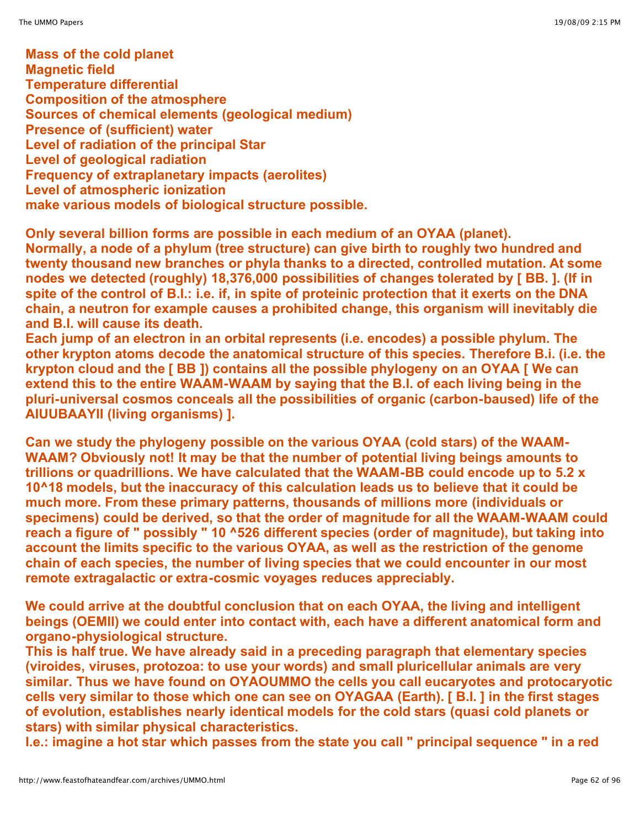**Mass of the cold planet Magnetic field Temperature differential Composition of the atmosphere Sources of chemical elements (geological medium) Presence of (sufficient) water Level of radiation of the principal Star Level of geological radiation Frequency of extraplanetary impacts (aerolites) Level of atmospheric ionization make various models of biological structure possible.**

**Only several billion forms are possible in each medium of an OYAA (planet). Normally, a node of a phylum (tree structure) can give birth to roughly two hundred and twenty thousand new branches or phyla thanks to a directed, controlled mutation. At some nodes we detected (roughly) 18,376,000 possibilities of changes tolerated by [ BB. ]. (If in spite of the control of B.I.: i.e. if, in spite of proteinic protection that it exerts on the DNA chain, a neutron for example causes a prohibited change, this organism will inevitably die and B.I. will cause its death.**

**Each jump of an electron in an orbital represents (i.e. encodes) a possible phylum. The other krypton atoms decode the anatomical structure of this species. Therefore B.i. (i.e. the krypton cloud and the [ BB ]) contains all the possible phylogeny on an OYAA [ We can extend this to the entire WAAM-WAAM by saying that the B.I. of each living being in the pluri-universal cosmos conceals all the possibilities of organic (carbon-baused) life of the AIUUBAAYII (living organisms) ].**

**Can we study the phylogeny possible on the various OYAA (cold stars) of the WAAM-WAAM? Obviously not! It may be that the number of potential living beings amounts to trillions or quadrillions. We have calculated that the WAAM-BB could encode up to 5.2 x 10^18 models, but the inaccuracy of this calculation leads us to believe that it could be much more. From these primary patterns, thousands of millions more (individuals or specimens) could be derived, so that the order of magnitude for all the WAAM-WAAM could reach a figure of " possibly " 10 ^526 different species (order of magnitude), but taking into account the limits specific to the various OYAA, as well as the restriction of the genome chain of each species, the number of living species that we could encounter in our most remote extragalactic or extra-cosmic voyages reduces appreciably.**

**We could arrive at the doubtful conclusion that on each OYAA, the living and intelligent beings (OEMII) we could enter into contact with, each have a different anatomical form and organo-physiological structure.**

**This is half true. We have already said in a preceding paragraph that elementary species (viroides, viruses, protozoa: to use your words) and small pluricellular animals are very similar. Thus we have found on OYAOUMMO the cells you call eucaryotes and protocaryotic cells very similar to those which one can see on OYAGAA (Earth). [ B.I. ] in the first stages of evolution, establishes nearly identical models for the cold stars (quasi cold planets or stars) with similar physical characteristics.**

**I.e.: imagine a hot star which passes from the state you call " principal sequence " in a red**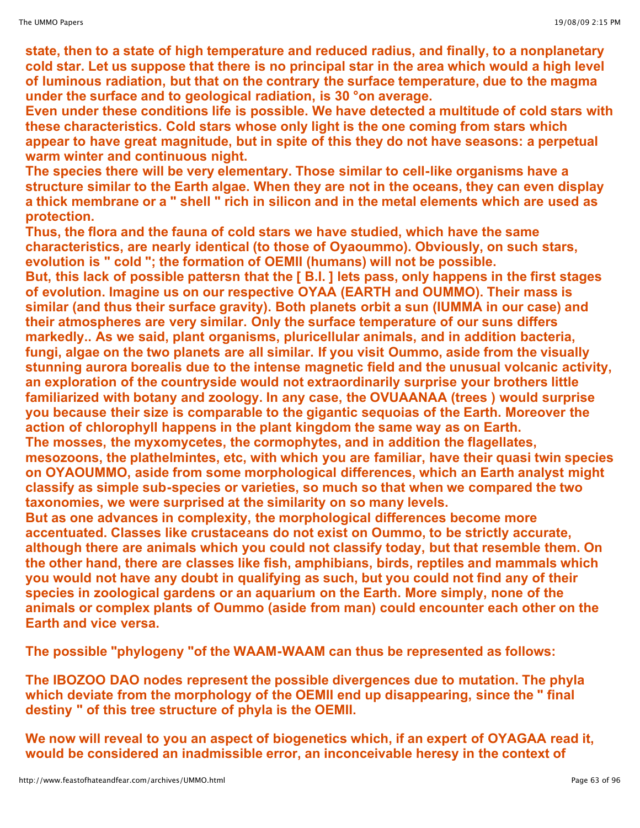**state, then to a state of high temperature and reduced radius, and finally, to a nonplanetary cold star. Let us suppose that there is no principal star in the area which would a high level of luminous radiation, but that on the contrary the surface temperature, due to the magma under the surface and to geological radiation, is 30 °on average.**

**Even under these conditions life is possible. We have detected a multitude of cold stars with these characteristics. Cold stars whose only light is the one coming from stars which appear to have great magnitude, but in spite of this they do not have seasons: a perpetual warm winter and continuous night.**

**The species there will be very elementary. Those similar to cell-like organisms have a structure similar to the Earth algae. When they are not in the oceans, they can even display a thick membrane or a " shell " rich in silicon and in the metal elements which are used as protection.**

**Thus, the flora and the fauna of cold stars we have studied, which have the same characteristics, are nearly identical (to those of Oyaoummo). Obviously, on such stars, evolution is " cold "; the formation of OEMII (humans) will not be possible.**

**But, this lack of possible pattersn that the [ B.I. ] lets pass, only happens in the first stages of evolution. Imagine us on our respective OYAA (EARTH and OUMMO). Their mass is similar (and thus their surface gravity). Both planets orbit a sun (IUMMA in our case) and their atmospheres are very similar. Only the surface temperature of our suns differs markedly.. As we said, plant organisms, pluricellular animals, and in addition bacteria, fungi, algae on the two planets are all similar. If you visit Oummo, aside from the visually stunning aurora borealis due to the intense magnetic field and the unusual volcanic activity, an exploration of the countryside would not extraordinarily surprise your brothers little familiarized with botany and zoology. In any case, the OVUAANAA (trees ) would surprise you because their size is comparable to the gigantic sequoias of the Earth. Moreover the action of chlorophyll happens in the plant kingdom the same way as on Earth. The mosses, the myxomycetes, the cormophytes, and in addition the flagellates, mesozoons, the plathelmintes, etc, with which you are familiar, have their quasi twin species on OYAOUMMO, aside from some morphological differences, which an Earth analyst might classify as simple sub-species or varieties, so much so that when we compared the two taxonomies, we were surprised at the similarity on so many levels.**

**But as one advances in complexity, the morphological differences become more accentuated. Classes like crustaceans do not exist on Oummo, to be strictly accurate, although there are animals which you could not classify today, but that resemble them. On the other hand, there are classes like fish, amphibians, birds, reptiles and mammals which you would not have any doubt in qualifying as such, but you could not find any of their species in zoological gardens or an aquarium on the Earth. More simply, none of the animals or complex plants of Oummo (aside from man) could encounter each other on the Earth and vice versa.**

**The possible "phylogeny "of the WAAM-WAAM can thus be represented as follows:**

**The IBOZOO DAO nodes represent the possible divergences due to mutation. The phyla which deviate from the morphology of the OEMII end up disappearing, since the " final destiny " of this tree structure of phyla is the OEMII.**

**We now will reveal to you an aspect of biogenetics which, if an expert of OYAGAA read it, would be considered an inadmissible error, an inconceivable heresy in the context of**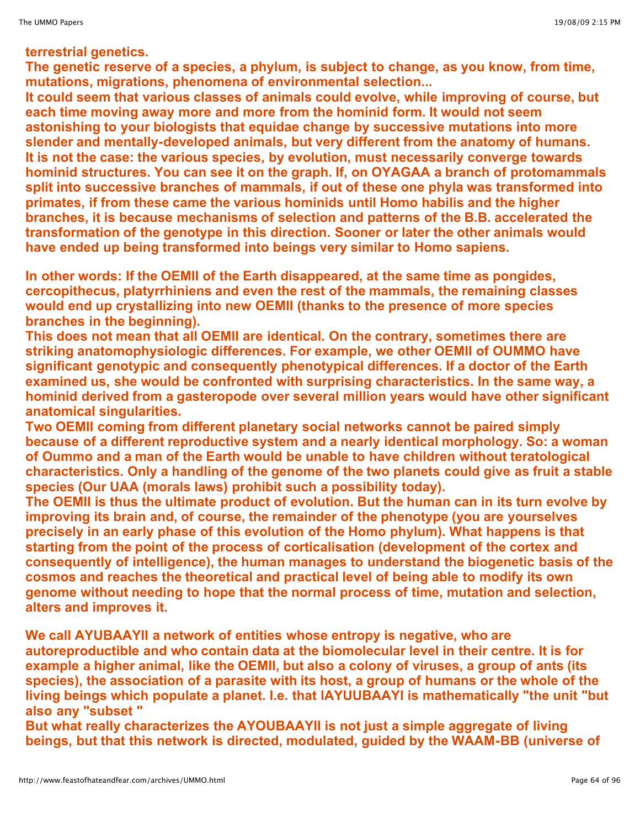## **terrestrial genetics.**

**The genetic reserve of a species, a phylum, is subject to change, as you know, from time, mutations, migrations, phenomena of environmental selection...**

**It could seem that various classes of animals could evolve, while improving of course, but each time moving away more and more from the hominid form. It would not seem astonishing to your biologists that equidae change by successive mutations into more slender and mentally-developed animals, but very different from the anatomy of humans. It is not the case: the various species, by evolution, must necessarily converge towards hominid structures. You can see it on the graph. If, on OYAGAA a branch of protomammals split into successive branches of mammals, if out of these one phyla was transformed into primates, if from these came the various hominids until Homo habilis and the higher branches, it is because mechanisms of selection and patterns of the B.B. accelerated the transformation of the genotype in this direction. Sooner or later the other animals would have ended up being transformed into beings very similar to Homo sapiens.**

**In other words: If the OEMII of the Earth disappeared, at the same time as pongides, cercopithecus, platyrrhiniens and even the rest of the mammals, the remaining classes would end up crystallizing into new OEMII (thanks to the presence of more species branches in the beginning).**

**This does not mean that all OEMII are identical. On the contrary, sometimes there are striking anatomophysiologic differences. For example, we other OEMII of OUMMO have significant genotypic and consequently phenotypical differences. If a doctor of the Earth examined us, she would be confronted with surprising characteristics. In the same way, a hominid derived from a gasteropode over several million years would have other significant anatomical singularities.**

**Two OEMII coming from different planetary social networks cannot be paired simply because of a different reproductive system and a nearly identical morphology. So: a woman of Oummo and a man of the Earth would be unable to have children without teratological characteristics. Only a handling of the genome of the two planets could give as fruit a stable species (Our UAA (morals laws) prohibit such a possibility today).**

**The OEMII is thus the ultimate product of evolution. But the human can in its turn evolve by improving its brain and, of course, the remainder of the phenotype (you are yourselves precisely in an early phase of this evolution of the Homo phylum). What happens is that starting from the point of the process of corticalisation (development of the cortex and consequently of intelligence), the human manages to understand the biogenetic basis of the cosmos and reaches the theoretical and practical level of being able to modify its own genome without needing to hope that the normal process of time, mutation and selection, alters and improves it.**

**We call AYUBAAYII a network of entities whose entropy is negative, who are autoreproductible and who contain data at the biomolecular level in their centre. It is for example a higher animal, like the OEMII, but also a colony of viruses, a group of ants (its species), the association of a parasite with its host, a group of humans or the whole of the living beings which populate a planet. I.e. that lAYUUBAAYI is mathematically "the unit "but also any "subset "**

**But what really characterizes the AYOUBAAYII is not just a simple aggregate of living beings, but that this network is directed, modulated, guided by the WAAM-BB (universe of**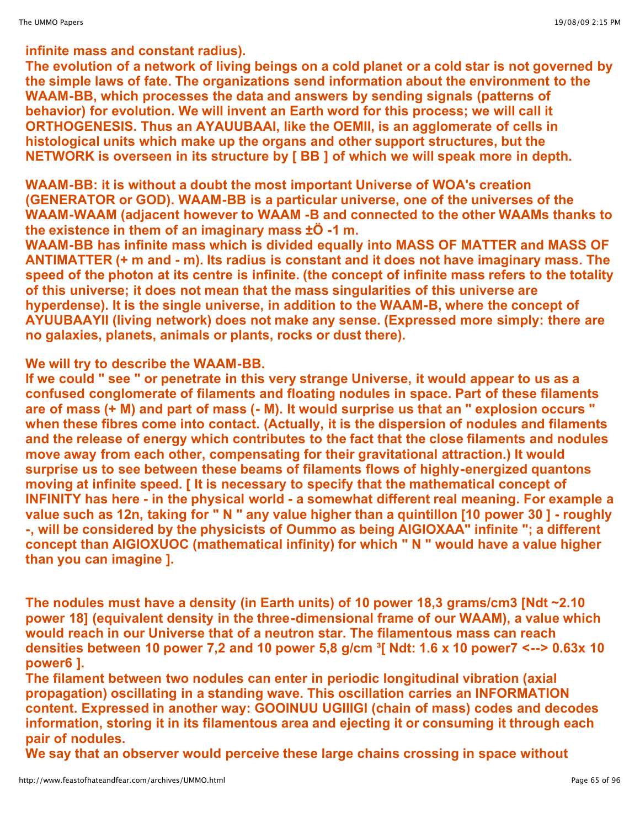The evolution of a network of living beings on a cold planet or a cold star is not governed by **the simple laws of fate. The organizations send information about the environment to the WAAM-BB, which processes the data and answers by sending signals (patterns of behavior) for evolution. We will invent an Earth word for this process; we will call it ORTHOGENESIS. Thus an AYAUUBAAI, like the OEMII, is an agglomerate of cells in histological units which make up the organs and other support structures, but the NETWORK is overseen in its structure by [ BB ] of which we will speak more in depth.**

**WAAM-BB: it is without a doubt the most important Universe of WOA's creation (GENERATOR or GOD). WAAM-BB is a particular universe, one of the universes of the WAAM-WAAM (adjacent however to WAAM -B and connected to the other WAAMs thanks to the existence in them of an imaginary mass ±Ö -1 m.**

**WAAM-BB has infinite mass which is divided equally into MASS OF MATTER and MASS OF ANTIMATTER (+ m and - m). Its radius is constant and it does not have imaginary mass. The speed of the photon at its centre is infinite. (the concept of infinite mass refers to the totality of this universe; it does not mean that the mass singularities of this universe are hyperdense). It is the single universe, in addition to the WAAM-B, where the concept of AYUUBAAYII (living network) does not make any sense. (Expressed more simply: there are no galaxies, planets, animals or plants, rocks or dust there).**

# **We will try to describe the WAAM-BB.**

**If we could " see " or penetrate in this very strange Universe, it would appear to us as a confused conglomerate of filaments and floating nodules in space. Part of these filaments** are of mass (+ M) and part of mass (- M). It would surprise us that an " explosion occurs " **when these fibres come into contact. (Actually, it is the dispersion of nodules and filaments and the release of energy which contributes to the fact that the close filaments and nodules move away from each other, compensating for their gravitational attraction.) It would surprise us to see between these beams of filaments flows of highly-energized quantons moving at infinite speed. [ It is necessary to specify that the mathematical concept of INFINITY has here - in the physical world - a somewhat different real meaning. For example a** value such as 12n, taking for "N " any value higher than a quintillon [10 power 30] - roughly **-, will be considered by the physicists of Oummo as being AIGIOXAA" infinite "; a different concept than AIGIOXUOC (mathematical infinity) for which " N " would have a value higher than you can imagine ].**

**The nodules must have a density (in Earth units) of 10 power 18,3 grams/cm3 [Ndt ~2.10 power 18] (equivalent density in the three-dimensional frame of our WAAM), a value which would reach in our Universe that of a neutron star. The filamentous mass can reach** densities between 10 power 7,2 and 10 power 5,8 g/cm  $\frac{3}{1}$  Ndt: 1.6 x 10 power7 <--> 0.63x 10 **power6 ].**

**The filament between two nodules can enter in periodic longitudinal vibration (axial propagation) oscillating in a standing wave. This oscillation carries an INFORMATION content. Expressed in another way: GOOINUU UGIIIGI (chain of mass) codes and decodes information, storing it in its filamentous area and ejecting it or consuming it through each pair of nodules.**

**We say that an observer would perceive these large chains crossing in space without**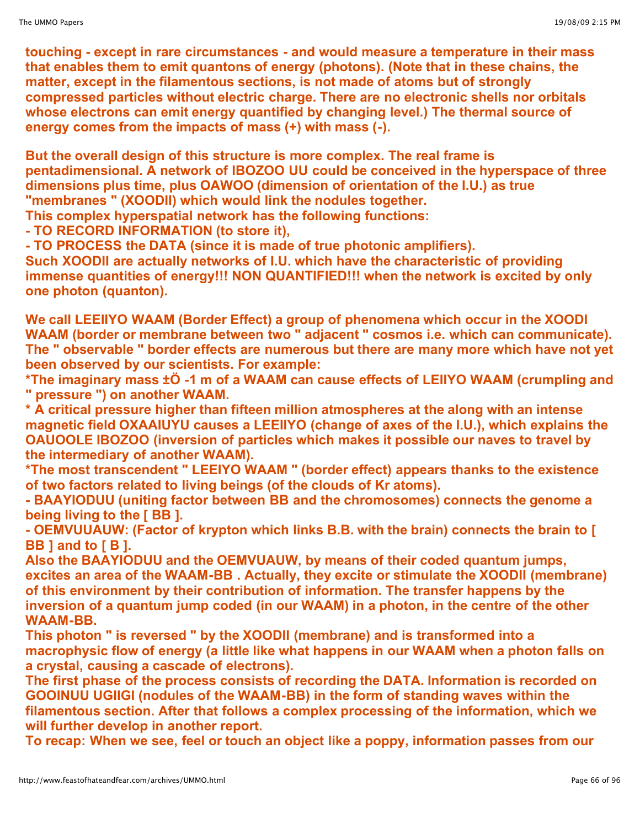**touching - except in rare circumstances - and would measure a temperature in their mass that enables them to emit quantons of energy (photons). (Note that in these chains, the matter, except in the filamentous sections, is not made of atoms but of strongly compressed particles without electric charge. There are no electronic shells nor orbitals whose electrons can emit energy quantified by changing level.) The thermal source of energy comes from the impacts of mass (+) with mass (-).**

**But the overall design of this structure is more complex. The real frame is pentadimensional. A network of IBOZOO UU could be conceived in the hyperspace of three dimensions plus time, plus OAWOO (dimension of orientation of the I.U.) as true "membranes " (XOODII) which would link the nodules together.**

**This complex hyperspatial network has the following functions:**

**- TO RECORD INFORMATION (to store it),**

**- TO PROCESS the DATA (since it is made of true photonic amplifiers).**

**Such XOODII are actually networks of I.U. which have the characteristic of providing immense quantities of energy!!! NON QUANTIFIED!!! when the network is excited by only one photon (quanton).**

**We call LEEIIYO WAAM (Border Effect) a group of phenomena which occur in the XOODI WAAM (border or membrane between two " adjacent " cosmos i.e. which can communicate). The " observable " border effects are numerous but there are many more which have not yet been observed by our scientists. For example:**

**\*The imaginary mass ±Ö -1 m of a WAAM can cause effects of LEIIYO WAAM (crumpling and " pressure ") on another WAAM.**

**\* A critical pressure higher than fifteen million atmospheres at the along with an intense magnetic field OXAAIUYU causes a LEEIIYO (change of axes of the I.U.), which explains the OAUOOLE IBOZOO (inversion of particles which makes it possible our naves to travel by the intermediary of another WAAM).**

**\*The most transcendent " LEEIYO WAAM " (border effect) appears thanks to the existence of two factors related to living beings (of the clouds of Kr atoms).**

**- BAAYIODUU (uniting factor between BB and the chromosomes) connects the genome a being living to the [ BB ].**

**- OEMVUUAUW: (Factor of krypton which links B.B. with the brain) connects the brain to [ BB ] and to [ B ].**

**Also the BAAYIODUU and the OEMVUAUW, by means of their coded quantum jumps, excites an area of the WAAM-BB . Actually, they excite or stimulate the XOODII (membrane) of this environment by their contribution of information. The transfer happens by the inversion of a quantum jump coded (in our WAAM) in a photon, in the centre of the other WAAM-BB.**

**This photon " is reversed " by the XOODII (membrane) and is transformed into a macrophysic flow of energy (a little like what happens in our WAAM when a photon falls on a crystal, causing a cascade of electrons).**

**The first phase of the process consists of recording the DATA. Information is recorded on GOOINUU UGIIGI (nodules of the WAAM-BB) in the form of standing waves within the filamentous section. After that follows a complex processing of the information, which we will further develop in another report.**

**To recap: When we see, feel or touch an object like a poppy, information passes from our**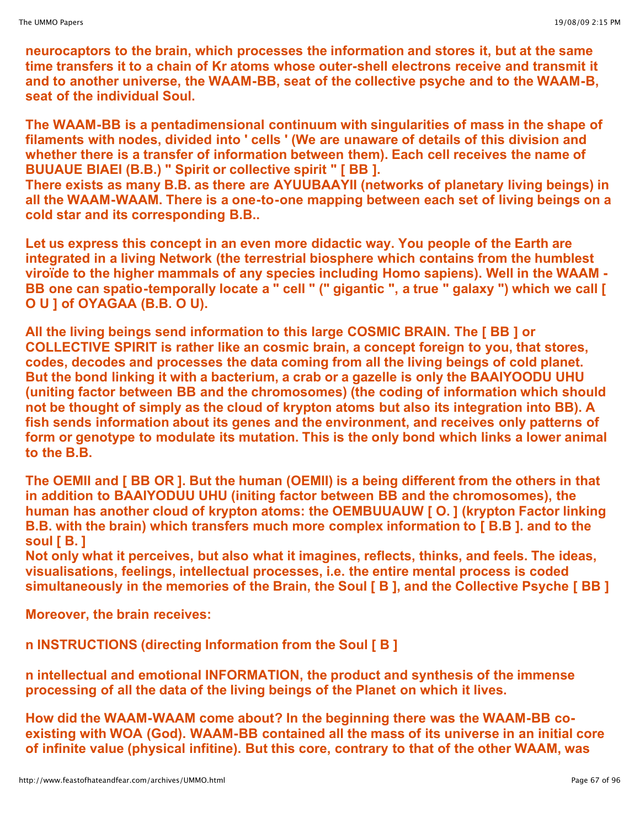**neurocaptors to the brain, which processes the information and stores it, but at the same time transfers it to a chain of Kr atoms whose outer-shell electrons receive and transmit it and to another universe, the WAAM-BB, seat of the collective psyche and to the WAAM-B, seat of the individual Soul.**

**The WAAM-BB is a pentadimensional continuum with singularities of mass in the shape of filaments with nodes, divided into ' cells ' (We are unaware of details of this division and whether there is a transfer of information between them). Each cell receives the name of BUUAUE BIAEI (B.B.) " Spirit or collective spirit " [ BB ].**

**There exists as many B.B. as there are AYUUBAAYII (networks of planetary living beings) in all the WAAM-WAAM. There is a one-to-one mapping between each set of living beings on a cold star and its corresponding B.B..**

**Let us express this concept in an even more didactic way. You people of the Earth are integrated in a living Network (the terrestrial biosphere which contains from the humblest viroïde to the higher mammals of any species including Homo sapiens). Well in the WAAM -** BB one can spatio-temporally locate a " cell " (" gigantic ", a true " galaxy ") which we call [ **O U ] of OYAGAA (B.B. O U).**

**All the living beings send information to this large COSMIC BRAIN. The [ BB ] or COLLECTIVE SPIRIT is rather like an cosmic brain, a concept foreign to you, that stores, codes, decodes and processes the data coming from all the living beings of cold planet. But the bond linking it with a bacterium, a crab or a gazelle is only the BAAIYOODU UHU (uniting factor between BB and the chromosomes) (the coding of information which should not be thought of simply as the cloud of krypton atoms but also its integration into BB). A fish sends information about its genes and the environment, and receives only patterns of form or genotype to modulate its mutation. This is the only bond which links a lower animal to the B.B.**

**The OEMII and [ BB OR ]. But the human (OEMII) is a being different from the others in that in addition to BAAIYODUU UHU (initing factor between BB and the chromosomes), the human has another cloud of krypton atoms: the OEMBUUAUW [ O. ] (krypton Factor linking B.B. with the brain) which transfers much more complex information to [ B.B ]. and to the soul [ B. ]**

**Not only what it perceives, but also what it imagines, reflects, thinks, and feels. The ideas, visualisations, feelings, intellectual processes, i.e. the entire mental process is coded simultaneously in the memories of the Brain, the Soul [ B ], and the Collective Psyche [ BB ]**

**Moreover, the brain receives:**

**n INSTRUCTIONS (directing Information from the Soul [ B ]**

**n intellectual and emotional INFORMATION, the product and synthesis of the immense processing of all the data of the living beings of the Planet on which it lives.**

**How did the WAAM-WAAM come about? In the beginning there was the WAAM-BB coexisting with WOA (God). WAAM-BB contained all the mass of its universe in an initial core of infinite value (physical infitine). But this core, contrary to that of the other WAAM, was**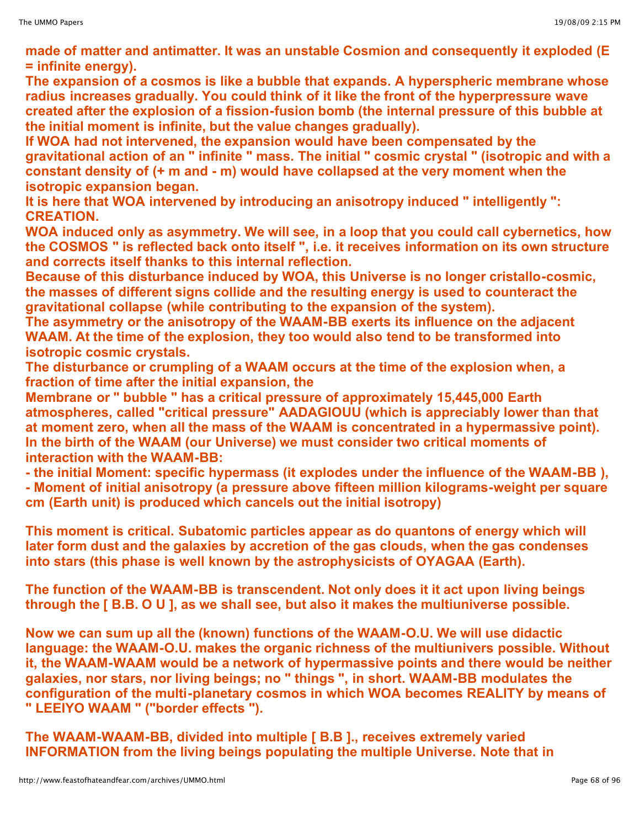**made of matter and antimatter. It was an unstable Cosmion and consequently it exploded (E = infinite energy).**

**The expansion of a cosmos is like a bubble that expands. A hyperspheric membrane whose radius increases gradually. You could think of it like the front of the hyperpressure wave created after the explosion of a fission-fusion bomb (the internal pressure of this bubble at the initial moment is infinite, but the value changes gradually).**

**If WOA had not intervened, the expansion would have been compensated by the gravitational action of an " infinite " mass. The initial " cosmic crystal " (isotropic and with a constant density of (+ m and - m) would have collapsed at the very moment when the isotropic expansion began.**

**It is here that WOA intervened by introducing an anisotropy induced " intelligently ": CREATION.** 

**WOA induced only as asymmetry. We will see, in a loop that you could call cybernetics, how the COSMOS " is reflected back onto itself ", i.e. it receives information on its own structure and corrects itself thanks to this internal reflection.**

**Because of this disturbance induced by WOA, this Universe is no longer cristallo-cosmic, the masses of different signs collide and the resulting energy is used to counteract the gravitational collapse (while contributing to the expansion of the system).**

**The asymmetry or the anisotropy of the WAAM-BB exerts its influence on the adjacent WAAM. At the time of the explosion, they too would also tend to be transformed into isotropic cosmic crystals.**

**The disturbance or crumpling of a WAAM occurs at the time of the explosion when, a fraction of time after the initial expansion, the**

**Membrane or " bubble " has a critical pressure of approximately 15,445,000 Earth atmospheres, called "critical pressure" AADAGIOUU (which is appreciably lower than that at moment zero, when all the mass of the WAAM is concentrated in a hypermassive point). In the birth of the WAAM (our Universe) we must consider two critical moments of interaction with the WAAM-BB:**

**- the initial Moment: specific hypermass (it explodes under the influence of the WAAM-BB ), - Moment of initial anisotropy (a pressure above fifteen million kilograms-weight per square cm (Earth unit) is produced which cancels out the initial isotropy)**

**This moment is critical. Subatomic particles appear as do quantons of energy which will later form dust and the galaxies by accretion of the gas clouds, when the gas condenses into stars (this phase is well known by the astrophysicists of OYAGAA (Earth).**

**The function of the WAAM-BB is transcendent. Not only does it it act upon living beings through the [ B.B. O U ], as we shall see, but also it makes the multiuniverse possible.**

**Now we can sum up all the (known) functions of the WAAM-O.U. We will use didactic language: the WAAM-O.U. makes the organic richness of the multiunivers possible. Without it, the WAAM-WAAM would be a network of hypermassive points and there would be neither galaxies, nor stars, nor living beings; no " things ", in short. WAAM-BB modulates the configuration of the multi-planetary cosmos in which WOA becomes REALITY by means of " LEEIYO WAAM " ("border effects ").**

**The WAAM-WAAM-BB, divided into multiple [ B.B ]., receives extremely varied INFORMATION from the living beings populating the multiple Universe. Note that in**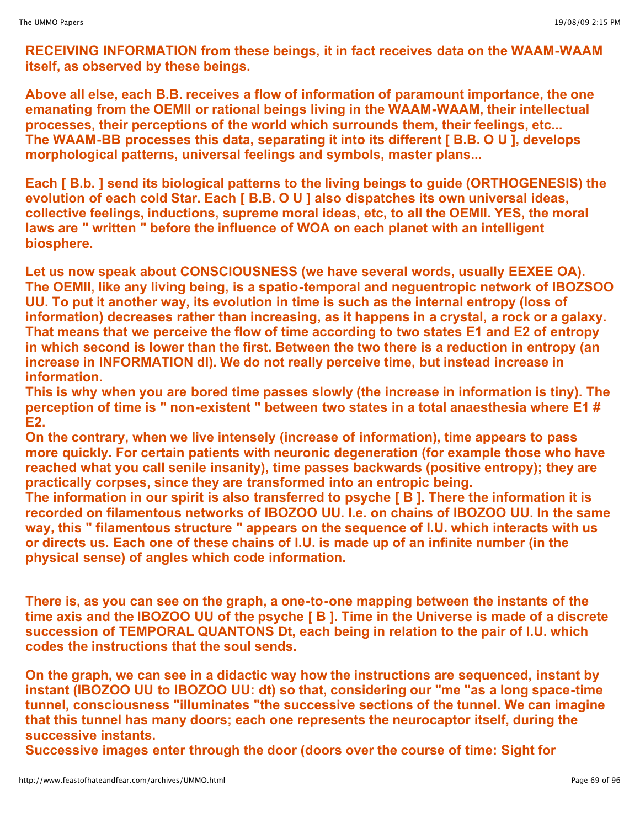**RECEIVING INFORMATION from these beings, it in fact receives data on the WAAM-WAAM itself, as observed by these beings.**

**Above all else, each B.B. receives a flow of information of paramount importance, the one emanating from the OEMII or rational beings living in the WAAM-WAAM, their intellectual processes, their perceptions of the world which surrounds them, their feelings, etc... The WAAM-BB processes this data, separating it into its different [ B.B. O U ], develops morphological patterns, universal feelings and symbols, master plans...**

**Each [ B.b. ] send its biological patterns to the living beings to guide (ORTHOGENESIS) the evolution of each cold Star. Each [ B.B. O U ] also dispatches its own universal ideas, collective feelings, inductions, supreme moral ideas, etc, to all the OEMII. YES, the moral laws are " written " before the influence of WOA on each planet with an intelligent biosphere.**

**Let us now speak about CONSCIOUSNESS (we have several words, usually EEXEE OA). The OEMII, like any living being, is a spatio-temporal and neguentropic network of IBOZSOO UU. To put it another way, its evolution in time is such as the internal entropy (loss of information) decreases rather than increasing, as it happens in a crystal, a rock or a galaxy. That means that we perceive the flow of time according to two states E1 and E2 of entropy in which second is lower than the first. Between the two there is a reduction in entropy (an increase in INFORMATION dI). We do not really perceive time, but instead increase in information.**

**This is why when you are bored time passes slowly (the increase in information is tiny). The perception of time is " non-existent " between two states in a total anaesthesia where E1 # E2.**

**On the contrary, when we live intensely (increase of information), time appears to pass more quickly. For certain patients with neuronic degeneration (for example those who have reached what you call senile insanity), time passes backwards (positive entropy); they are practically corpses, since they are transformed into an entropic being.**

**The information in our spirit is also transferred to psyche [ B ]. There the information it is recorded on filamentous networks of IBOZOO UU. I.e. on chains of IBOZOO UU. In the same way, this " filamentous structure " appears on the sequence of I.U. which interacts with us or directs us. Each one of these chains of I.U. is made up of an infinite number (in the physical sense) of angles which code information.**

**There is, as you can see on the graph, a one-to-one mapping between the instants of the time axis and the IBOZOO UU of the psyche [ B ]. Time in the Universe is made of a discrete succession of TEMPORAL QUANTONS Dt, each being in relation to the pair of I.U. which codes the instructions that the soul sends.**

**On the graph, we can see in a didactic way how the instructions are sequenced, instant by instant (IBOZOO UU to IBOZOO UU: dt) so that, considering our "me "as a long space-time tunnel, consciousness "illuminates "the successive sections of the tunnel. We can imagine that this tunnel has many doors; each one represents the neurocaptor itself, during the successive instants.**

**Successive images enter through the door (doors over the course of time: Sight for**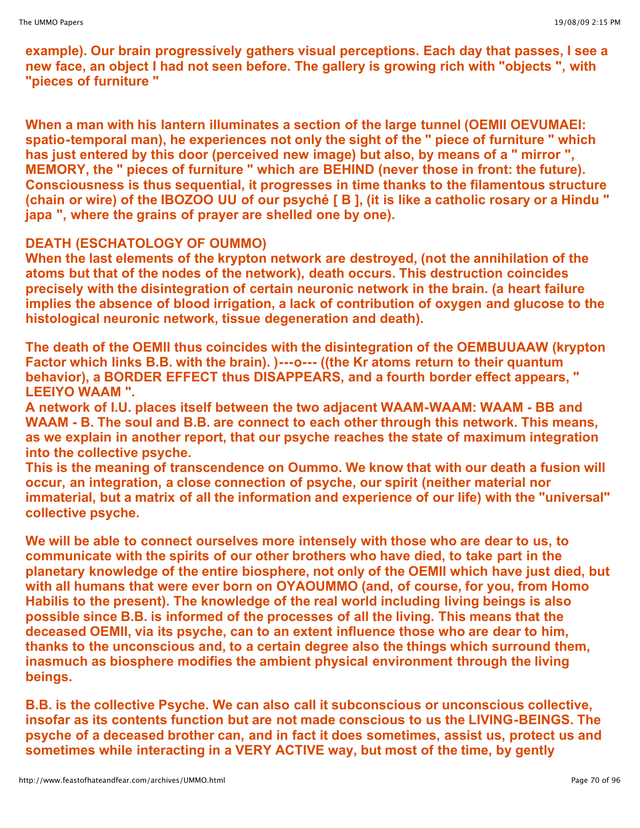**example). Our brain progressively gathers visual perceptions. Each day that passes, I see a new face, an object I had not seen before. The gallery is growing rich with "objects ", with "pieces of furniture "**

**When a man with his lantern illuminates a section of the large tunnel (OEMII OEVUMAEI: spatio-temporal man), he experiences not only the sight of the " piece of furniture " which has just entered by this door (perceived new image) but also, by means of a " mirror ", MEMORY, the " pieces of furniture " which are BEHIND (never those in front: the future). Consciousness is thus sequential, it progresses in time thanks to the filamentous structure** (chain or wire) of the IBOZOO UU of our psyché [B], (it is like a catholic rosary or a Hindu " **japa ", where the grains of prayer are shelled one by one).**

# **DEATH (ESCHATOLOGY OF OUMMO)**

**When the last elements of the krypton network are destroyed, (not the annihilation of the atoms but that of the nodes of the network), death occurs. This destruction coincides precisely with the disintegration of certain neuronic network in the brain. (a heart failure implies the absence of blood irrigation, a lack of contribution of oxygen and glucose to the histological neuronic network, tissue degeneration and death).**

**The death of the OEMII thus coincides with the disintegration of the OEMBUUAAW (krypton Factor which links B.B. with the brain). )---o--- ((the Kr atoms return to their quantum behavior), a BORDER EFFECT thus DISAPPEARS, and a fourth border effect appears, " LEEIYO WAAM ".**

**A network of I.U. places itself between the two adjacent WAAM-WAAM: WAAM - BB and WAAM - B. The soul and B.B. are connect to each other through this network. This means, as we explain in another report, that our psyche reaches the state of maximum integration into the collective psyche.**

**This is the meaning of transcendence on Oummo. We know that with our death a fusion will occur, an integration, a close connection of psyche, our spirit (neither material nor immaterial, but a matrix of all the information and experience of our life) with the "universal" collective psyche.**

**We will be able to connect ourselves more intensely with those who are dear to us, to communicate with the spirits of our other brothers who have died, to take part in the planetary knowledge of the entire biosphere, not only of the OEMII which have just died, but with all humans that were ever born on OYAOUMMO (and, of course, for you, from Homo Habilis to the present). The knowledge of the real world including living beings is also possible since B.B. is informed of the processes of all the living. This means that the deceased OEMII, via its psyche, can to an extent influence those who are dear to him, thanks to the unconscious and, to a certain degree also the things which surround them, inasmuch as biosphere modifies the ambient physical environment through the living beings.**

**B.B. is the collective Psyche. We can also call it subconscious or unconscious collective, insofar as its contents function but are not made conscious to us the LIVING-BEINGS. The psyche of a deceased brother can, and in fact it does sometimes, assist us, protect us and sometimes while interacting in a VERY ACTIVE way, but most of the time, by gently**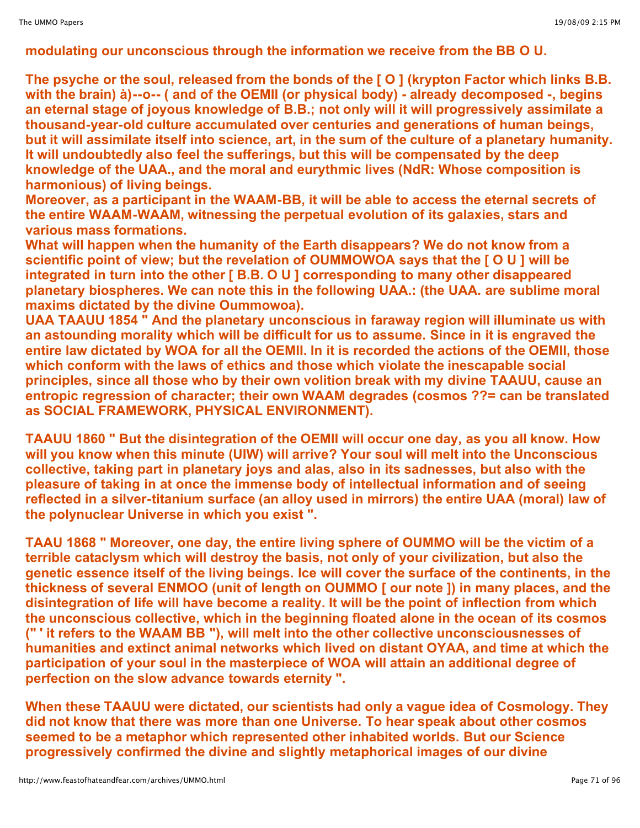# **modulating our unconscious through the information we receive from the BB O U.**

**The psyche or the soul, released from the bonds of the [ O ] (krypton Factor which links B.B. with the brain) à)--o-- ( and of the OEMII (or physical body) - already decomposed -, begins an eternal stage of joyous knowledge of B.B.; not only will it will progressively assimilate a thousand-year-old culture accumulated over centuries and generations of human beings, but it will assimilate itself into science, art, in the sum of the culture of a planetary humanity. It will undoubtedly also feel the sufferings, but this will be compensated by the deep knowledge of the UAA., and the moral and eurythmic lives (NdR: Whose composition is harmonious) of living beings.**

**Moreover, as a participant in the WAAM-BB, it will be able to access the eternal secrets of the entire WAAM-WAAM, witnessing the perpetual evolution of its galaxies, stars and various mass formations.**

**What will happen when the humanity of the Earth disappears? We do not know from a scientific point of view; but the revelation of OUMMOWOA says that the [ O U ] will be integrated in turn into the other [ B.B. O U ] corresponding to many other disappeared planetary biospheres. We can note this in the following UAA.: (the UAA. are sublime moral maxims dictated by the divine Oummowoa).**

**UAA TAAUU 1854 " And the planetary unconscious in faraway region will illuminate us with an astounding morality which will be difficult for us to assume. Since in it is engraved the entire law dictated by WOA for all the OEMII. In it is recorded the actions of the OEMII, those which conform with the laws of ethics and those which violate the inescapable social principles, since all those who by their own volition break with my divine TAAUU, cause an entropic regression of character; their own WAAM degrades (cosmos ??= can be translated as SOCIAL FRAMEWORK, PHYSICAL ENVIRONMENT).**

**TAAUU 1860 " But the disintegration of the OEMII will occur one day, as you all know. How will you know when this minute (UIW) will arrive? Your soul will melt into the Unconscious collective, taking part in planetary joys and alas, also in its sadnesses, but also with the pleasure of taking in at once the immense body of intellectual information and of seeing reflected in a silver-titanium surface (an alloy used in mirrors) the entire UAA (moral) law of the polynuclear Universe in which you exist ".**

**TAAU 1868 " Moreover, one day, the entire living sphere of OUMMO will be the victim of a terrible cataclysm which will destroy the basis, not only of your civilization, but also the genetic essence itself of the living beings. Ice will cover the surface of the continents, in the thickness of several ENMOO (unit of length on OUMMO [ our note ]) in many places, and the disintegration of life will have become a reality. It will be the point of inflection from which the unconscious collective, which in the beginning floated alone in the ocean of its cosmos (" ' it refers to the WAAM BB "), will melt into the other collective unconsciousnesses of humanities and extinct animal networks which lived on distant OYAA, and time at which the participation of your soul in the masterpiece of WOA will attain an additional degree of perfection on the slow advance towards eternity ".**

**When these TAAUU were dictated, our scientists had only a vague idea of Cosmology. They did not know that there was more than one Universe. To hear speak about other cosmos seemed to be a metaphor which represented other inhabited worlds. But our Science progressively confirmed the divine and slightly metaphorical images of our divine**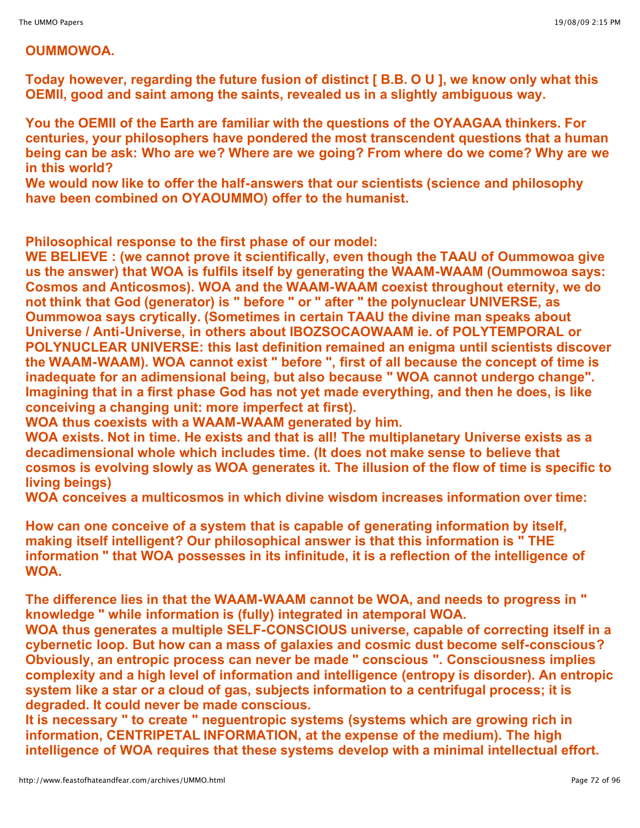# **OUMMOWOA.**

**Today however, regarding the future fusion of distinct [ B.B. O U ], we know only what this OEMII, good and saint among the saints, revealed us in a slightly ambiguous way.**

**You the OEMII of the Earth are familiar with the questions of the OYAAGAA thinkers. For centuries, your philosophers have pondered the most transcendent questions that a human being can be ask: Who are we? Where are we going? From where do we come? Why are we in this world?**

**We would now like to offer the half-answers that our scientists (science and philosophy have been combined on OYAOUMMO) offer to the humanist.**

**Philosophical response to the first phase of our model:**

**WE BELIEVE : (we cannot prove it scientifically, even though the TAAU of Oummowoa give us the answer) that WOA is fulfils itself by generating the WAAM-WAAM (Oummowoa says: Cosmos and Anticosmos). WOA and the WAAM-WAAM coexist throughout eternity, we do not think that God (generator) is " before " or " after " the polynuclear UNIVERSE, as Oummowoa says crytically. (Sometimes in certain TAAU the divine man speaks about Universe / Anti-Universe, in others about IBOZSOCAOWAAM ie. of POLYTEMPORAL or POLYNUCLEAR UNIVERSE: this last definition remained an enigma until scientists discover the WAAM-WAAM). WOA cannot exist " before ", first of all because the concept of time is inadequate for an adimensional being, but also because " WOA cannot undergo change". Imagining that in a first phase God has not yet made everything, and then he does, is like conceiving a changing unit: more imperfect at first).** 

**WOA thus coexists with a WAAM-WAAM generated by him.**

**WOA exists. Not in time. He exists and that is all! The multiplanetary Universe exists as a decadimensional whole which includes time. (It does not make sense to believe that cosmos is evolving slowly as WOA generates it. The illusion of the flow of time is specific to living beings)**

**WOA conceives a multicosmos in which divine wisdom increases information over time:**

**How can one conceive of a system that is capable of generating information by itself, making itself intelligent? Our philosophical answer is that this information is " THE information " that WOA possesses in its infinitude, it is a reflection of the intelligence of WOA.**

**The difference lies in that the WAAM-WAAM cannot be WOA, and needs to progress in " knowledge " while information is (fully) integrated in atemporal WOA.**

**WOA thus generates a multiple SELF-CONSCIOUS universe, capable of correcting itself in a cybernetic loop. But how can a mass of galaxies and cosmic dust become self-conscious? Obviously, an entropic process can never be made " conscious ". Consciousness implies complexity and a high level of information and intelligence (entropy is disorder). An entropic system like a star or a cloud of gas, subjects information to a centrifugal process; it is degraded. It could never be made conscious.**

**It is necessary " to create " neguentropic systems (systems which are growing rich in information, CENTRIPETAL INFORMATION, at the expense of the medium). The high intelligence of WOA requires that these systems develop with a minimal intellectual effort.**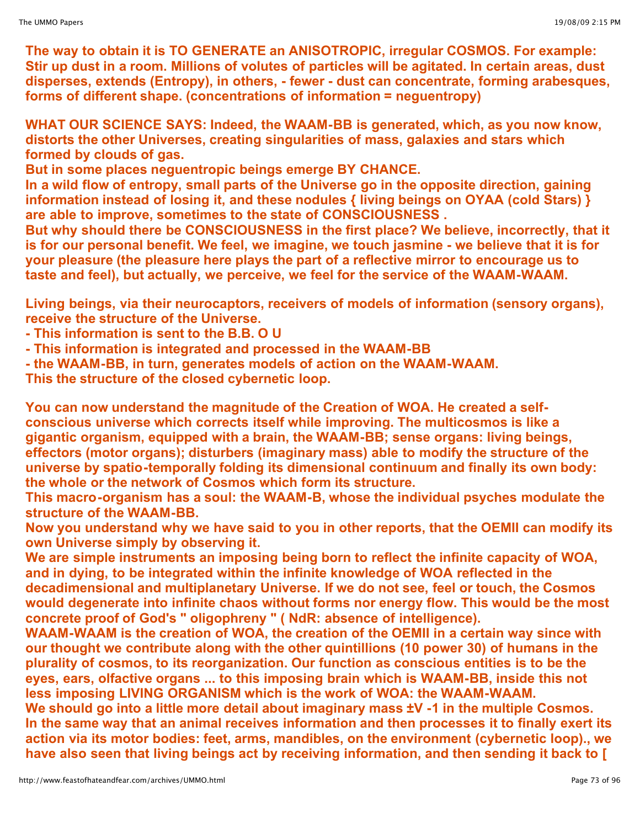**The way to obtain it is TO GENERATE an ANISOTROPIC, irregular COSMOS. For example: Stir up dust in a room. Millions of volutes of particles will be agitated. In certain areas, dust disperses, extends (Entropy), in others, - fewer - dust can concentrate, forming arabesques, forms of different shape. (concentrations of information = neguentropy)**

**WHAT OUR SCIENCE SAYS: Indeed, the WAAM-BB is generated, which, as you now know, distorts the other Universes, creating singularities of mass, galaxies and stars which formed by clouds of gas.**

**But in some places neguentropic beings emerge BY CHANCE.**

**In a wild flow of entropy, small parts of the Universe go in the opposite direction, gaining information instead of losing it, and these nodules { living beings on OYAA (cold Stars) } are able to improve, sometimes to the state of CONSCIOUSNESS .**

**But why should there be CONSCIOUSNESS in the first place? We believe, incorrectly, that it is for our personal benefit. We feel, we imagine, we touch jasmine - we believe that it is for your pleasure (the pleasure here plays the part of a reflective mirror to encourage us to taste and feel), but actually, we perceive, we feel for the service of the WAAM-WAAM.**

**Living beings, via their neurocaptors, receivers of models of information (sensory organs), receive the structure of the Universe.**

**- This information is sent to the B.B. O U**

**- This information is integrated and processed in the WAAM-BB**

**- the WAAM-BB, in turn, generates models of action on the WAAM-WAAM.**

**This the structure of the closed cybernetic loop.**

**You can now understand the magnitude of the Creation of WOA. He created a selfconscious universe which corrects itself while improving. The multicosmos is like a gigantic organism, equipped with a brain, the WAAM-BB; sense organs: living beings, effectors (motor organs); disturbers (imaginary mass) able to modify the structure of the universe by spatio-temporally folding its dimensional continuum and finally its own body: the whole or the network of Cosmos which form its structure.**

**This macro-organism has a soul: the WAAM-B, whose the individual psyches modulate the structure of the WAAM-BB.**

**Now you understand why we have said to you in other reports, that the OEMII can modify its own Universe simply by observing it.**

**We are simple instruments an imposing being born to reflect the infinite capacity of WOA, and in dying, to be integrated within the infinite knowledge of WOA reflected in the decadimensional and multiplanetary Universe. If we do not see, feel or touch, the Cosmos would degenerate into infinite chaos without forms nor energy flow. This would be the most concrete proof of God's " oligophreny " ( NdR: absence of intelligence).**

**WAAM-WAAM is the creation of WOA, the creation of the OEMII in a certain way since with our thought we contribute along with the other quintillions (10 power 30) of humans in the plurality of cosmos, to its reorganization. Our function as conscious entities is to be the eyes, ears, olfactive organs ... to this imposing brain which is WAAM-BB, inside this not less imposing LIVING ORGANISM which is the work of WOA: the WAAM-WAAM.**

**We should go into a little more detail about imaginary mass ±V -1 in the multiple Cosmos. In the same way that an animal receives information and then processes it to finally exert its action via its motor bodies: feet, arms, mandibles, on the environment (cybernetic loop)., we have also seen that living beings act by receiving information, and then sending it back to [**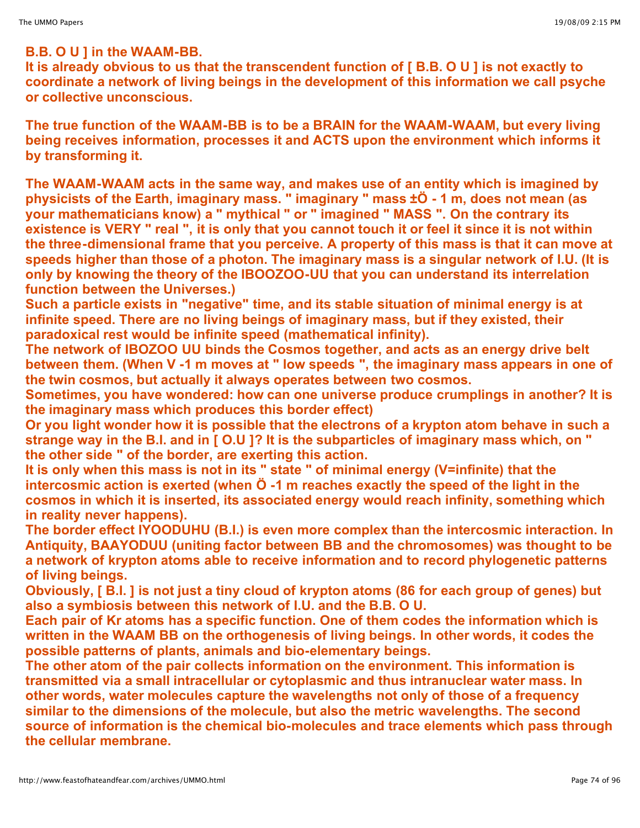### **B.B. O U ] in the WAAM-BB.**

**It is already obvious to us that the transcendent function of [ B.B. O U ] is not exactly to coordinate a network of living beings in the development of this information we call psyche or collective unconscious.**

**The true function of the WAAM-BB is to be a BRAIN for the WAAM-WAAM, but every living being receives information, processes it and ACTS upon the environment which informs it by transforming it.**

**The WAAM-WAAM acts in the same way, and makes use of an entity which is imagined by physicists of the Earth, imaginary mass. " imaginary " mass ±Ö - 1 m, does not mean (as your mathematicians know) a " mythical " or " imagined " MASS ". On the contrary its** existence is VERY " real ", it is only that you cannot touch it or feel it since it is not within **the three-dimensional frame that you perceive. A property of this mass is that it can move at speeds higher than those of a photon. The imaginary mass is a singular network of I.U. (It is only by knowing the theory of the IBOOZOO-UU that you can understand its interrelation function between the Universes.)**

**Such a particle exists in "negative" time, and its stable situation of minimal energy is at infinite speed. There are no living beings of imaginary mass, but if they existed, their paradoxical rest would be infinite speed (mathematical infinity).**

**The network of IBOZOO UU binds the Cosmos together, and acts as an energy drive belt between them. (When V -1 m moves at " low speeds ", the imaginary mass appears in one of the twin cosmos, but actually it always operates between two cosmos.**

**Sometimes, you have wondered: how can one universe produce crumplings in another? It is the imaginary mass which produces this border effect)**

**Or you light wonder how it is possible that the electrons of a krypton atom behave in such a strange way in the B.I. and in [ O.U ]? It is the subparticles of imaginary mass which, on " the other side " of the border, are exerting this action.**

**It is only when this mass is not in its " state " of minimal energy (V=infinite) that the intercosmic action is exerted (when Ö -1 m reaches exactly the speed of the light in the cosmos in which it is inserted, its associated energy would reach infinity, something which in reality never happens).**

**The border effect IYOODUHU (B.I.) is even more complex than the intercosmic interaction. In Antiquity, BAAYODUU (uniting factor between BB and the chromosomes) was thought to be a network of krypton atoms able to receive information and to record phylogenetic patterns of living beings.**

Obviously, [B.l.] is not just a tiny cloud of krypton atoms (86 for each group of genes) but **also a symbiosis between this network of I.U. and the B.B. O U.** 

**Each pair of Kr atoms has a specific function. One of them codes the information which is written in the WAAM BB on the orthogenesis of living beings. In other words, it codes the possible patterns of plants, animals and bio-elementary beings.**

**The other atom of the pair collects information on the environment. This information is transmitted via a small intracellular or cytoplasmic and thus intranuclear water mass. In other words, water molecules capture the wavelengths not only of those of a frequency similar to the dimensions of the molecule, but also the metric wavelengths. The second source of information is the chemical bio-molecules and trace elements which pass through the cellular membrane.**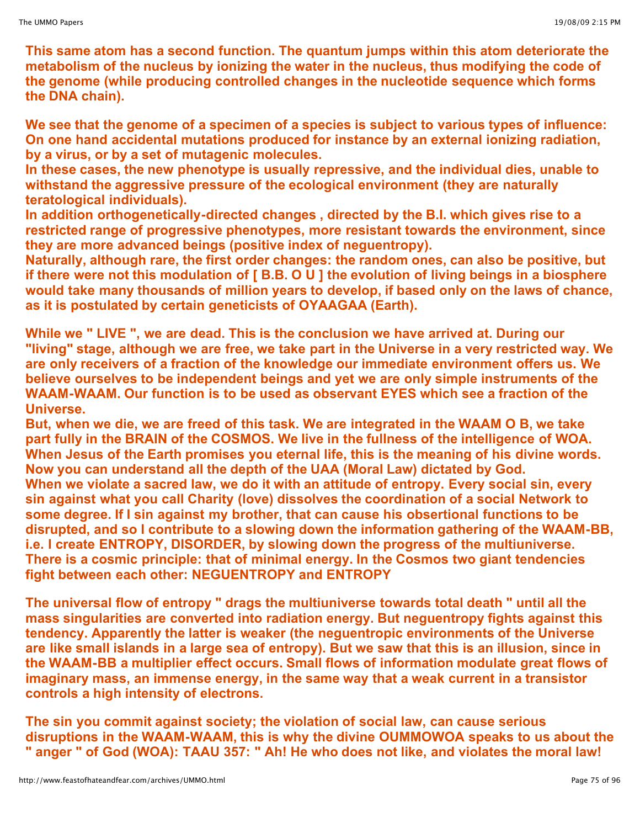**This same atom has a second function. The quantum jumps within this atom deteriorate the metabolism of the nucleus by ionizing the water in the nucleus, thus modifying the code of the genome (while producing controlled changes in the nucleotide sequence which forms the DNA chain).**

**We see that the genome of a specimen of a species is subject to various types of influence: On one hand accidental mutations produced for instance by an external ionizing radiation, by a virus, or by a set of mutagenic molecules.**

**In these cases, the new phenotype is usually repressive, and the individual dies, unable to withstand the aggressive pressure of the ecological environment (they are naturally teratological individuals).**

**In addition orthogenetically-directed changes , directed by the B.I. which gives rise to a restricted range of progressive phenotypes, more resistant towards the environment, since they are more advanced beings (positive index of neguentropy).**

**Naturally, although rare, the first order changes: the random ones, can also be positive, but if there were not this modulation of [ B.B. O U ] the evolution of living beings in a biosphere would take many thousands of million years to develop, if based only on the laws of chance, as it is postulated by certain geneticists of OYAAGAA (Earth).**

**While we " LIVE ", we are dead. This is the conclusion we have arrived at. During our "living" stage, although we are free, we take part in the Universe in a very restricted way. We are only receivers of a fraction of the knowledge our immediate environment offers us. We believe ourselves to be independent beings and yet we are only simple instruments of the WAAM-WAAM. Our function is to be used as observant EYES which see a fraction of the Universe.**

**But, when we die, we are freed of this task. We are integrated in the WAAM O B, we take part fully in the BRAIN of the COSMOS. We live in the fullness of the intelligence of WOA. When Jesus of the Earth promises you eternal life, this is the meaning of his divine words. Now you can understand all the depth of the UAA (Moral Law) dictated by God. When we violate a sacred law, we do it with an attitude of entropy. Every social sin, every sin against what you call Charity (love) dissolves the coordination of a social Network to some degree. If I sin against my brother, that can cause his obsertional functions to be disrupted, and so I contribute to a slowing down the information gathering of the WAAM-BB, i.e. I create ENTROPY, DISORDER, by slowing down the progress of the multiuniverse. There is a cosmic principle: that of minimal energy. In the Cosmos two giant tendencies fight between each other: NEGUENTROPY and ENTROPY**

**The universal flow of entropy " drags the multiuniverse towards total death " until all the mass singularities are converted into radiation energy. But neguentropy fights against this tendency. Apparently the latter is weaker (the neguentropic environments of the Universe** are like small islands in a large sea of entropy). But we saw that this is an illusion, since in **the WAAM-BB a multiplier effect occurs. Small flows of information modulate great flows of imaginary mass, an immense energy, in the same way that a weak current in a transistor controls a high intensity of electrons.**

**The sin you commit against society; the violation of social law, can cause serious disruptions in the WAAM-WAAM, this is why the divine OUMMOWOA speaks to us about the " anger " of God (WOA): TAAU 357: " Ah! He who does not like, and violates the moral law!**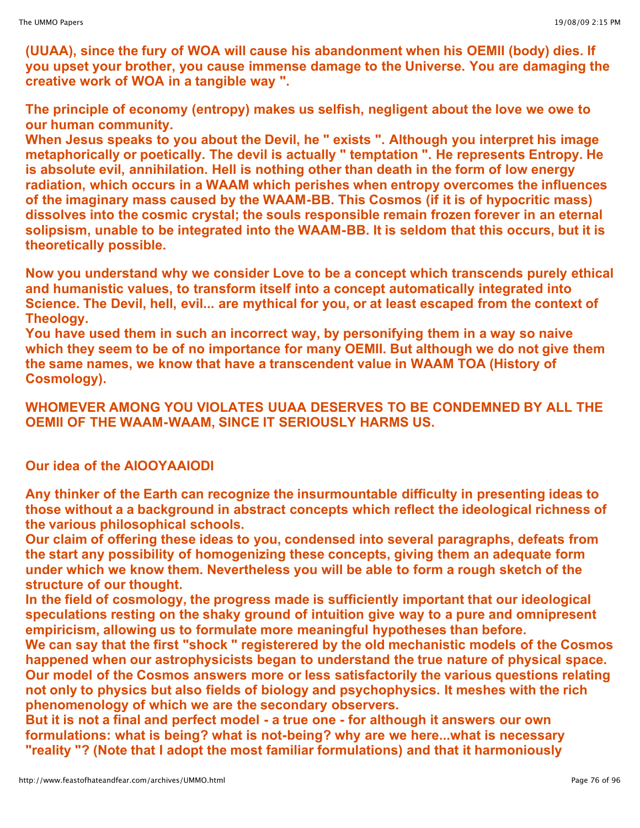**(UUAA), since the fury of WOA will cause his abandonment when his OEMII (body) dies. If you upset your brother, you cause immense damage to the Universe. You are damaging the creative work of WOA in a tangible way ".**

**The principle of economy (entropy) makes us selfish, negligent about the love we owe to our human community.**

**When Jesus speaks to you about the Devil, he " exists ". Although you interpret his image metaphorically or poetically. The devil is actually " temptation ". He represents Entropy. He is absolute evil, annihilation. Hell is nothing other than death in the form of low energy radiation, which occurs in a WAAM which perishes when entropy overcomes the influences of the imaginary mass caused by the WAAM-BB. This Cosmos (if it is of hypocritic mass) dissolves into the cosmic crystal; the souls responsible remain frozen forever in an eternal solipsism, unable to be integrated into the WAAM-BB. It is seldom that this occurs, but it is theoretically possible.**

**Now you understand why we consider Love to be a concept which transcends purely ethical and humanistic values, to transform itself into a concept automatically integrated into Science. The Devil, hell, evil... are mythical for you, or at least escaped from the context of Theology.**

**You have used them in such an incorrect way, by personifying them in a way so naive which they seem to be of no importance for many OEMII. But although we do not give them the same names, we know that have a transcendent value in WAAM TOA (History of Cosmology).**

**WHOMEVER AMONG YOU VIOLATES UUAA DESERVES TO BE CONDEMNED BY ALL THE OEMII OF THE WAAM-WAAM, SINCE IT SERIOUSLY HARMS US.**

# **Our idea of the AIOOYAAIODI**

**Any thinker of the Earth can recognize the insurmountable difficulty in presenting ideas to those without a a background in abstract concepts which reflect the ideological richness of the various philosophical schools.**

**Our claim of offering these ideas to you, condensed into several paragraphs, defeats from the start any possibility of homogenizing these concepts, giving them an adequate form under which we know them. Nevertheless you will be able to form a rough sketch of the structure of our thought.**

**In the field of cosmology, the progress made is sufficiently important that our ideological speculations resting on the shaky ground of intuition give way to a pure and omnipresent empiricism, allowing us to formulate more meaningful hypotheses than before.**

**We can say that the first "shock " registerered by the old mechanistic models of the Cosmos happened when our astrophysicists began to understand the true nature of physical space. Our model of the Cosmos answers more or less satisfactorily the various questions relating not only to physics but also fields of biology and psychophysics. It meshes with the rich phenomenology of which we are the secondary observers.**

But it is not a final and perfect model - a true one - for although it answers our own **formulations: what is being? what is not-being? why are we here...what is necessary "reality "? (Note that I adopt the most familiar formulations) and that it harmoniously**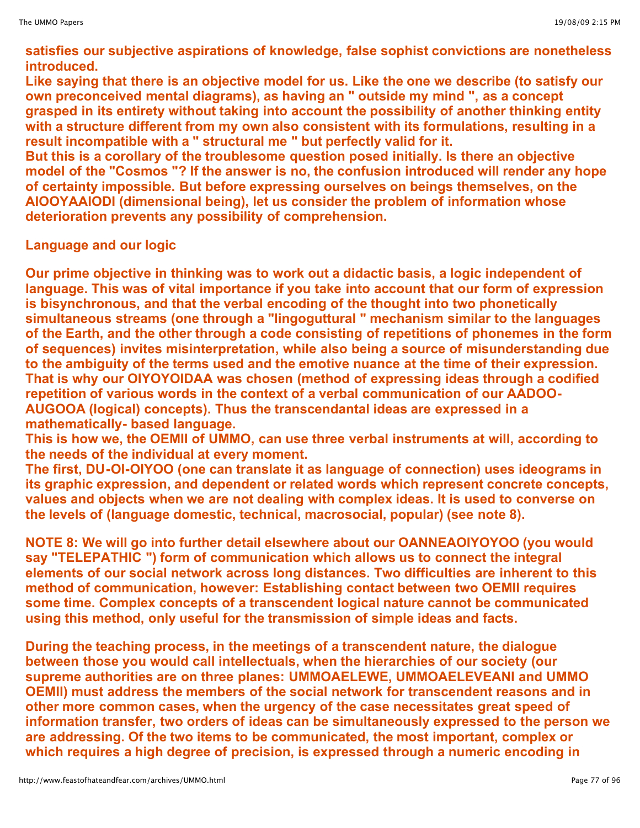**satisfies our subjective aspirations of knowledge, false sophist convictions are nonetheless introduced.**

**Like saying that there is an objective model for us. Like the one we describe (to satisfy our own preconceived mental diagrams), as having an " outside my mind ", as a concept grasped in its entirety without taking into account the possibility of another thinking entity with a structure different from my own also consistent with its formulations, resulting in a result incompatible with a " structural me " but perfectly valid for it.**

**But this is a corollary of the troublesome question posed initially. Is there an objective model of the "Cosmos "? If the answer is no, the confusion introduced will render any hope of certainty impossible. But before expressing ourselves on beings themselves, on the AIOOYAAIODI (dimensional being), let us consider the problem of information whose deterioration prevents any possibility of comprehension.**

**Language and our logic**

**Our prime objective in thinking was to work out a didactic basis, a logic independent of language. This was of vital importance if you take into account that our form of expression is bisynchronous, and that the verbal encoding of the thought into two phonetically simultaneous streams (one through a "lingoguttural " mechanism similar to the languages of the Earth, and the other through a code consisting of repetitions of phonemes in the form of sequences) invites misinterpretation, while also being a source of misunderstanding due to the ambiguity of the terms used and the emotive nuance at the time of their expression. That is why our OIYOYOIDAA was chosen (method of expressing ideas through a codified repetition of various words in the context of a verbal communication of our AADOO-AUGOOA (logical) concepts). Thus the transcendantal ideas are expressed in a mathematically- based language.**

**This is how we, the OEMII of UMMO, can use three verbal instruments at will, according to the needs of the individual at every moment.**

**The first, DU-OI-OIYOO (one can translate it as language of connection) uses ideograms in its graphic expression, and dependent or related words which represent concrete concepts, values and objects when we are not dealing with complex ideas. It is used to converse on the levels of (language domestic, technical, macrosocial, popular) (see note 8).**

**NOTE 8: We will go into further detail elsewhere about our OANNEAOIYOYOO (you would say "TELEPATHIC ") form of communication which allows us to connect the integral elements of our social network across long distances. Two difficulties are inherent to this method of communication, however: Establishing contact between two OEMII requires some time. Complex concepts of a transcendent logical nature cannot be communicated using this method, only useful for the transmission of simple ideas and facts.**

**During the teaching process, in the meetings of a transcendent nature, the dialogue between those you would call intellectuals, when the hierarchies of our society (our supreme authorities are on three planes: UMMOAELEWE, UMMOAELEVEANI and UMMO OEMIl) must address the members of the social network for transcendent reasons and in other more common cases, when the urgency of the case necessitates great speed of information transfer, two orders of ideas can be simultaneously expressed to the person we are addressing. Of the two items to be communicated, the most important, complex or which requires a high degree of precision, is expressed through a numeric encoding in**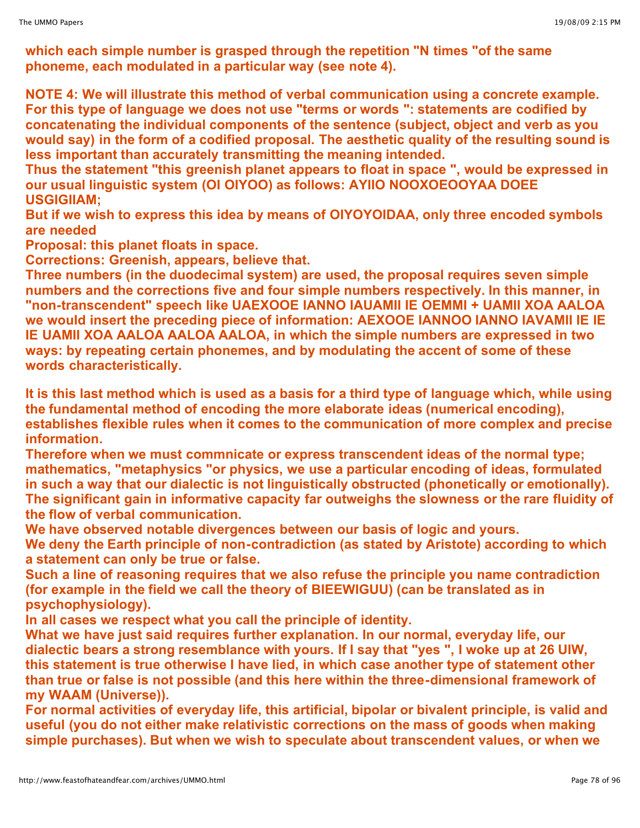**which each simple number is grasped through the repetition "N times "of the same phoneme, each modulated in a particular way (see note 4).**

**NOTE 4: We will illustrate this method of verbal communication using a concrete example. For this type of language we does not use "terms or words ": statements are codified by concatenating the individual components of the sentence (subject, object and verb as you would say) in the form of a codified proposal. The aesthetic quality of the resulting sound is less important than accurately transmitting the meaning intended.**

**Thus the statement "this greenish planet appears to float in space ", would be expressed in our usual linguistic system (OI OIYOO) as follows: AYIIO NOOXOEOOYAA DOEE USGIGIIAM;**

**But if we wish to express this idea by means of OIYOYOIDAA, only three encoded symbols are needed**

**Proposal: this planet floats in space.**

**Corrections: Greenish, appears, believe that.**

**Three numbers (in the duodecimal system) are used, the proposal requires seven simple numbers and the corrections five and four simple numbers respectively. In this manner, in "non-transcendent" speech like UAEXOOE IANNO IAUAMII IE OEMMI + UAMII XOA AALOA we would insert the preceding piece of information: AEXOOE IANNOO IANNO IAVAMII IE IE IE UAMII XOA AALOA AALOA AALOA, in which the simple numbers are expressed in two ways: by repeating certain phonemes, and by modulating the accent of some of these words characteristically.**

It is this last method which is used as a basis for a third type of language which, while using **the fundamental method of encoding the more elaborate ideas (numerical encoding), establishes flexible rules when it comes to the communication of more complex and precise information.**

**Therefore when we must commnicate or express transcendent ideas of the normal type; mathematics, "metaphysics "or physics, we use a particular encoding of ideas, formulated in such a way that our dialectic is not linguistically obstructed (phonetically or emotionally). The significant gain in informative capacity far outweighs the slowness or the rare fluidity of the flow of verbal communication.**

**We have observed notable divergences between our basis of logic and yours.**

**We deny the Earth principle of non-contradiction (as stated by Aristote) according to which a statement can only be true or false.**

**Such a line of reasoning requires that we also refuse the principle you name contradiction (for example in the field we call the theory of BIEEWIGUU) (can be translated as in psychophysiology).**

**In all cases we respect what you call the principle of identity.**

**What we have just said requires further explanation. In our normal, everyday life, our dialectic bears a strong resemblance with yours. If I say that "yes ", I woke up at 26 UIW, this statement is true otherwise I have lied, in which case another type of statement other than true or false is not possible (and this here within the three-dimensional framework of my WAAM (Universe)).**

**For normal activities of everyday life, this artificial, bipolar or bivalent principle, is valid and useful (you do not either make relativistic corrections on the mass of goods when making simple purchases). But when we wish to speculate about transcendent values, or when we**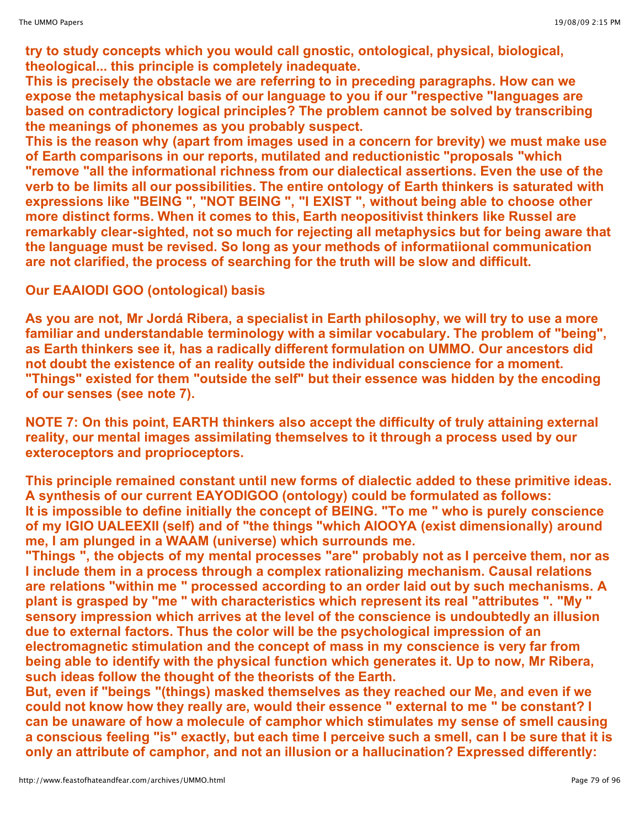**try to study concepts which you would call gnostic, ontological, physical, biological, theological... this principle is completely inadequate.**

**This is precisely the obstacle we are referring to in preceding paragraphs. How can we expose the metaphysical basis of our language to you if our "respective "languages are based on contradictory logical principles? The problem cannot be solved by transcribing the meanings of phonemes as you probably suspect.**

**This is the reason why (apart from images used in a concern for brevity) we must make use of Earth comparisons in our reports, mutilated and reductionistic "proposals "which "remove "all the informational richness from our dialectical assertions. Even the use of the verb to be limits all our possibilities. The entire ontology of Earth thinkers is saturated with expressions like "BEING ", "NOT BEING ", "I EXIST ", without being able to choose other more distinct forms. When it comes to this, Earth neopositivist thinkers like Russel are remarkably clear-sighted, not so much for rejecting all metaphysics but for being aware that the language must be revised. So long as your methods of informatiional communication are not clarified, the process of searching for the truth will be slow and difficult.**

**Our EAAIODI GOO (ontological) basis**

As you are not, Mr Jordá Ribera, a specialist in Earth philosophy, we will try to use a more **familiar and understandable terminology with a similar vocabulary. The problem of "being", as Earth thinkers see it, has a radically different formulation on UMMO. Our ancestors did not doubt the existence of an reality outside the individual conscience for a moment. "Things" existed for them "outside the self" but their essence was hidden by the encoding of our senses (see note 7).**

**NOTE 7: On this point, EARTH thinkers also accept the difficulty of truly attaining external reality, our mental images assimilating themselves to it through a process used by our exteroceptors and proprioceptors.**

**This principle remained constant until new forms of dialectic added to these primitive ideas. A synthesis of our current EAYODIGOO (ontology) could be formulated as follows: It is impossible to define initially the concept of BEING. "To me " who is purely conscience of my IGIO UALEEXII (self) and of "the things "which AIOOYA (exist dimensionally) around me, I am plunged in a WAAM (universe) which surrounds me.**

**"Things ", the objects of my mental processes "are" probably not as I perceive them, nor as I include them in a process through a complex rationalizing mechanism. Causal relations are relations "within me " processed according to an order laid out by such mechanisms. A plant is grasped by "me " with characteristics which represent its real "attributes ". "My " sensory impression which arrives at the level of the conscience is undoubtedly an illusion due to external factors. Thus the color will be the psychological impression of an electromagnetic stimulation and the concept of mass in my conscience is very far from being able to identify with the physical function which generates it. Up to now, Mr Ribera, such ideas follow the thought of the theorists of the Earth.**

**But, even if "beings "(things) masked themselves as they reached our Me, and even if we could not know how they really are, would their essence " external to me " be constant? I can be unaware of how a molecule of camphor which stimulates my sense of smell causing** a conscious feeling "is" exactly, but each time I perceive such a smell, can I be sure that it is **only an attribute of camphor, and not an illusion or a hallucination? Expressed differently:**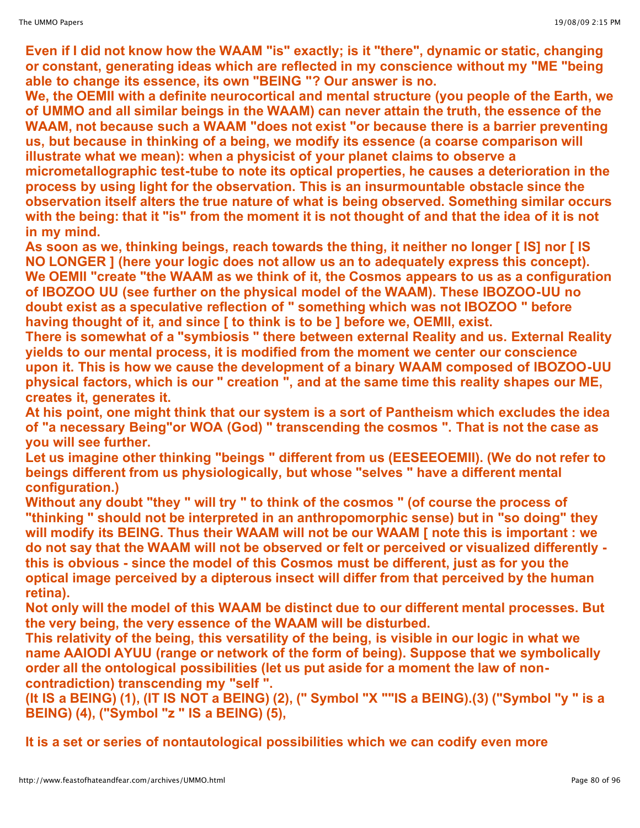**Even if I did not know how the WAAM "is" exactly; is it "there", dynamic or static, changing or constant, generating ideas which are reflected in my conscience without my "ME "being able to change its essence, its own "BEING "? Our answer is no.** 

**We, the OEMII with a definite neurocortical and mental structure (you people of the Earth, we of UMMO and all similar beings in the WAAM) can never attain the truth, the essence of the WAAM, not because such a WAAM "does not exist "or because there is a barrier preventing us, but because in thinking of a being, we modify its essence (a coarse comparison will illustrate what we mean): when a physicist of your planet claims to observe a micrometallographic test-tube to note its optical properties, he causes a deterioration in the process by using light for the observation. This is an insurmountable obstacle since the observation itself alters the true nature of what is being observed. Something similar occurs with the being: that it "is" from the moment it is not thought of and that the idea of it is not in my mind.**

**As soon as we, thinking beings, reach towards the thing, it neither no longer [ IS] nor [ IS NO LONGER ] (here your logic does not allow us an to adequately express this concept). We OEMII "create "the WAAM as we think of it, the Cosmos appears to us as a configuration of IBOZOO UU (see further on the physical model of the WAAM). These IBOZOO-UU no doubt exist as a speculative reflection of " something which was not IBOZOO " before having thought of it, and since [ to think is to be ] before we, OEMII, exist.**

**There is somewhat of a "symbiosis " there between external Reality and us. External Reality yields to our mental process, it is modified from the moment we center our conscience upon it. This is how we cause the development of a binary WAAM composed of IBOZOO-UU physical factors, which is our " creation ", and at the same time this reality shapes our ME, creates it, generates it.**

**At his point, one might think that our system is a sort of Pantheism which excludes the idea of "a necessary Being"or WOA (God) " transcending the cosmos ". That is not the case as you will see further.** 

**Let us imagine other thinking "beings " different from us (EESEEOEMII). (We do not refer to beings different from us physiologically, but whose "selves " have a different mental configuration.)**

**Without any doubt "they " will try " to think of the cosmos " (of course the process of "thinking " should not be interpreted in an anthropomorphic sense) but in "so doing" they will modify its BEING. Thus their WAAM will not be our WAAM [ note this is important : we do not say that the WAAM will not be observed or felt or perceived or visualized differently this is obvious - since the model of this Cosmos must be different, just as for you the optical image perceived by a dipterous insect will differ from that perceived by the human retina).**

**Not only will the model of this WAAM be distinct due to our different mental processes. But the very being, the very essence of the WAAM will be disturbed.**

**This relativity of the being, this versatility of the being, is visible in our logic in what we name AAIODI AYUU (range or network of the form of being). Suppose that we symbolically order all the ontological possibilities (let us put aside for a moment the law of noncontradiction) transcending my "self ".**

**(It IS a BEING) (1), (IT IS NOT a BEING) (2), (" Symbol "X ""IS a BEING).(3) ("Symbol "y " is a BEING) (4), ("Symbol "z " IS a BEING) (5),**

**It is a set or series of nontautological possibilities which we can codify even more**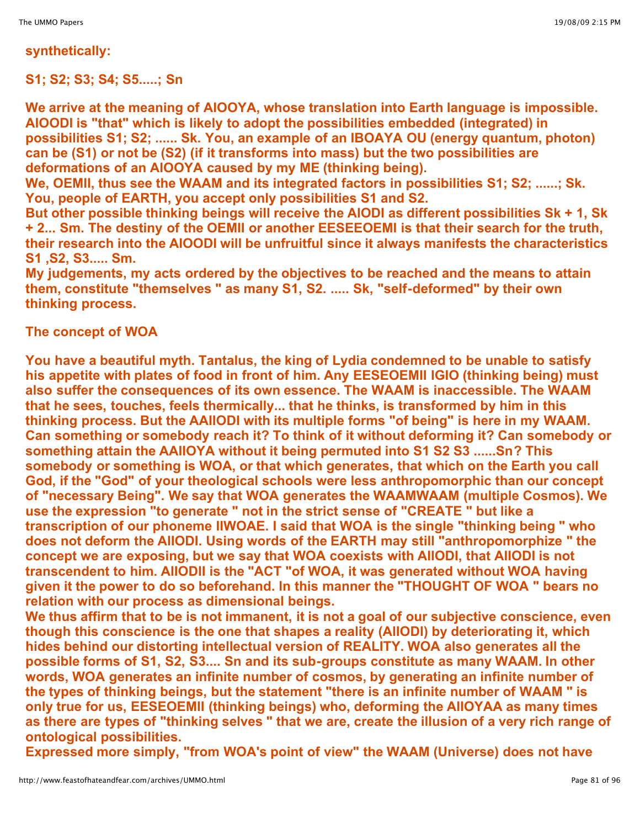#### **synthetically:**

**S1; S2; S3; S4; S5.....; Sn**

**We arrive at the meaning of AIOOYA, whose translation into Earth language is impossible. AIOODI is "that" which is likely to adopt the possibilities embedded (integrated) in possibilities S1; S2; ...... Sk. You, an example of an IBOAYA OU (energy quantum, photon) can be (S1) or not be (S2) (if it transforms into mass) but the two possibilities are deformations of an AIOOYA caused by my ME (thinking being).**

**We, OEMII, thus see the WAAM and its integrated factors in possibilities S1; S2; ......; Sk. You, people of EARTH, you accept only possibilities S1 and S2.**

**But other possible thinking beings will receive the AIODI as different possibilities Sk + 1, Sk + 2... Sm. The destiny of the OEMII or another EESEEOEMI is that their search for the truth, their research into the AIOODI will be unfruitful since it always manifests the characteristics S1 ,S2, S3..... Sm.**

**My judgements, my acts ordered by the objectives to be reached and the means to attain them, constitute "themselves " as many S1, S2. ..... Sk, "self-deformed" by their own thinking process.**

**The concept of WOA**

**You have a beautiful myth. Tantalus, the king of Lydia condemned to be unable to satisfy his appetite with plates of food in front of him. Any EESEOEMII IGIO (thinking being) must also suffer the consequences of its own essence. The WAAM is inaccessible. The WAAM that he sees, touches, feels thermically... that he thinks, is transformed by him in this thinking process. But the AAIIODI with its multiple forms "of being" is here in my WAAM. Can something or somebody reach it? To think of it without deforming it? Can somebody or something attain the AAIIOYA without it being permuted into S1 S2 S3 ......Sn? This somebody or something is WOA, or that which generates, that which on the Earth you call God, if the "God" of your theological schools were less anthropomorphic than our concept of "necessary Being". We say that WOA generates the WAAMWAAM (multiple Cosmos). We use the expression "to generate " not in the strict sense of "CREATE " but like a transcription of our phoneme IIWOAE. I said that WOA is the single "thinking being " who does not deform the AIIODI. Using words of the EARTH may still "anthropomorphize " the concept we are exposing, but we say that WOA coexists with AIIODI, that AIIODI is not transcendent to him. AIIODII is the "ACT "of WOA, it was generated without WOA having given it the power to do so beforehand. In this manner the "THOUGHT OF WOA " bears no relation with our process as dimensional beings.**

**We thus affirm that to be is not immanent, it is not a goal of our subjective conscience, even though this conscience is the one that shapes a reality (AIIODI) by deteriorating it, which hides behind our distorting intellectual version of REALITY. WOA also generates all the possible forms of S1, S2, S3.... Sn and its sub-groups constitute as many WAAM. In other words, WOA generates an infinite number of cosmos, by generating an infinite number of the types of thinking beings, but the statement "there is an infinite number of WAAM " is only true for us, EESEOEMII (thinking beings) who, deforming the AIIOYAA as many times as there are types of "thinking selves " that we are, create the illusion of a very rich range of ontological possibilities.**

**Expressed more simply, "from WOA's point of view" the WAAM (Universe) does not have**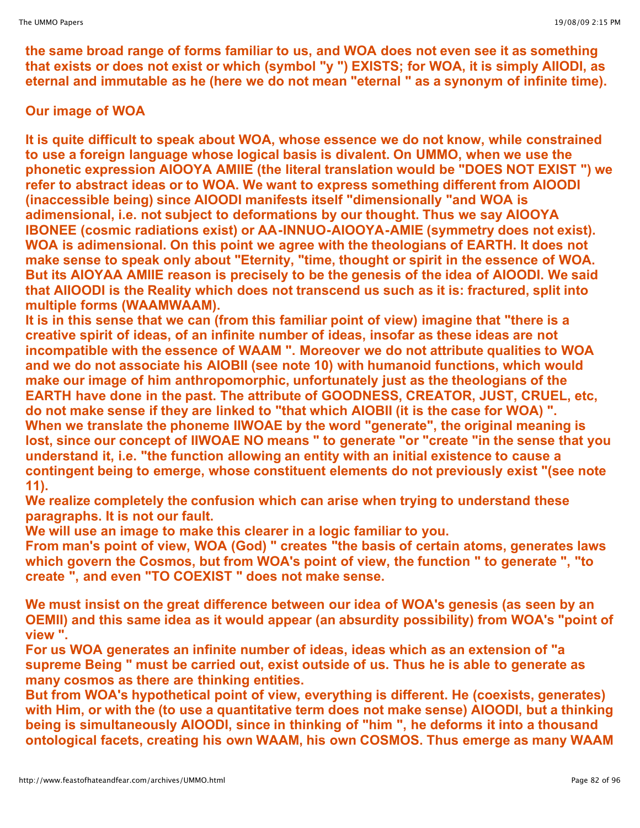**the same broad range of forms familiar to us, and WOA does not even see it as something that exists or does not exist or which (symbol "y ") EXISTS; for WOA, it is simply AIIODI, as eternal and immutable as he (here we do not mean "eternal " as a synonym of infinite time).**

# **Our image of WOA**

**It is quite difficult to speak about WOA, whose essence we do not know, while constrained to use a foreign language whose logical basis is divalent. On UMMO, when we use the phonetic expression AIOOYA AMIIE (the literal translation would be "DOES NOT EXIST ") we refer to abstract ideas or to WOA. We want to express something different from AIOODI (inaccessible being) since AIOODI manifests itself "dimensionally "and WOA is adimensional, i.e. not subject to deformations by our thought. Thus we say AIOOYA IBONEE (cosmic radiations exist) or AA-INNUO-AIOOYA-AMIE (symmetry does not exist). WOA is adimensional. On this point we agree with the theologians of EARTH. It does not make sense to speak only about "Eternity, "time, thought or spirit in the essence of WOA. But its AIOYAA AMIIE reason is precisely to be the genesis of the idea of AIOODI. We said that AIIOODI is the Reality which does not transcend us such as it is: fractured, split into multiple forms (WAAMWAAM).**

**It is in this sense that we can (from this familiar point of view) imagine that "there is a creative spirit of ideas, of an infinite number of ideas, insofar as these ideas are not incompatible with the essence of WAAM ". Moreover we do not attribute qualities to WOA and we do not associate his AIOBII (see note 10) with humanoid functions, which would make our image of him anthropomorphic, unfortunately just as the theologians of the EARTH have done in the past. The attribute of GOODNESS, CREATOR, JUST, CRUEL, etc, do not make sense if they are linked to "that which AIOBII (it is the case for WOA) ". When we translate the phoneme IIWOAE by the word "generate", the original meaning is lost, since our concept of IIWOAE NO means " to generate "or "create "in the sense that you understand it, i.e. "the function allowing an entity with an initial existence to cause a contingent being to emerge, whose constituent elements do not previously exist "(see note 11).**

**We realize completely the confusion which can arise when trying to understand these paragraphs. It is not our fault.**

**We will use an image to make this clearer in a logic familiar to you.**

**From man's point of view, WOA (God) " creates "the basis of certain atoms, generates laws which govern the Cosmos, but from WOA's point of view, the function " to generate ", "to create ", and even "TO COEXIST " does not make sense.**

**We must insist on the great difference between our idea of WOA's genesis (as seen by an OEMII) and this same idea as it would appear (an absurdity possibility) from WOA's "point of view ".**

**For us WOA generates an infinite number of ideas, ideas which as an extension of "a supreme Being " must be carried out, exist outside of us. Thus he is able to generate as many cosmos as there are thinking entities.**

**But from WOA's hypothetical point of view, everything is different. He (coexists, generates) with Him, or with the (to use a quantitative term does not make sense) AIOODI, but a thinking being is simultaneously AIOODI, since in thinking of "him ", he deforms it into a thousand ontological facets, creating his own WAAM, his own COSMOS. Thus emerge as many WAAM**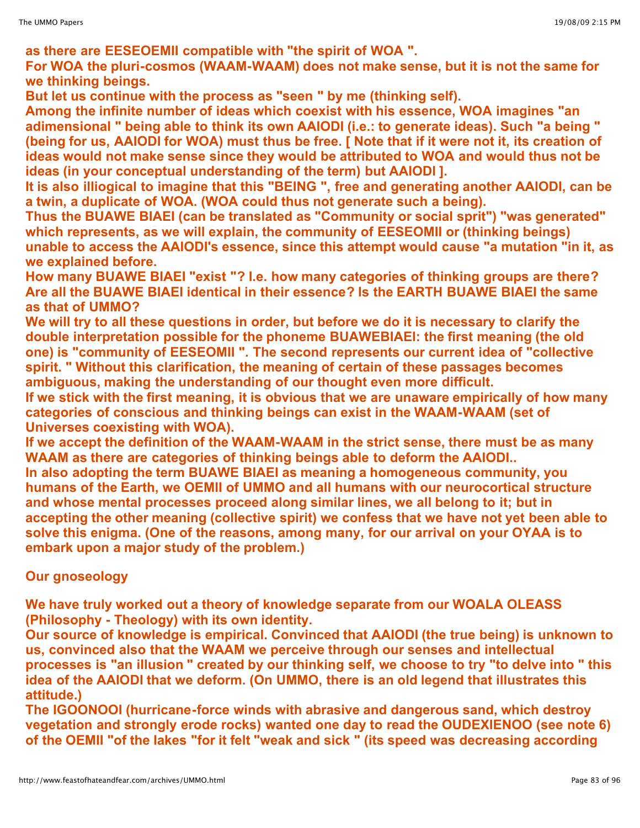**as there are EESEOEMII compatible with "the spirit of WOA ".**

**For WOA the pluri-cosmos (WAAM-WAAM) does not make sense, but it is not the same for we thinking beings.**

**But let us continue with the process as "seen " by me (thinking self).**

**Among the infinite number of ideas which coexist with his essence, WOA imagines "an adimensional " being able to think its own AAIODI (i.e.: to generate ideas). Such "a being "** (being for us, AAIODI for WOA) must thus be free. [ Note that if it were not it, its creation of **ideas would not make sense since they would be attributed to WOA and would thus not be ideas (in your conceptual understanding of the term) but AAIODI ].**

**It is also illiogical to imagine that this "BEING ", free and generating another AAIODI, can be a twin, a duplicate of WOA. (WOA could thus not generate such a being).**

**Thus the BUAWE BIAEI (can be translated as "Community or social sprit") "was generated" which represents, as we will explain, the community of EESEOMII or (thinking beings) unable to access the AAIODI's essence, since this attempt would cause "a mutation "in it, as we explained before.**

**How many BUAWE BIAEI "exist "? I.e. how many categories of thinking groups are there? Are all the BUAWE BIAEI identical in their essence? Is the EARTH BUAWE BIAEI the same as that of UMMO?**

**We will try to all these questions in order, but before we do it is necessary to clarify the double interpretation possible for the phoneme BUAWEBIAEI: the first meaning (the old one) is "community of EESEOMII ". The second represents our current idea of "collective spirit. " Without this clarification, the meaning of certain of these passages becomes ambiguous, making the understanding of our thought even more difficult.**

**If we stick with the first meaning, it is obvious that we are unaware empirically of how many categories of conscious and thinking beings can exist in the WAAM-WAAM (set of Universes coexisting with WOA).**

**If we accept the definition of the WAAM-WAAM in the strict sense, there must be as many WAAM as there are categories of thinking beings able to deform the AAIODI..**

**In also adopting the term BUAWE BIAEI as meaning a homogeneous community, you humans of the Earth, we OEMII of UMMO and all humans with our neurocortical structure and whose mental processes proceed along similar lines, we all belong to it; but in accepting the other meaning (collective spirit) we confess that we have not yet been able to solve this enigma. (One of the reasons, among many, for our arrival on your OYAA is to embark upon a major study of the problem.)**

### **Our gnoseology**

**We have truly worked out a theory of knowledge separate from our WOALA OLEASS (Philosophy - Theology) with its own identity.**

**Our source of knowledge is empirical. Convinced that AAIODI (the true being) is unknown to us, convinced also that the WAAM we perceive through our senses and intellectual processes is "an illusion " created by our thinking self, we choose to try "to delve into " this idea of the AAIODI that we deform. (On UMMO, there is an old legend that illustrates this attitude.)**

**The IGOONOOI (hurricane-force winds with abrasive and dangerous sand, which destroy vegetation and strongly erode rocks) wanted one day to read the OUDEXIENOO (see note 6) of the OEMII "of the lakes "for it felt "weak and sick " (its speed was decreasing according**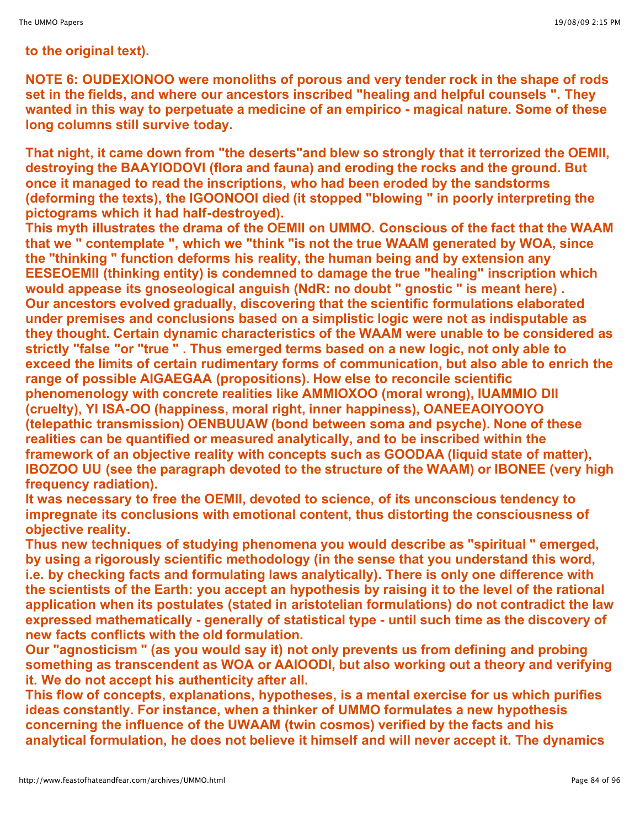### **to the original text).**

**NOTE 6: OUDEXIONOO were monoliths of porous and very tender rock in the shape of rods set in the fields, and where our ancestors inscribed "healing and helpful counsels ". They wanted in this way to perpetuate a medicine of an empirico - magical nature. Some of these long columns still survive today.**

**That night, it came down from "the deserts"and blew so strongly that it terrorized the OEMII, destroying the BAAYIODOVI (flora and fauna) and eroding the rocks and the ground. But once it managed to read the inscriptions, who had been eroded by the sandstorms (deforming the texts), the IGOONOOI died (it stopped "blowing " in poorly interpreting the pictograms which it had half-destroyed).**

**This myth illustrates the drama of the OEMII on UMMO. Conscious of the fact that the WAAM that we " contemplate ", which we "think "is not the true WAAM generated by WOA, since the "thinking " function deforms his reality, the human being and by extension any EESEOEMII (thinking entity) is condemned to damage the true "healing" inscription which would appease its gnoseological anguish (NdR: no doubt " gnostic " is meant here) . Our ancestors evolved gradually, discovering that the scientific formulations elaborated under premises and conclusions based on a simplistic logic were not as indisputable as they thought. Certain dynamic characteristics of the WAAM were unable to be considered as strictly "false "or "true " . Thus emerged terms based on a new logic, not only able to exceed the limits of certain rudimentary forms of communication, but also able to enrich the range of possible AIGAEGAA (propositions). How else to reconcile scientific phenomenology with concrete realities like AMMIOXOO (moral wrong), IUAMMIO DII (cruelty), YI ISA-OO (happiness, moral right, inner happiness), OANEEAOIYOOYO (telepathic transmission) OENBUUAW (bond between soma and psyche). None of these realities can be quantified or measured analytically, and to be inscribed within the framework of an objective reality with concepts such as GOODAA (liquid state of matter), IBOZOO UU (see the paragraph devoted to the structure of the WAAM) or IBONEE (very high frequency radiation).**

**It was necessary to free the OEMII, devoted to science, of its unconscious tendency to impregnate its conclusions with emotional content, thus distorting the consciousness of objective reality.**

**Thus new techniques of studying phenomena you would describe as "spiritual " emerged, by using a rigorously scientific methodology (in the sense that you understand this word, i.e. by checking facts and formulating laws analytically). There is only one difference with the scientists of the Earth: you accept an hypothesis by raising it to the level of the rational application when its postulates (stated in aristotelian formulations) do not contradict the law expressed mathematically - generally of statistical type - until such time as the discovery of new facts conflicts with the old formulation.**

**Our "agnosticism " (as you would say it) not only prevents us from defining and probing something as transcendent as WOA or AAIOODI, but also working out a theory and verifying it. We do not accept his authenticity after all.**

**This flow of concepts, explanations, hypotheses, is a mental exercise for us which purifies ideas constantly. For instance, when a thinker of UMMO formulates a new hypothesis concerning the influence of the UWAAM (twin cosmos) verified by the facts and his analytical formulation, he does not believe it himself and will never accept it. The dynamics**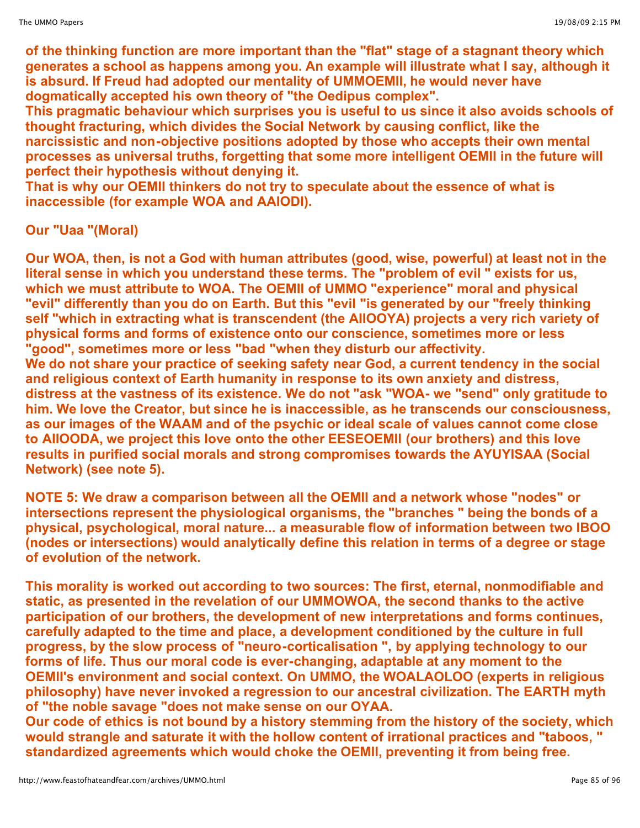**of the thinking function are more important than the "flat" stage of a stagnant theory which generates a school as happens among you. An example will illustrate what I say, although it is absurd. If Freud had adopted our mentality of UMMOEMII, he would never have dogmatically accepted his own theory of "the Oedipus complex".**

**This pragmatic behaviour which surprises you is useful to us since it also avoids schools of thought fracturing, which divides the Social Network by causing conflict, like the narcissistic and non-objective positions adopted by those who accepts their own mental processes as universal truths, forgetting that some more intelligent OEMII in the future will perfect their hypothesis without denying it.**

**That is why our OEMII thinkers do not try to speculate about the essence of what is inaccessible (for example WOA and AAIODI).**

# **Our "Uaa "(Moral)**

**Our WOA, then, is not a God with human attributes (good, wise, powerful) at least not in the literal sense in which you understand these terms. The "problem of evil " exists for us, which we must attribute to WOA. The OEMII of UMMO "experience" moral and physical "evil" differently than you do on Earth. But this "evil "is generated by our "freely thinking self "which in extracting what is transcendent (the AIIOOYA) projects a very rich variety of physical forms and forms of existence onto our conscience, sometimes more or less "good", sometimes more or less "bad "when they disturb our affectivity. We do not share your practice of seeking safety near God, a current tendency in the social and religious context of Earth humanity in response to its own anxiety and distress, distress at the vastness of its existence. We do not "ask "WOA- we "send" only gratitude to him. We love the Creator, but since he is inaccessible, as he transcends our consciousness, as our images of the WAAM and of the psychic or ideal scale of values cannot come close to AIIOODA, we project this love onto the other EESEOEMII (our brothers) and this love results in purified social morals and strong compromises towards the AYUYISAA (Social Network) (see note 5).**

**NOTE 5: We draw a comparison between all the OEMII and a network whose "nodes" or intersections represent the physiological organisms, the "branches " being the bonds of a physical, psychological, moral nature... a measurable flow of information between two IBOO (nodes or intersections) would analytically define this relation in terms of a degree or stage of evolution of the network.**

**This morality is worked out according to two sources: The first, eternal, nonmodifiable and static, as presented in the revelation of our UMMOWOA, the second thanks to the active participation of our brothers, the development of new interpretations and forms continues, carefully adapted to the time and place, a development conditioned by the culture in full progress, by the slow process of "neuro-corticalisation ", by applying technology to our forms of life. Thus our moral code is ever-changing, adaptable at any moment to the OEMII's environment and social context. On UMMO, the WOALAOLOO (experts in religious philosophy) have never invoked a regression to our ancestral civilization. The EARTH myth of "the noble savage "does not make sense on our OYAA.**

**Our code of ethics is not bound by a history stemming from the history of the society, which would strangle and saturate it with the hollow content of irrational practices and "taboos, " standardized agreements which would choke the OEMII, preventing it from being free.**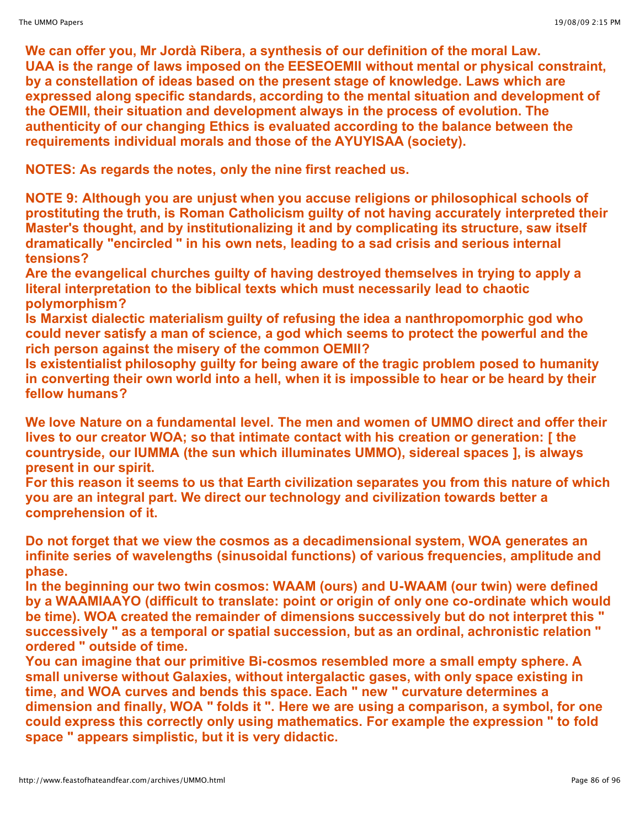**We can offer you, Mr Jordà Ribera, a synthesis of our definition of the moral Law. UAA is the range of laws imposed on the EESEOEMII without mental or physical constraint, by a constellation of ideas based on the present stage of knowledge. Laws which are expressed along specific standards, according to the mental situation and development of the OEMII, their situation and development always in the process of evolution. The authenticity of our changing Ethics is evaluated according to the balance between the requirements individual morals and those of the AYUYISAA (society).**

**NOTES: As regards the notes, only the nine first reached us.**

**NOTE 9: Although you are unjust when you accuse religions or philosophical schools of prostituting the truth, is Roman Catholicism guilty of not having accurately interpreted their Master's thought, and by institutionalizing it and by complicating its structure, saw itself dramatically "encircled " in his own nets, leading to a sad crisis and serious internal tensions?**

**Are the evangelical churches guilty of having destroyed themselves in trying to apply a literal interpretation to the biblical texts which must necessarily lead to chaotic polymorphism?**

**Is Marxist dialectic materialism guilty of refusing the idea a nanthropomorphic god who could never satisfy a man of science, a god which seems to protect the powerful and the rich person against the misery of the common OEMII?**

**Is existentialist philosophy guilty for being aware of the tragic problem posed to humanity in converting their own world into a hell, when it is impossible to hear or be heard by their fellow humans?**

**We love Nature on a fundamental level. The men and women of UMMO direct and offer their lives to our creator WOA; so that intimate contact with his creation or generation: [ the countryside, our IUMMA (the sun which illuminates UMMO), sidereal spaces ], is always present in our spirit.**

**For this reason it seems to us that Earth civilization separates you from this nature of which you are an integral part. We direct our technology and civilization towards better a comprehension of it.**

**Do not forget that we view the cosmos as a decadimensional system, WOA generates an infinite series of wavelengths (sinusoidal functions) of various frequencies, amplitude and phase.**

**In the beginning our two twin cosmos: WAAM (ours) and U-WAAM (our twin) were defined by a WAAMIAAYO (difficult to translate: point or origin of only one co-ordinate which would be time). WOA created the remainder of dimensions successively but do not interpret this " successively " as a temporal or spatial succession, but as an ordinal, achronistic relation " ordered " outside of time.**

**You can imagine that our primitive Bi-cosmos resembled more a small empty sphere. A small universe without Galaxies, without intergalactic gases, with only space existing in time, and WOA curves and bends this space. Each " new " curvature determines a dimension and finally, WOA " folds it ". Here we are using a comparison, a symbol, for one could express this correctly only using mathematics. For example the expression " to fold space " appears simplistic, but it is very didactic.**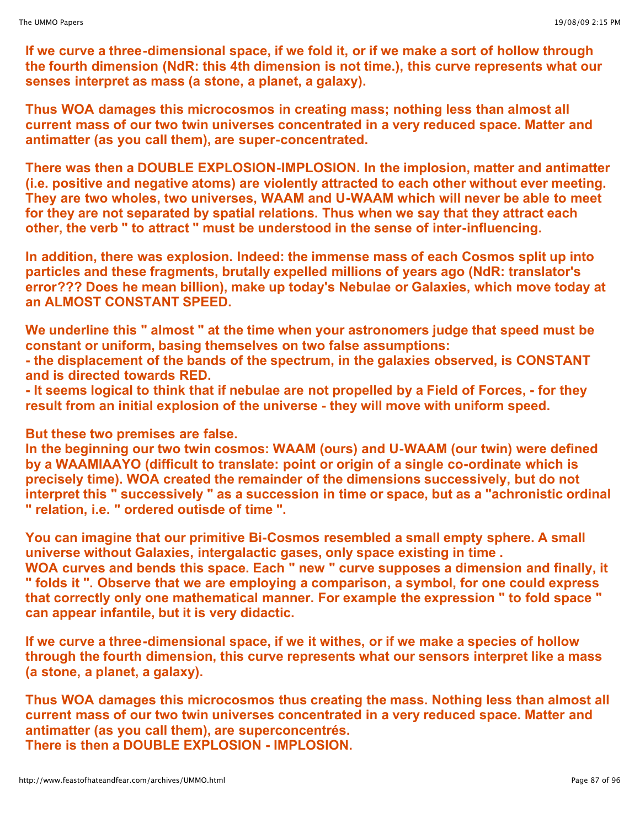**If we curve a three-dimensional space, if we fold it, or if we make a sort of hollow through the fourth dimension (NdR: this 4th dimension is not time.), this curve represents what our senses interpret as mass (a stone, a planet, a galaxy).**

**Thus WOA damages this microcosmos in creating mass; nothing less than almost all current mass of our two twin universes concentrated in a very reduced space. Matter and antimatter (as you call them), are super-concentrated.**

**There was then a DOUBLE EXPLOSION-IMPLOSION. In the implosion, matter and antimatter (i.e. positive and negative atoms) are violently attracted to each other without ever meeting. They are two wholes, two universes, WAAM and U-WAAM which will never be able to meet for they are not separated by spatial relations. Thus when we say that they attract each other, the verb " to attract " must be understood in the sense of inter-influencing.**

**In addition, there was explosion. Indeed: the immense mass of each Cosmos split up into particles and these fragments, brutally expelled millions of years ago (NdR: translator's error??? Does he mean billion), make up today's Nebulae or Galaxies, which move today at an ALMOST CONSTANT SPEED.**

**We underline this " almost " at the time when your astronomers judge that speed must be constant or uniform, basing themselves on two false assumptions:**

**- the displacement of the bands of the spectrum, in the galaxies observed, is CONSTANT and is directed towards RED.**

- It seems logical to think that if nebulae are not propelled by a Field of Forces, - for they **result from an initial explosion of the universe - they will move with uniform speed.**

**But these two premises are false.**

**In the beginning our two twin cosmos: WAAM (ours) and U-WAAM (our twin) were defined by a WAAMIAAYO (difficult to translate: point or origin of a single co-ordinate which is precisely time). WOA created the remainder of the dimensions successively, but do not interpret this " successively " as a succession in time or space, but as a "achronistic ordinal " relation, i.e. " ordered outisde of time ".**

**You can imagine that our primitive Bi-Cosmos resembled a small empty sphere. A small universe without Galaxies, intergalactic gases, only space existing in time . WOA curves and bends this space. Each " new " curve supposes a dimension and finally, it " folds it ". Observe that we are employing a comparison, a symbol, for one could express that correctly only one mathematical manner. For example the expression " to fold space " can appear infantile, but it is very didactic.**

**If we curve a three-dimensional space, if we it withes, or if we make a species of hollow through the fourth dimension, this curve represents what our sensors interpret like a mass (a stone, a planet, a galaxy).**

**Thus WOA damages this microcosmos thus creating the mass. Nothing less than almost all current mass of our two twin universes concentrated in a very reduced space. Matter and antimatter (as you call them), are superconcentrés. There is then a DOUBLE EXPLOSION - IMPLOSION.**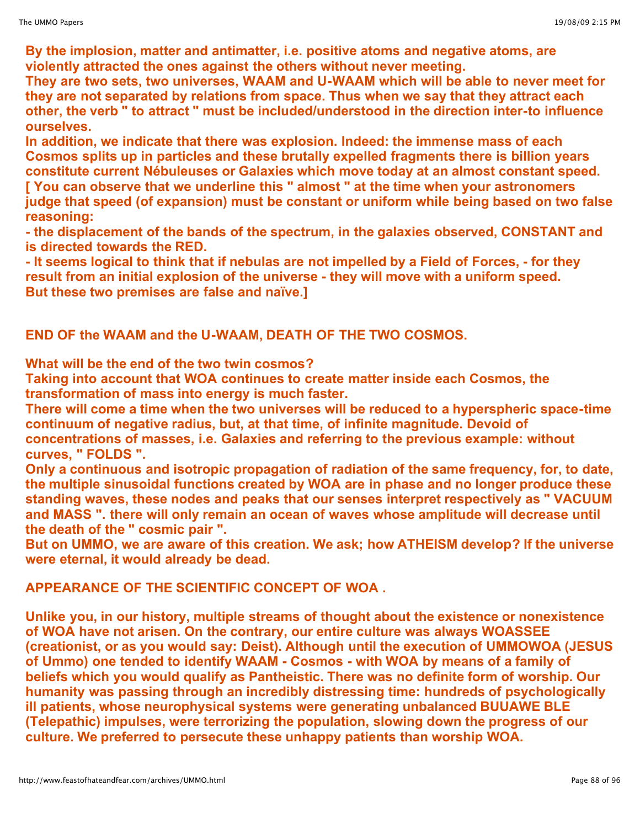**By the implosion, matter and antimatter, i.e. positive atoms and negative atoms, are violently attracted the ones against the others without never meeting.**

**They are two sets, two universes, WAAM and U-WAAM which will be able to never meet for they are not separated by relations from space. Thus when we say that they attract each other, the verb " to attract " must be included/understood in the direction inter-to influence ourselves.**

**In addition, we indicate that there was explosion. Indeed: the immense mass of each Cosmos splits up in particles and these brutally expelled fragments there is billion years constitute current Nébuleuses or Galaxies which move today at an almost constant speed. [ You can observe that we underline this " almost " at the time when your astronomers judge that speed (of expansion) must be constant or uniform while being based on two false reasoning:**

**- the displacement of the bands of the spectrum, in the galaxies observed, CONSTANT and is directed towards the RED.**

- It seems logical to think that if nebulas are not impelled by a Field of Forces, - for they **result from an initial explosion of the universe - they will move with a uniform speed. But these two premises are false and naïve.]**

**END OF the WAAM and the U-WAAM, DEATH OF THE TWO COSMOS.**

**What will be the end of the two twin cosmos?**

**Taking into account that WOA continues to create matter inside each Cosmos, the transformation of mass into energy is much faster.**

**There will come a time when the two universes will be reduced to a hyperspheric space-time continuum of negative radius, but, at that time, of infinite magnitude. Devoid of concentrations of masses, i.e. Galaxies and referring to the previous example: without curves, " FOLDS ".**

**Only a continuous and isotropic propagation of radiation of the same frequency, for, to date, the multiple sinusoidal functions created by WOA are in phase and no longer produce these standing waves, these nodes and peaks that our senses interpret respectively as " VACUUM and MASS ". there will only remain an ocean of waves whose amplitude will decrease until the death of the " cosmic pair ".**

**But on UMMO, we are aware of this creation. We ask; how ATHEISM develop? If the universe were eternal, it would already be dead.**

**APPEARANCE OF THE SCIENTIFIC CONCEPT OF WOA .**

**Unlike you, in our history, multiple streams of thought about the existence or nonexistence of WOA have not arisen. On the contrary, our entire culture was always WOASSEE (creationist, or as you would say: Deist). Although until the execution of UMMOWOA (JESUS of Ummo) one tended to identify WAAM - Cosmos - with WOA by means of a family of beliefs which you would qualify as Pantheistic. There was no definite form of worship. Our humanity was passing through an incredibly distressing time: hundreds of psychologically ill patients, whose neurophysical systems were generating unbalanced BUUAWE BLE (Telepathic) impulses, were terrorizing the population, slowing down the progress of our culture. We preferred to persecute these unhappy patients than worship WOA.**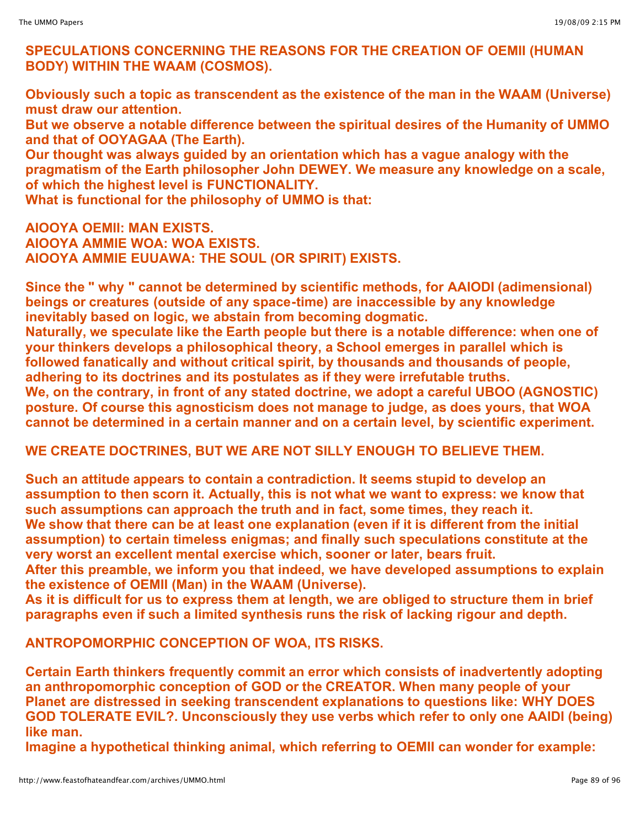# **SPECULATIONS CONCERNING THE REASONS FOR THE CREATION OF OEMII (HUMAN BODY) WITHIN THE WAAM (COSMOS).**

**Obviously such a topic as transcendent as the existence of the man in the WAAM (Universe) must draw our attention.** 

**But we observe a notable difference between the spiritual desires of the Humanity of UMMO and that of OOYAGAA (The Earth).**

**Our thought was always guided by an orientation which has a vague analogy with the pragmatism of the Earth philosopher John DEWEY. We measure any knowledge on a scale, of which the highest level is FUNCTIONALITY.**

**What is functional for the philosophy of UMMO is that:**

**AIOOYA OEMII: MAN EXISTS. AIOOYA AMMIE WOA: WOA EXISTS. AIOOYA AMMIE EUUAWA: THE SOUL (OR SPIRIT) EXISTS.**

**Since the " why " cannot be determined by scientific methods, for AAIODI (adimensional) beings or creatures (outside of any space-time) are inaccessible by any knowledge inevitably based on logic, we abstain from becoming dogmatic.**

**Naturally, we speculate like the Earth people but there is a notable difference: when one of your thinkers develops a philosophical theory, a School emerges in parallel which is followed fanatically and without critical spirit, by thousands and thousands of people, adhering to its doctrines and its postulates as if they were irrefutable truths. We, on the contrary, in front of any stated doctrine, we adopt a careful UBOO (AGNOSTIC) posture. Of course this agnosticism does not manage to judge, as does yours, that WOA cannot be determined in a certain manner and on a certain level, by scientific experiment.**

# **WE CREATE DOCTRINES, BUT WE ARE NOT SILLY ENOUGH TO BELIEVE THEM.**

**Such an attitude appears to contain a contradiction. It seems stupid to develop an assumption to then scorn it. Actually, this is not what we want to express: we know that such assumptions can approach the truth and in fact, some times, they reach it. We show that there can be at least one explanation (even if it is different from the initial assumption) to certain timeless enigmas; and finally such speculations constitute at the very worst an excellent mental exercise which, sooner or later, bears fruit.**

**After this preamble, we inform you that indeed, we have developed assumptions to explain the existence of OEMII (Man) in the WAAM (Universe).**

As it is difficult for us to express them at length, we are obliged to structure them in brief **paragraphs even if such a limited synthesis runs the risk of lacking rigour and depth.**

**ANTROPOMORPHIC CONCEPTION OF WOA, ITS RISKS.**

**Certain Earth thinkers frequently commit an error which consists of inadvertently adopting an anthropomorphic conception of GOD or the CREATOR. When many people of your Planet are distressed in seeking transcendent explanations to questions like: WHY DOES GOD TOLERATE EVIL?. Unconsciously they use verbs which refer to only one AAIDI (being) like man.**

**Imagine a hypothetical thinking animal, which referring to OEMII can wonder for example:**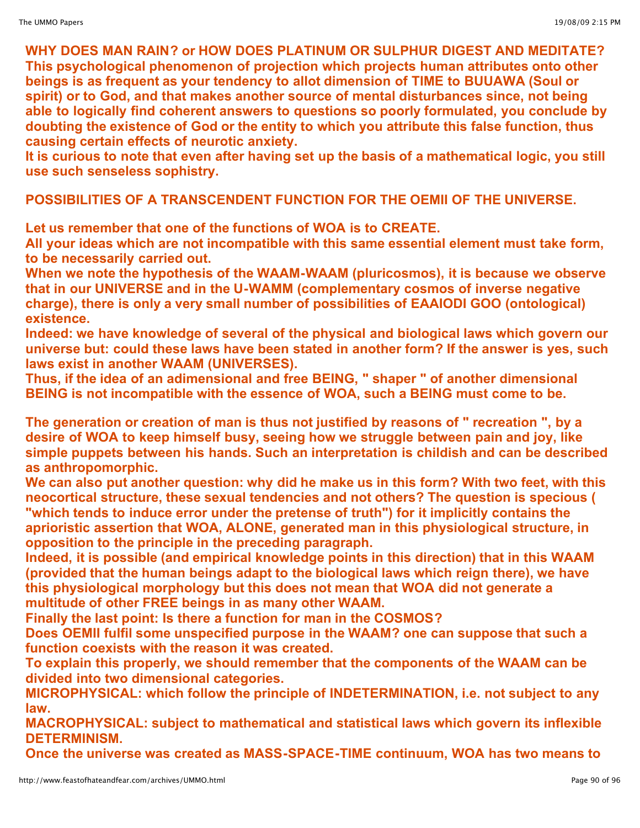**WHY DOES MAN RAIN? or HOW DOES PLATINUM OR SULPHUR DIGEST AND MEDITATE? This psychological phenomenon of projection which projects human attributes onto other beings is as frequent as your tendency to allot dimension of TIME to BUUAWA (Soul or spirit) or to God, and that makes another source of mental disturbances since, not being able to logically find coherent answers to questions so poorly formulated, you conclude by doubting the existence of God or the entity to which you attribute this false function, thus causing certain effects of neurotic anxiety.**

**It is curious to note that even after having set up the basis of a mathematical logic, you still use such senseless sophistry.**

**POSSIBILITIES OF A TRANSCENDENT FUNCTION FOR THE OEMII OF THE UNIVERSE.**

**Let us remember that one of the functions of WOA is to CREATE.**

**All your ideas which are not incompatible with this same essential element must take form, to be necessarily carried out.**

**When we note the hypothesis of the WAAM-WAAM (pluricosmos), it is because we observe that in our UNIVERSE and in the U-WAMM (complementary cosmos of inverse negative charge), there is only a very small number of possibilities of EAAIODI GOO (ontological) existence.**

**Indeed: we have knowledge of several of the physical and biological laws which govern our universe but: could these laws have been stated in another form? If the answer is yes, such laws exist in another WAAM (UNIVERSES).**

**Thus, if the idea of an adimensional and free BEING, " shaper " of another dimensional BEING is not incompatible with the essence of WOA, such a BEING must come to be.**

**The generation or creation of man is thus not justified by reasons of " recreation ", by a desire of WOA to keep himself busy, seeing how we struggle between pain and joy, like simple puppets between his hands. Such an interpretation is childish and can be described as anthropomorphic.**

**We can also put another question: why did he make us in this form? With two feet, with this neocortical structure, these sexual tendencies and not others? The question is specious ( "which tends to induce error under the pretense of truth") for it implicitly contains the aprioristic assertion that WOA, ALONE, generated man in this physiological structure, in opposition to the principle in the preceding paragraph.**

**Indeed, it is possible (and empirical knowledge points in this direction) that in this WAAM (provided that the human beings adapt to the biological laws which reign there), we have this physiological morphology but this does not mean that WOA did not generate a multitude of other FREE beings in as many other WAAM.**

**Finally the last point: Is there a function for man in the COSMOS?**

**Does OEMII fulfil some unspecified purpose in the WAAM? one can suppose that such a function coexists with the reason it was created.**

**To explain this properly, we should remember that the components of the WAAM can be divided into two dimensional categories.**

**MICROPHYSICAL: which follow the principle of INDETERMINATION, i.e. not subject to any law.**

**MACROPHYSICAL: subject to mathematical and statistical laws which govern its inflexible DETERMINISM.**

**Once the universe was created as MASS-SPACE-TIME continuum, WOA has two means to**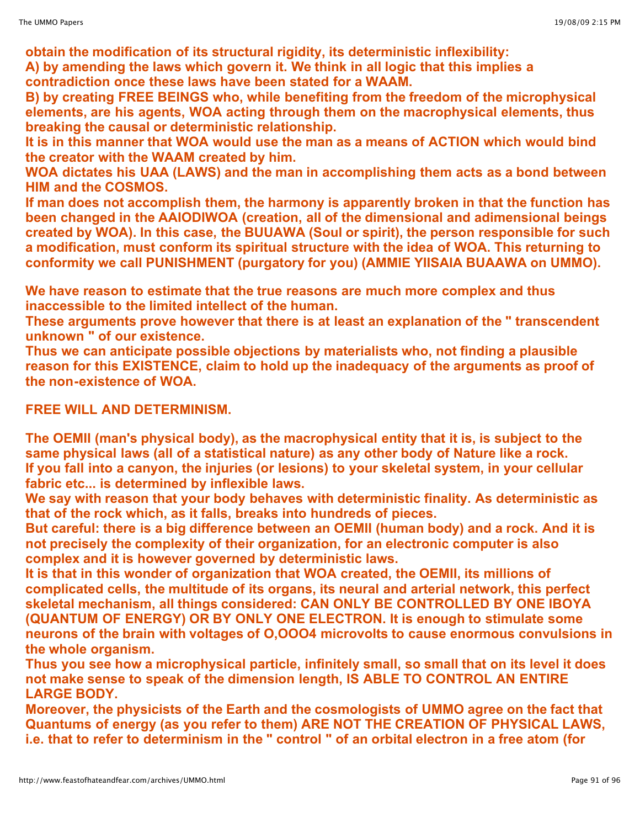**obtain the modification of its structural rigidity, its deterministic inflexibility: A) by amending the laws which govern it. We think in all logic that this implies a contradiction once these laws have been stated for a WAAM.**

**B) by creating FREE BEINGS who, while benefiting from the freedom of the microphysical elements, are his agents, WOA acting through them on the macrophysical elements, thus breaking the causal or deterministic relationship.**

**It is in this manner that WOA would use the man as a means of ACTION which would bind the creator with the WAAM created by him.**

**WOA dictates his UAA (LAWS) and the man in accomplishing them acts as a bond between HIM and the COSMOS.**

**If man does not accomplish them, the harmony is apparently broken in that the function has been changed in the AAIODIWOA (creation, all of the dimensional and adimensional beings created by WOA). In this case, the BUUAWA (Soul or spirit), the person responsible for such a modification, must conform its spiritual structure with the idea of WOA. This returning to conformity we call PUNISHMENT (purgatory for you) (AMMIE YIISAIA BUAAWA on UMMO).**

**We have reason to estimate that the true reasons are much more complex and thus inaccessible to the limited intellect of the human.**

**These arguments prove however that there is at least an explanation of the " transcendent unknown " of our existence.**

**Thus we can anticipate possible objections by materialists who, not finding a plausible reason for this EXISTENCE, claim to hold up the inadequacy of the arguments as proof of the non-existence of WOA.**

# **FREE WILL AND DETERMINISM.**

**The OEMII (man's physical body), as the macrophysical entity that it is, is subject to the same physical laws (all of a statistical nature) as any other body of Nature like a rock. If you fall into a canyon, the injuries (or lesions) to your skeletal system, in your cellular fabric etc... is determined by inflexible laws.**

**We say with reason that your body behaves with deterministic finality. As deterministic as that of the rock which, as it falls, breaks into hundreds of pieces.**

**But careful: there is a big difference between an OEMII (human body) and a rock. And it is not precisely the complexity of their organization, for an electronic computer is also complex and it is however governed by deterministic laws.**

**It is that in this wonder of organization that WOA created, the OEMII, its millions of complicated cells, the multitude of its organs, its neural and arterial network, this perfect skeletal mechanism, all things considered: CAN ONLY BE CONTROLLED BY ONE IBOYA (QUANTUM OF ENERGY) OR BY ONLY ONE ELECTRON. It is enough to stimulate some neurons of the brain with voltages of O,OOO4 microvolts to cause enormous convulsions in the whole organism.**

**Thus you see how a microphysical particle, infinitely small, so small that on its level it does not make sense to speak of the dimension length, IS ABLE TO CONTROL AN ENTIRE LARGE BODY.**

**Moreover, the physicists of the Earth and the cosmologists of UMMO agree on the fact that Quantums of energy (as you refer to them) ARE NOT THE CREATION OF PHYSICAL LAWS,** i.e. that to refer to determinism in the " control " of an orbital electron in a free atom (for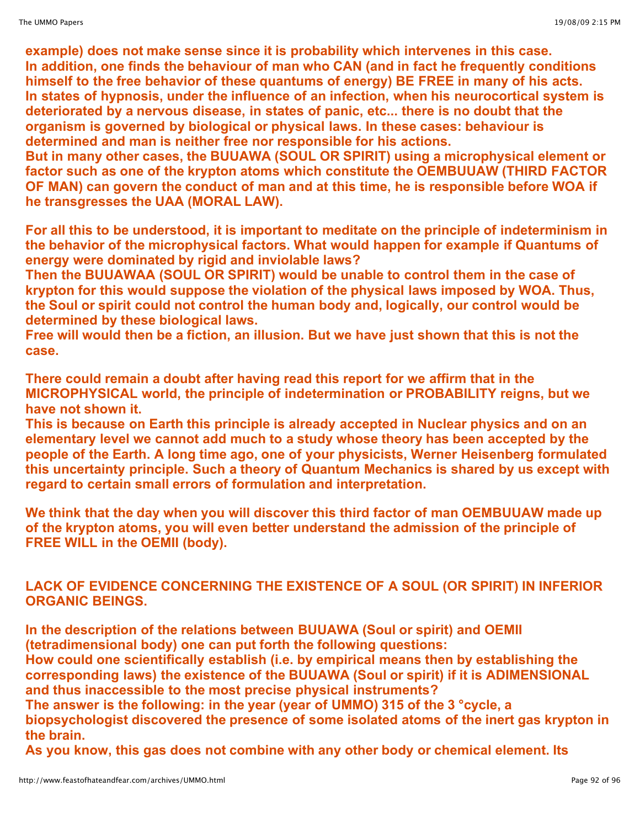**example) does not make sense since it is probability which intervenes in this case. In addition, one finds the behaviour of man who CAN (and in fact he frequently conditions himself to the free behavior of these quantums of energy) BE FREE in many of his acts. In states of hypnosis, under the influence of an infection, when his neurocortical system is deteriorated by a nervous disease, in states of panic, etc... there is no doubt that the organism is governed by biological or physical laws. In these cases: behaviour is determined and man is neither free nor responsible for his actions.**

**But in many other cases, the BUUAWA (SOUL OR SPIRIT) using a microphysical element or factor such as one of the krypton atoms which constitute the OEMBUUAW (THIRD FACTOR OF MAN) can govern the conduct of man and at this time, he is responsible before WOA if he transgresses the UAA (MORAL LAW).**

**For all this to be understood, it is important to meditate on the principle of indeterminism in the behavior of the microphysical factors. What would happen for example if Quantums of energy were dominated by rigid and inviolable laws?**

**Then the BUUAWAA (SOUL OR SPIRIT) would be unable to control them in the case of krypton for this would suppose the violation of the physical laws imposed by WOA. Thus, the Soul or spirit could not control the human body and, logically, our control would be determined by these biological laws.**

**Free will would then be a fiction, an illusion. But we have just shown that this is not the case.**

**There could remain a doubt after having read this report for we affirm that in the MICROPHYSICAL world, the principle of indetermination or PROBABILITY reigns, but we have not shown it.**

**This is because on Earth this principle is already accepted in Nuclear physics and on an elementary level we cannot add much to a study whose theory has been accepted by the people of the Earth. A long time ago, one of your physicists, Werner Heisenberg formulated this uncertainty principle. Such a theory of Quantum Mechanics is shared by us except with regard to certain small errors of formulation and interpretation.**

**We think that the day when you will discover this third factor of man OEMBUUAW made up of the krypton atoms, you will even better understand the admission of the principle of FREE WILL in the OEMII (body).**

**LACK OF EVIDENCE CONCERNING THE EXISTENCE OF A SOUL (OR SPIRIT) IN INFERIOR ORGANIC BEINGS.**

**In the description of the relations between BUUAWA (Soul or spirit) and OEMII (tetradimensional body) one can put forth the following questions:**

**How could one scientifically establish (i.e. by empirical means then by establishing the corresponding laws) the existence of the BUUAWA (Soul or spirit) if it is ADIMENSIONAL and thus inaccessible to the most precise physical instruments?**

**The answer is the following: in the year (year of UMMO) 315 of the 3 °cycle, a biopsychologist discovered the presence of some isolated atoms of the inert gas krypton in the brain.**

**As you know, this gas does not combine with any other body or chemical element. Its**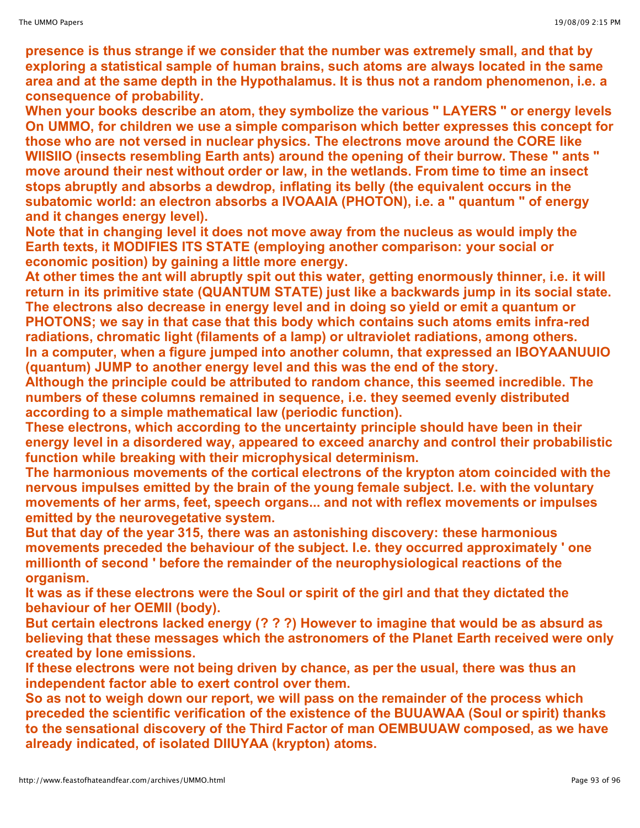**presence is thus strange if we consider that the number was extremely small, and that by exploring a statistical sample of human brains, such atoms are always located in the same area and at the same depth in the Hypothalamus. It is thus not a random phenomenon, i.e. a consequence of probability.**

**When your books describe an atom, they symbolize the various " LAYERS " or energy levels On UMMO, for children we use a simple comparison which better expresses this concept for those who are not versed in nuclear physics. The electrons move around the CORE like WIISIIO (insects resembling Earth ants) around the opening of their burrow. These " ants " move around their nest without order or law, in the wetlands. From time to time an insect stops abruptly and absorbs a dewdrop, inflating its belly (the equivalent occurs in the subatomic world: an electron absorbs a IVOAAIA (PHOTON), i.e. a " quantum " of energy and it changes energy level).**

**Note that in changing level it does not move away from the nucleus as would imply the Earth texts, it MODIFIES ITS STATE (employing another comparison: your social or economic position) by gaining a little more energy.**

**At other times the ant will abruptly spit out this water, getting enormously thinner, i.e. it will return in its primitive state (QUANTUM STATE) just like a backwards jump in its social state. The electrons also decrease in energy level and in doing so yield or emit a quantum or PHOTONS; we say in that case that this body which contains such atoms emits infra-red radiations, chromatic light (filaments of a lamp) or ultraviolet radiations, among others. In a computer, when a figure jumped into another column, that expressed an IBOYAANUUIO (quantum) JUMP to another energy level and this was the end of the story.**

**Although the principle could be attributed to random chance, this seemed incredible. The numbers of these columns remained in sequence, i.e. they seemed evenly distributed according to a simple mathematical law (periodic function).**

**These electrons, which according to the uncertainty principle should have been in their energy level in a disordered way, appeared to exceed anarchy and control their probabilistic function while breaking with their microphysical determinism.**

**The harmonious movements of the cortical electrons of the krypton atom coincided with the nervous impulses emitted by the brain of the young female subject. I.e. with the voluntary movements of her arms, feet, speech organs... and not with reflex movements or impulses emitted by the neurovegetative system.**

**But that day of the year 315, there was an astonishing discovery: these harmonious movements preceded the behaviour of the subject. I.e. they occurred approximately ' one millionth of second ' before the remainder of the neurophysiological reactions of the organism.**

**It was as if these electrons were the Soul or spirit of the girl and that they dictated the behaviour of her OEMII (body).**

**But certain electrons lacked energy (? ? ?) However to imagine that would be as absurd as believing that these messages which the astronomers of the Planet Earth received were only created by lone emissions.**

**If these electrons were not being driven by chance, as per the usual, there was thus an independent factor able to exert control over them.**

**So as not to weigh down our report, we will pass on the remainder of the process which preceded the scientific verification of the existence of the BUUAWAA (Soul or spirit) thanks to the sensational discovery of the Third Factor of man OEMBUUAW composed, as we have already indicated, of isolated DIIUYAA (krypton) atoms.**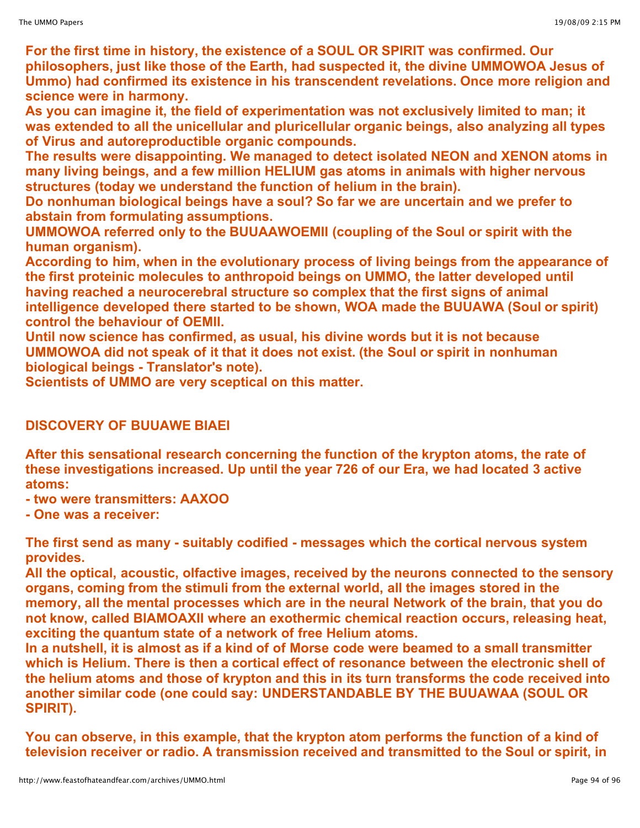**For the first time in history, the existence of a SOUL OR SPIRIT was confirmed. Our philosophers, just like those of the Earth, had suspected it, the divine UMMOWOA Jesus of Ummo) had confirmed its existence in his transcendent revelations. Once more religion and science were in harmony.**

**As you can imagine it, the field of experimentation was not exclusively limited to man; it was extended to all the unicellular and pluricellular organic beings, also analyzing all types of Virus and autoreproductible organic compounds.**

**The results were disappointing. We managed to detect isolated NEON and XENON atoms in many living beings, and a few million HELIUM gas atoms in animals with higher nervous structures (today we understand the function of helium in the brain).**

**Do nonhuman biological beings have a soul? So far we are uncertain and we prefer to abstain from formulating assumptions.**

**UMMOWOA referred only to the BUUAAWOEMII (coupling of the Soul or spirit with the human organism).**

**According to him, when in the evolutionary process of living beings from the appearance of the first proteinic molecules to anthropoid beings on UMMO, the latter developed until having reached a neurocerebral structure so complex that the first signs of animal intelligence developed there started to be shown, WOA made the BUUAWA (Soul or spirit) control the behaviour of OEMII.**

**Until now science has confirmed, as usual, his divine words but it is not because UMMOWOA did not speak of it that it does not exist. (the Soul or spirit in nonhuman biological beings - Translator's note).**

**Scientists of UMMO are very sceptical on this matter.**

# **DISCOVERY OF BUUAWE BIAEI**

**After this sensational research concerning the function of the krypton atoms, the rate of these investigations increased. Up until the year 726 of our Era, we had located 3 active atoms:**

- **- two were transmitters: AAXOO**
- **- One was a receiver:**

**The first send as many - suitably codified - messages which the cortical nervous system provides.**

**All the optical, acoustic, olfactive images, received by the neurons connected to the sensory organs, coming from the stimuli from the external world, all the images stored in the memory, all the mental processes which are in the neural Network of the brain, that you do not know, called BIAMOAXII where an exothermic chemical reaction occurs, releasing heat, exciting the quantum state of a network of free Helium atoms.**

In a nutshell, it is almost as if a kind of of Morse code were beamed to a small transmitter **which is Helium. There is then a cortical effect of resonance between the electronic shell of the helium atoms and those of krypton and this in its turn transforms the code received into another similar code (one could say: UNDERSTANDABLE BY THE BUUAWAA (SOUL OR SPIRIT).**

**You can observe, in this example, that the krypton atom performs the function of a kind of television receiver or radio. A transmission received and transmitted to the Soul or spirit, in**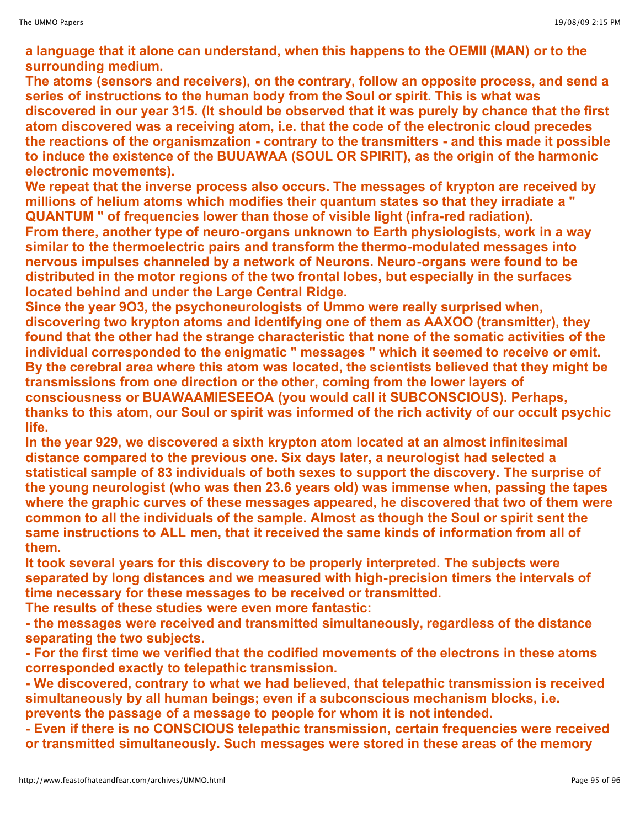**a language that it alone can understand, when this happens to the OEMII (MAN) or to the surrounding medium.**

**The atoms (sensors and receivers), on the contrary, follow an opposite process, and send a series of instructions to the human body from the Soul or spirit. This is what was discovered in our year 315. (It should be observed that it was purely by chance that the first atom discovered was a receiving atom, i.e. that the code of the electronic cloud precedes the reactions of the organismzation - contrary to the transmitters - and this made it possible to induce the existence of the BUUAWAA (SOUL OR SPIRIT), as the origin of the harmonic electronic movements).**

**We repeat that the inverse process also occurs. The messages of krypton are received by millions of helium atoms which modifies their quantum states so that they irradiate a " QUANTUM " of frequencies lower than those of visible light (infra-red radiation). From there, another type of neuro-organs unknown to Earth physiologists, work in a way similar to the thermoelectric pairs and transform the thermo-modulated messages into nervous impulses channeled by a network of Neurons. Neuro-organs were found to be distributed in the motor regions of the two frontal lobes, but especially in the surfaces located behind and under the Large Central Ridge.**

**Since the year 9O3, the psychoneurologists of Ummo were really surprised when, discovering two krypton atoms and identifying one of them as AAXOO (transmitter), they found that the other had the strange characteristic that none of the somatic activities of the individual corresponded to the enigmatic " messages " which it seemed to receive or emit. By the cerebral area where this atom was located, the scientists believed that they might be transmissions from one direction or the other, coming from the lower layers of consciousness or BUAWAAMIESEEOA (you would call it SUBCONSCIOUS). Perhaps, thanks to this atom, our Soul or spirit was informed of the rich activity of our occult psychic life.**

**In the year 929, we discovered a sixth krypton atom located at an almost infinitesimal distance compared to the previous one. Six days later, a neurologist had selected a statistical sample of 83 individuals of both sexes to support the discovery. The surprise of the young neurologist (who was then 23.6 years old) was immense when, passing the tapes where the graphic curves of these messages appeared, he discovered that two of them were common to all the individuals of the sample. Almost as though the Soul or spirit sent the same instructions to ALL men, that it received the same kinds of information from all of them.**

**It took several years for this discovery to be properly interpreted. The subjects were separated by long distances and we measured with high-precision timers the intervals of time necessary for these messages to be received or transmitted.**

**The results of these studies were even more fantastic:**

**- the messages were received and transmitted simultaneously, regardless of the distance separating the two subjects.**

**- For the first time we verified that the codified movements of the electrons in these atoms corresponded exactly to telepathic transmission.**

**- We discovered, contrary to what we had believed, that telepathic transmission is received simultaneously by all human beings; even if a subconscious mechanism blocks, i.e. prevents the passage of a message to people for whom it is not intended.**

**- Even if there is no CONSCIOUS telepathic transmission, certain frequencies were received or transmitted simultaneously. Such messages were stored in these areas of the memory**